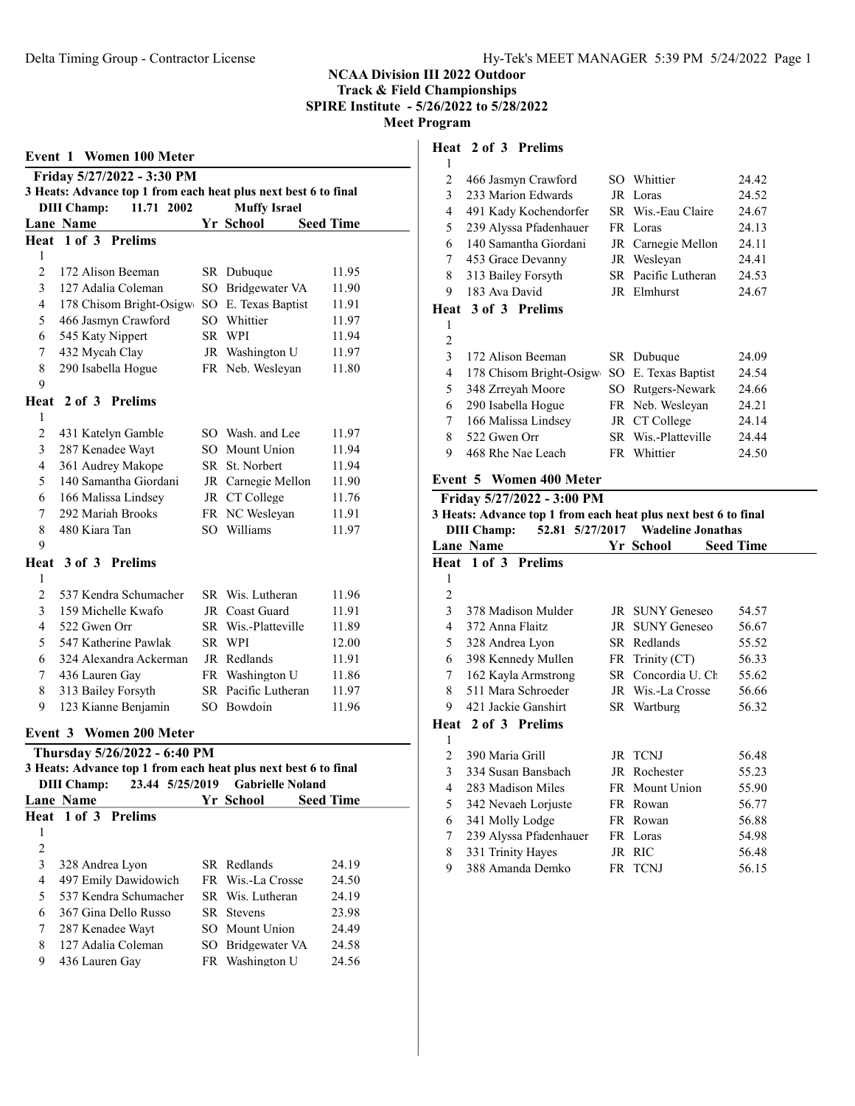| <b>Event 1 Women 100 Meter</b> |                     |  |                              |    |                                                                 |       |
|--------------------------------|---------------------|--|------------------------------|----|-----------------------------------------------------------------|-------|
|                                |                     |  | Friday 5/27/2022 - 3:30 PM   |    |                                                                 |       |
|                                |                     |  |                              |    | 3 Heats: Advance top 1 from each heat plus next best 6 to final |       |
|                                | <b>DIII Champ:</b>  |  | 11.71 2002                   |    | <b>Muffy Israel</b>                                             |       |
|                                | Lane Name           |  |                              |    | Yr School<br><b>Seed Time</b>                                   |       |
|                                | Heat 1 of 3 Prelims |  |                              |    |                                                                 |       |
| 1                              |                     |  |                              |    |                                                                 |       |
| $\overline{2}$                 |                     |  | 172 Alison Beeman            |    | SR Dubuque                                                      | 11.95 |
| 3                              |                     |  | 127 Adalia Coleman           |    | SO Bridgewater VA                                               | 11.90 |
| 4                              |                     |  |                              |    | 178 Chisom Bright-Osigw SO E. Texas Baptist                     | 11.91 |
| 5                              |                     |  | 466 Jasmyn Crawford          |    | SO Whittier                                                     | 11.97 |
| 6                              | 545 Katy Nippert    |  |                              |    | SR WPI                                                          | 11.94 |
| 7                              | 432 Mycah Clay      |  |                              |    | JR Washington U                                                 | 11.97 |
| 8<br>9                         | 290 Isabella Hogue  |  |                              |    | FR Neb. Wesleyan                                                | 11.80 |
|                                | Heat 2 of 3 Prelims |  |                              |    |                                                                 |       |
| 1                              |                     |  |                              |    |                                                                 |       |
| $\overline{c}$                 |                     |  | 431 Katelyn Gamble           |    | SO Wash. and Lee                                                | 11.97 |
| 3                              | 287 Kenadee Wayt    |  |                              |    | SO Mount Union                                                  | 11.94 |
| 4                              |                     |  | 361 Audrey Makope            |    | SR St. Norbert                                                  | 11.94 |
| 5                              |                     |  | 140 Samantha Giordani        |    | JR Carnegie Mellon                                              | 11.90 |
| 6                              |                     |  | 166 Malissa Lindsey          |    | JR CT College                                                   | 11.76 |
| 7                              | 292 Mariah Brooks   |  |                              |    | FR NC Weslevan                                                  | 11.91 |
| 8                              | 480 Kiara Tan       |  |                              |    | SO Williams                                                     | 11.97 |
| 9                              |                     |  |                              |    |                                                                 |       |
|                                | Heat 3 of 3 Prelims |  |                              |    |                                                                 |       |
| 1                              |                     |  |                              |    |                                                                 |       |
| $\overline{2}$                 |                     |  | 537 Kendra Schumacher        |    | SR Wis. Lutheran                                                | 11.96 |
| 3                              |                     |  | 159 Michelle Kwafo           |    | JR Coast Guard                                                  | 11.91 |
| 4                              | 522 Gwen Orr        |  |                              |    | SR Wis.-Platteville                                             | 11.89 |
| 5                              |                     |  | 547 Katherine Pawlak         |    | SR WPI                                                          | 12.00 |
| 6                              |                     |  | 324 Alexandra Ackerman       |    | JR Redlands                                                     | 11.91 |
| 7                              | 436 Lauren Gay      |  |                              |    | FR Washington U                                                 | 11.86 |
| 8                              | 313 Bailey Forsyth  |  |                              |    | SR Pacific Lutheran                                             | 11.97 |
| 9                              |                     |  | 123 Kianne Benjamin          |    | SO Bowdoin                                                      | 11.96 |
|                                |                     |  | Event 3 Women 200 Meter      |    |                                                                 |       |
|                                |                     |  | Thursday 5/26/2022 - 6:40 PM |    |                                                                 |       |
|                                |                     |  |                              |    | 3 Heats: Advance top 1 from each heat plus next best 6 to final |       |
|                                | <b>DIII Champ:</b>  |  | 23.44 5/25/2019              |    | <b>Gabrielle Noland</b>                                         |       |
|                                | Lane Name           |  |                              |    | Yr School<br><b>Seed Time</b>                                   |       |
| Heat                           |                     |  | 1 of 3 Prelims               |    |                                                                 |       |
| 1<br>$\overline{c}$            |                     |  |                              |    |                                                                 |       |
| 3                              | 328 Andrea Lyon     |  |                              |    | SR Redlands                                                     | 24.19 |
| 4                              |                     |  | 497 Emily Dawidowich         | FR | Wis.-La Crosse                                                  | 24.50 |
| 5                              |                     |  | 537 Kendra Schumacher        |    | SR Wis. Lutheran                                                | 24.19 |
| 6                              |                     |  | 367 Gina Dello Russo         | SR | <b>Stevens</b>                                                  | 23.98 |
| 7                              | 287 Kenadee Wayt    |  |                              |    | SO Mount Union                                                  | 24.49 |
| 8                              |                     |  | 127 Adalia Coleman           |    | SO Bridgewater VA                                               | 24.58 |
| 9                              | 436 Lauren Gay      |  |                              |    | FR Washington U                                                 | 24.56 |
|                                |                     |  |                              |    |                                                                 |       |

# Heat 2 of 3 Prelims

| 1 |                         |     |                     |       |
|---|-------------------------|-----|---------------------|-------|
| 2 | 466 Jasmyn Crawford     |     | SO Whittier         | 24.42 |
| 3 | 233 Marion Edwards      |     | JR Loras            | 24.52 |
| 4 | 491 Kady Kochendorfer   |     | SR Wis.-Eau Claire  | 24.67 |
| 5 | 239 Alyssa Pfadenhauer  |     | FR Loras            | 24.13 |
| 6 | 140 Samantha Giordani   |     | JR Carnegie Mellon  | 24.11 |
| 7 | 453 Grace Devanny       |     | JR Wesleyan         | 24.41 |
| 8 | 313 Bailey Forsyth      |     | SR Pacific Lutheran | 24.53 |
| 9 | 183 Ava David           |     | JR Elmhurst         | 24.67 |
|   | Heat 3 of 3 Prelims     |     |                     |       |
|   |                         |     |                     |       |
| 1 |                         |     |                     |       |
| 2 |                         |     |                     |       |
| 3 | 172 Alison Beeman       |     | SR Dubuque          | 24.09 |
| 4 | 178 Chisom Bright-Osigw | SO. | E. Texas Baptist    | 24.54 |
| 5 | 348 Zrreyah Moore       | SO. | Rutgers-Newark      | 24.66 |
| 6 | 290 Isabella Hogue      |     | FR Neb. Wesleyan    | 24.21 |
| 7 | 166 Malissa Lindsey     |     | JR CT College       | 24.14 |
| 8 | 522 Gwen Orr            |     | SR Wis.-Platteville | 24.44 |
| 9 | 468 Rhe Nae Leach       |     | FR Whittier         | 24.50 |

# Event 5 Women 400 Meter

| <b>Lane Name</b>       |                            | <b>Seed Time</b>                                                                                                                                                                                                                                                                                                                                                          |
|------------------------|----------------------------|---------------------------------------------------------------------------------------------------------------------------------------------------------------------------------------------------------------------------------------------------------------------------------------------------------------------------------------------------------------------------|
| Heat 1 of 3 Prelims    |                            |                                                                                                                                                                                                                                                                                                                                                                           |
|                        |                            |                                                                                                                                                                                                                                                                                                                                                                           |
|                        |                            |                                                                                                                                                                                                                                                                                                                                                                           |
| 378 Madison Mulder     |                            | 54.57                                                                                                                                                                                                                                                                                                                                                                     |
| 372 Anna Flaitz        |                            | 56.67                                                                                                                                                                                                                                                                                                                                                                     |
| 328 Andrea Lyon        |                            | 55.52                                                                                                                                                                                                                                                                                                                                                                     |
| 398 Kennedy Mullen     |                            | 56.33                                                                                                                                                                                                                                                                                                                                                                     |
| 162 Kayla Armstrong    |                            | 55.62                                                                                                                                                                                                                                                                                                                                                                     |
| 511 Mara Schroeder     |                            | 56.66                                                                                                                                                                                                                                                                                                                                                                     |
| 421 Jackie Ganshirt    |                            | 56.32                                                                                                                                                                                                                                                                                                                                                                     |
| Heat 2 of 3 Prelims    |                            |                                                                                                                                                                                                                                                                                                                                                                           |
|                        |                            |                                                                                                                                                                                                                                                                                                                                                                           |
| 390 Maria Grill        |                            | 56.48                                                                                                                                                                                                                                                                                                                                                                     |
| 334 Susan Bansbach     |                            | 55.23                                                                                                                                                                                                                                                                                                                                                                     |
| 283 Madison Miles      |                            | 55.90                                                                                                                                                                                                                                                                                                                                                                     |
| 342 Nevaeh Lorjuste    |                            | 56.77                                                                                                                                                                                                                                                                                                                                                                     |
| 341 Molly Lodge        |                            | 56.88                                                                                                                                                                                                                                                                                                                                                                     |
| 239 Alyssa Pfadenhauer |                            | 54.98                                                                                                                                                                                                                                                                                                                                                                     |
| 331 Trinity Hayes      |                            | 56.48                                                                                                                                                                                                                                                                                                                                                                     |
| 388 Amanda Demko       |                            | 56.15                                                                                                                                                                                                                                                                                                                                                                     |
|                        | Friday 5/27/2022 - 3:00 PM | 3 Heats: Advance top 1 from each heat plus next best 6 to final<br>DIII Champ: 52.81 5/27/2017 Wadeline Jonathas<br>Yr School<br>JR SUNY Geneseo<br>JR SUNY Geneseo<br>SR Redlands<br>$FR$ Trinity $(CT)$<br>SR Concordia U. Ch<br>JR Wis.-La Crosse<br>SR Wartburg<br>JR TCNJ<br>JR Rochester<br>FR Mount Union<br>FR Rowan<br>FR Rowan<br>FR Loras<br>JR RIC<br>FR TCNJ |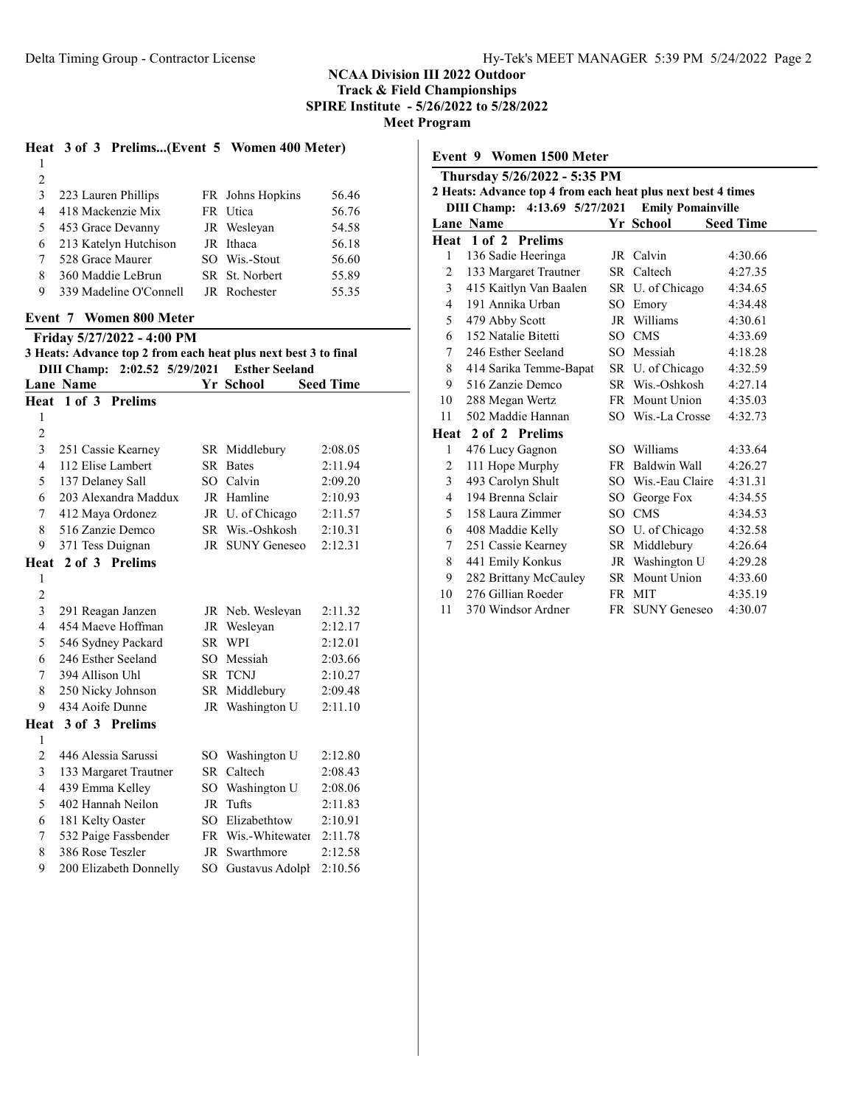# NCAA Division III 2022 Outdoor

Track & Field Championships SPIRE Institute - 5/26/2022 to 5/28/2022

Meet Program

# Heat 3 of 3 Prelims...(Event 5 Women 400 Meter)

| 2 |                        |                     |       |
|---|------------------------|---------------------|-------|
| 3 | 223 Lauren Phillips    | FR Johns Hopkins    | 56.46 |
| 4 | 418 Mackenzie Mix      | FR Utica            | 56.76 |
| 5 | 453 Grace Devanny      | JR Weslevan         | 54.58 |
| 6 | 213 Katelyn Hutchison  | JR Ithaca           | 56.18 |
|   | 528 Grace Maurer       | SO Wis.-Stout       | 56.60 |
| 8 | 360 Maddie LeBrun      | SR St. Norbert      | 55.89 |
| 9 | 339 Madeline O'Connell | <b>JR</b> Rochester | 55.35 |

#### Event 7 Women 800 Meter

Friday 5/27/2022 - 4:00 PM

|                               |  | 3 Heats: Advance top 2 from each heat plus next best 3 to final |
|-------------------------------|--|-----------------------------------------------------------------|
| DIII Champ: 2:02.52 5/29/2021 |  | <b>Esther Seeland</b>                                           |

|                | <b>Lane Name</b>       |          | Yr School           | <b>Seed Time</b> |
|----------------|------------------------|----------|---------------------|------------------|
|                | Heat 1 of 3 Prelims    |          |                     |                  |
| 1              |                        |          |                     |                  |
| $\overline{2}$ |                        |          |                     |                  |
| 3              | 251 Cassie Kearney     |          | SR Middlebury       | 2:08.05          |
| 4              | 112 Elise Lambert      | SR.      | <b>Bates</b>        | 2:11.94          |
| 5              | 137 Delaney Sall       |          | SO Calvin           | 2:09.20          |
| 6              | 203 Alexandra Maddux   |          | JR Hamline          | 2:10.93          |
| 7              | 412 Maya Ordonez       |          | JR U. of Chicago    | 2:11.57          |
| 8              | 516 Zanzie Demco       |          | SR Wis.-Oshkosh     | 2:10.31          |
| 9              | 371 Tess Duignan       | JR       | <b>SUNY Geneseo</b> | 2:12.31          |
| Heat           | 2 of 3 Prelims         |          |                     |                  |
| 1              |                        |          |                     |                  |
| $\overline{c}$ |                        |          |                     |                  |
| 3              | 291 Reagan Janzen      |          | JR Neb. Wesleyan    | 2:11.32          |
| 4              | 454 Maeve Hoffman      |          | JR Wesleyan         | 2:12.17          |
| 5              | 546 Sydney Packard     |          | SR WPI              | 2:12.01          |
| 6              | 246 Esther Seeland     | $SO^-$   | Messiah             | 2:03.66          |
| 7              | 394 Allison Uhl        | SR -     | <b>TCNJ</b>         | 2:10.27          |
| 8              | 250 Nicky Johnson      |          | SR Middlebury       | 2:09.48          |
| 9              | 434 Aoife Dunne        |          | JR Washington U     | 2:11.10          |
|                | Heat 3 of 3 Prelims    |          |                     |                  |
| 1              |                        |          |                     |                  |
| $\overline{2}$ | 446 Alessia Sarussi    |          | SO Washington U     | 2:12.80          |
| 3              | 133 Margaret Trautner  | SR       | Caltech             | 2:08.43          |
| 4              | 439 Emma Kelley        | $SO_{-}$ | Washington U        | 2:08.06          |
| 5              | 402 Hannah Neilon      | JR       | Tufts               | 2:11.83          |
| 6              | 181 Kelty Oaster       | $SO_{-}$ | Elizabethtow        | 2:10.91          |
| 7              | 532 Paige Fassbender   |          | FR Wis.-Whitewater  | 2:11.78          |
| 8              | 386 Rose Teszler       | JR       | Swarthmore          | 2:12.58          |
| 9              | 200 Elizabeth Donnelly | SO       | Gustavus Adolph     | 2:10.56          |

| Event 9 Women 1500 Meter |                                                              |    |                          |                  |
|--------------------------|--------------------------------------------------------------|----|--------------------------|------------------|
|                          | Thursday 5/26/2022 - 5:35 PM                                 |    |                          |                  |
|                          | 2 Heats: Advance top 4 from each heat plus next best 4 times |    |                          |                  |
|                          | DIII Champ: 4:13.69 5/27/2021                                |    | <b>Emily Pomainville</b> |                  |
|                          | <b>Lane Name</b>                                             |    | Yr School                | <b>Seed Time</b> |
|                          | Heat 1 of 2 Prelims                                          |    |                          |                  |
| 1                        | 136 Sadie Heeringa                                           |    | JR Calvin                | 4:30.66          |
| 2                        | 133 Margaret Trautner                                        |    | SR Caltech               | 4:27.35          |
| 3                        | 415 Kaitlyn Van Baalen                                       |    | SR U. of Chicago         | 4:34.65          |
| $\overline{4}$           | 191 Annika Urban                                             |    | SO Emory                 | 4:34.48          |
| 5                        | 479 Abby Scott                                               |    | JR Williams              | 4:30.61          |
| 6                        | 152 Natalie Bitetti                                          |    | SO CMS                   | 4:33.69          |
| 7                        | 246 Esther Seeland                                           |    | SO Messiah               | 4:18.28          |
| 8                        | 414 Sarika Temme-Bapat                                       |    | SR U. of Chicago         | 4:32.59          |
| 9                        | 516 Zanzie Demco                                             |    | SR Wis.-Oshkosh          | 4:27.14          |
| 10                       | 288 Megan Wertz                                              |    | FR Mount Union           | 4:35.03          |
| 11                       | 502 Maddie Hannan                                            |    | SO Wis.-La Crosse        | 4:32.73          |
|                          | Heat 2 of 2 Prelims                                          |    |                          |                  |
| 1                        | 476 Lucy Gagnon                                              |    | SO Williams              | 4:33.64          |
| 2                        | 111 Hope Murphy                                              |    | FR Baldwin Wall          | 4:26.27          |
| 3                        | 493 Carolyn Shult                                            |    | SO Wis.-Eau Claire       | 4:31.31          |
| 4                        | 194 Brenna Sclair                                            |    | SO George Fox            | 4:34.55          |
| 5                        | 158 Laura Zimmer                                             | SO | <b>CMS</b>               | 4:34.53          |
| 6                        | 408 Maddie Kelly                                             |    | SO U. of Chicago         | 4:32.58          |
| 7                        | 251 Cassie Kearney                                           |    | SR Middlebury            | 4:26.64          |
| 8                        | 441 Emily Konkus                                             |    | JR Washington U          | 4:29.28          |
| 9                        | 282 Brittany McCauley                                        |    | SR Mount Union           | 4:33.60          |
| 10                       | 276 Gillian Roeder                                           |    | FR MIT                   | 4:35.19          |
| 11                       | 370 Windsor Ardner                                           | FR | <b>SUNY Geneseo</b>      | 4:30.07          |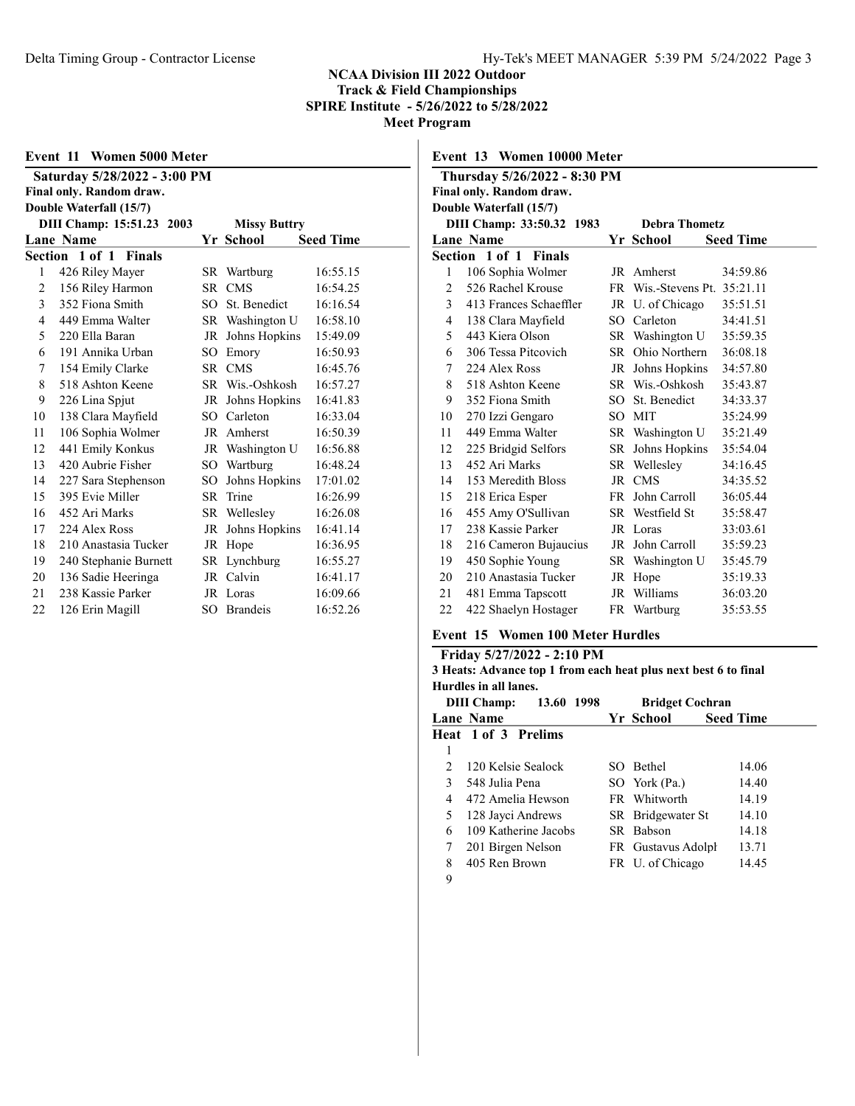| Event 11 Women 5000 Meter |                              |      |                     |                  |  |  |  |
|---------------------------|------------------------------|------|---------------------|------------------|--|--|--|
|                           | Saturday 5/28/2022 - 3:00 PM |      |                     |                  |  |  |  |
|                           | Final only. Random draw.     |      |                     |                  |  |  |  |
|                           | Double Waterfall (15/7)      |      |                     |                  |  |  |  |
|                           | DIII Champ: 15:51.23 2003    |      | <b>Missy Buttry</b> |                  |  |  |  |
|                           | <b>Lane Name</b>             |      | Yr School           | <b>Seed Time</b> |  |  |  |
|                           | Section 1 of 1 Finals        |      |                     |                  |  |  |  |
| 1                         | 426 Riley Mayer              |      | SR Wartburg         | 16:55.15         |  |  |  |
| 2                         | 156 Riley Harmon             | SR   | <b>CMS</b>          | 16:54.25         |  |  |  |
| 3                         | 352 Fiona Smith              | SO   | St. Benedict        | 16:16.54         |  |  |  |
| 4                         | 449 Emma Walter              |      | SR Washington U     | 16:58.10         |  |  |  |
| 5                         | 220 Ella Baran               | JR   | Johns Hopkins       | 15:49.09         |  |  |  |
| 6                         | 191 Annika Urban             | SО   | Emory               | 16:50.93         |  |  |  |
| 7                         | 154 Emily Clarke             | SR - | <b>CMS</b>          | 16:45.76         |  |  |  |
| 8                         | 518 Ashton Keene             |      | SR Wis.-Oshkosh     | 16:57.27         |  |  |  |
| 9                         | 226 Lina Spjut               | JR   | Johns Hopkins       | 16:41.83         |  |  |  |
| 10                        | 138 Clara Mayfield           | SO   | Carleton            | 16:33.04         |  |  |  |
| 11                        | 106 Sophia Wolmer            |      | JR Amherst          | 16:50.39         |  |  |  |
| 12                        | 441 Emily Konkus             |      | JR Washington U     | 16:56.88         |  |  |  |
| 13                        | 420 Aubrie Fisher            | SO.  | Wartburg            | 16:48.24         |  |  |  |
| 14                        | 227 Sara Stephenson          | SO.  | Johns Hopkins       | 17:01.02         |  |  |  |
| 15                        | 395 Evie Miller              | SR.  | Trine               | 16:26.99         |  |  |  |
| 16                        | 452 Ari Marks                |      | SR Wellesley        | 16:26.08         |  |  |  |
| 17                        | 224 Alex Ross                | JR   | Johns Hopkins       | 16:41.14         |  |  |  |
| 18                        | 210 Anastasia Tucker         | JR   | Hope                | 16:36.95         |  |  |  |
| 19                        | 240 Stephanie Burnett        | SR   | Lynchburg           | 16:55.27         |  |  |  |
| 20                        | 136 Sadie Heeringa           | JR   | Calvin              | 16:41.17         |  |  |  |
| 21                        | 238 Kassie Parker            |      | JR Loras            | 16:09.66         |  |  |  |
| 22                        | 126 Erin Magill              | SO   | <b>Brandeis</b>     | 16:52.26         |  |  |  |

| Event 13 Women 10000 Meter                        |                              |      |                              |                  |  |  |  |
|---------------------------------------------------|------------------------------|------|------------------------------|------------------|--|--|--|
|                                                   | Thursday 5/26/2022 - 8:30 PM |      |                              |                  |  |  |  |
|                                                   | Final only. Random draw.     |      |                              |                  |  |  |  |
|                                                   | Double Waterfall (15/7)      |      |                              |                  |  |  |  |
| DIII Champ: 33:50.32 1983<br><b>Debra Thometz</b> |                              |      |                              |                  |  |  |  |
|                                                   | <b>Lane Name</b>             |      | Yr School                    | <b>Seed Time</b> |  |  |  |
|                                                   | <b>Section 1 of 1 Finals</b> |      |                              |                  |  |  |  |
| 1                                                 | 106 Sophia Wolmer            |      | JR Amherst                   | 34:59.86         |  |  |  |
| $\overline{2}$                                    | 526 Rachel Krouse            |      | FR Wis.-Stevens Pt. 35:21.11 |                  |  |  |  |
| 3                                                 | 413 Frances Schaeffler       |      | JR U. of Chicago             | 35:51.51         |  |  |  |
| 4                                                 | 138 Clara Mayfield           |      | SO Carleton                  | 34:41.51         |  |  |  |
| 5                                                 | 443 Kiera Olson              |      | SR Washington U              | 35:59.35         |  |  |  |
| 6                                                 | 306 Tessa Pitcovich          | SR - | Ohio Northern                | 36:08.18         |  |  |  |
| 7                                                 | 224 Alex Ross                |      | JR Johns Hopkins             | 34:57.80         |  |  |  |
| 8                                                 | 518 Ashton Keene             |      | SR Wis.-Oshkosh              | 35:43.87         |  |  |  |
| 9                                                 | 352 Fiona Smith              | SO.  | St. Benedict                 | 34:33.37         |  |  |  |
| 10                                                | 270 Izzi Gengaro             |      | SO MIT                       | 35:24.99         |  |  |  |
| 11                                                | 449 Emma Walter              |      | SR Washington U              | 35:21.49         |  |  |  |
| 12                                                | 225 Bridgid Selfors          |      | SR Johns Hopkins             | 35:54.04         |  |  |  |
| 13                                                | 452 Ari Marks                |      | SR Wellesley                 | 34:16.45         |  |  |  |
| 14                                                | 153 Meredith Bloss           |      | JR CMS                       | 34:35.52         |  |  |  |
| 15                                                | 218 Erica Esper              | FR - | John Carroll                 | 36:05.44         |  |  |  |
| 16                                                | 455 Amy O'Sullivan           |      | SR Westfield St              | 35:58.47         |  |  |  |
| 17                                                | 238 Kassie Parker            |      | JR Loras                     | 33:03.61         |  |  |  |
| 18                                                | 216 Cameron Bujaucius        |      | JR John Carroll              | 35:59.23         |  |  |  |
| 19                                                | 450 Sophie Young             |      | SR Washington U              | 35:45.79         |  |  |  |
| 20                                                | 210 Anastasia Tucker         |      | JR Hope                      | 35:19.33         |  |  |  |
| 21                                                | 481 Emma Tapscott            |      | JR Williams                  | 36:03.20         |  |  |  |
| 22                                                | 422 Shaelyn Hostager         |      | FR Wartburg                  | 35:53.55         |  |  |  |

### Event 15 Women 100 Meter Hurdles

#### Friday 5/27/2022 - 2:10 PM 3 Heats: Advance top 1 from each heat plus next best 6 to final Hurdles in all lanes.

|                | 13.60 1998<br><b>DIII</b> Champ: | <b>Bridget Cochran</b> |                  |
|----------------|----------------------------------|------------------------|------------------|
|                | Lane Name                        | Yr School              | <b>Seed Time</b> |
|                | Heat 1 of 3 Prelims              |                        |                  |
| 1              |                                  |                        |                  |
| $\mathfrak{D}$ | 120 Kelsie Sealock               | SO Bethel              | 14.06            |
| 3              | 548 Julia Pena                   | SO York (Pa.)          | 14.40            |
| 4              | 472 Amelia Hewson                | FR Whitworth           | 14.19            |
| 5              | 128 Jayci Andrews                | SR Bridgewater St      | 14.10            |
| 6              | 109 Katherine Jacobs             | SR Babson              | 14.18            |
| 7              | 201 Birgen Nelson                | FR Gustavus Adolph     | 13.71            |
| 8              | 405 Ren Brown                    | FR U. of Chicago       | 14.45            |
| 9              |                                  |                        |                  |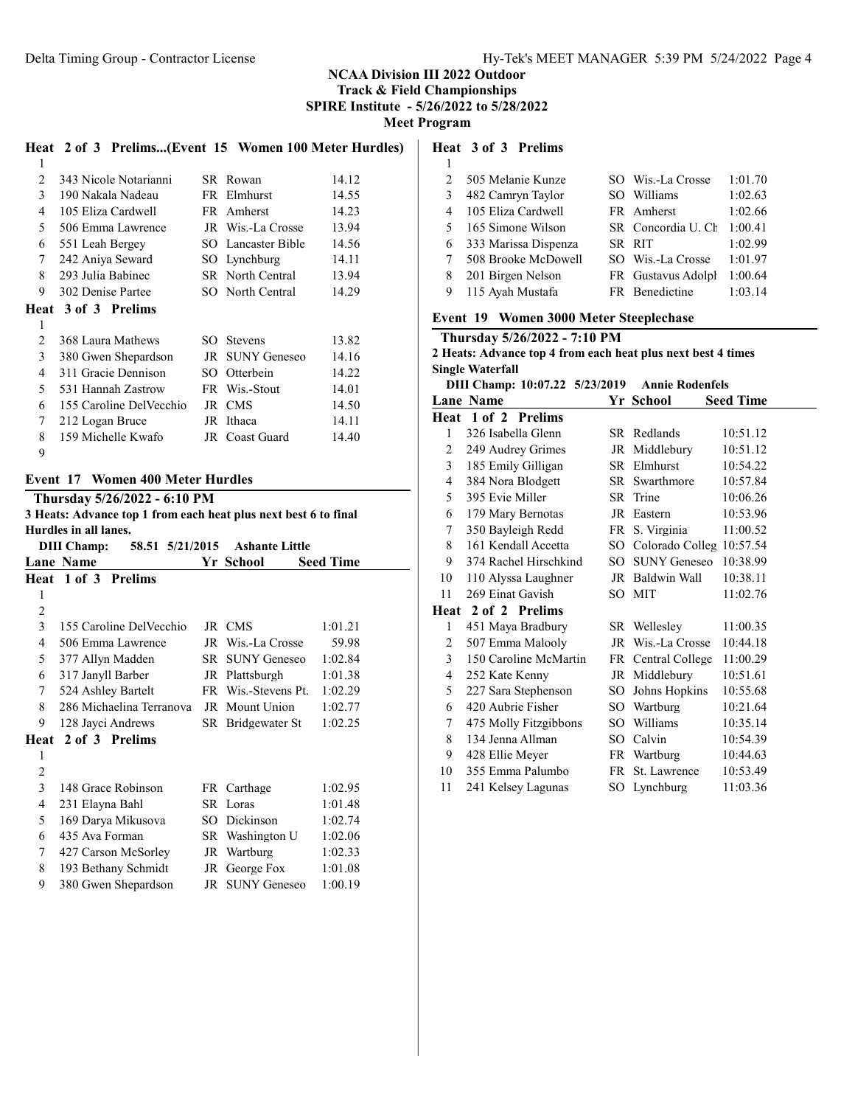SPIRE Institute - 5/26/2022 to 5/28/2022

Meet Program

|   | Heat 2 of 3 Prelims(Event 15 Women 100 Meter Hurdles) |      |                    |       |
|---|-------------------------------------------------------|------|--------------------|-------|
| 1 |                                                       |      |                    |       |
| 2 | 343 Nicole Notarianni                                 |      | SR Rowan           | 14.12 |
| 3 | 190 Nakala Nadeau                                     |      | FR Elmhurst        | 14.55 |
| 4 | 105 Eliza Cardwell                                    |      | FR Amherst         | 14.23 |
| 5 | 506 Emma Lawrence                                     |      | JR Wis.-La Crosse  | 13.94 |
| 6 | 551 Leah Bergey                                       |      | SO Lancaster Bible | 14.56 |
| 7 | 242 Aniya Seward                                      |      | SO Lynchburg       | 14.11 |
| 8 | 293 Julia Babinec                                     |      | SR North Central   | 13.94 |
| 9 | 302 Denise Partee                                     |      | SO North Central   | 14.29 |
|   | Heat 3 of 3 Prelims                                   |      |                    |       |
| 1 |                                                       |      |                    |       |
| 2 | 368 Laura Mathews                                     | SO.  | <b>Stevens</b>     | 13.82 |
| 3 | 380 Gwen Shepardson                                   |      | JR SUNY Geneseo    | 14.16 |
| 4 | 311 Gracie Dennison                                   | SO - | Otterbein          | 14.22 |
| 5 | 531 Hannah Zastrow                                    |      | FR Wis.-Stout      | 14.01 |
| 6 | 155 Caroline DelVecchio                               |      | JR CMS             | 14.50 |
| 7 | 212 Logan Bruce                                       |      | JR Ithaca          | 14.11 |
| 8 | 159 Michelle Kwafo                                    |      | JR Coast Guard     | 14.40 |
| 9 |                                                       |      |                    |       |

#### Event 17 Women 400 Meter Hurdles

Thursday 5/26/2022 - 6:10 PM

3 Heats: Advance top 1 from each heat plus next best 6 to final Hurdles in all lanes.

DIII Champ: 58.51 5/21/2015 Ashante Little Lane Name **Seed Time Seed Time Seed Time** Heat 1 of 3 Prelims  $\mathfrak{D}$  155 Caroline DelVecchio JR CMS 1:01.21 506 Emma Lawrence JR Wis.-La Crosse 59.98 377 Allyn Madden SR SUNY Geneseo 1:02.84 317 Janyll Barber JR Plattsburgh 1:01.38 524 Ashley Bartelt FR Wis.-Stevens Pt. 1:02.29 286 Michaelina Terranova JR Mount Union 1:02.77 128 Jayci Andrews SR Bridgewater St 1:02.25 Heat 2 of 3 Prelims  $\mathfrak{D}$  148 Grace Robinson FR Carthage 1:02.95 231 Elayna Bahl SR Loras 1:01.48 169 Darya Mikusova SO Dickinson 1:02.74 435 Ava Forman SR Washington U 1:02.06 427 Carson McSorley JR Wartburg 1:02.33 8 193 Bethany Schmidt JR George Fox 1:01.08 380 Gwen Shepardson JR SUNY Geneseo 1:00.19

#### Heat 3 of 3 Prelims

| . . | ۰.<br>$\overline{\phantom{a}}$ | - 7<br>I<br>۰. |
|-----|--------------------------------|----------------|
|     |                                |                |
|     |                                |                |
|     |                                |                |
|     |                                |                |

| $\mathcal{L}$  | 505 Melanie Kunze    | SO Wis.-La Crosse  | 1:01.70 |
|----------------|----------------------|--------------------|---------|
| 3              | 482 Camryn Taylor    | SO Williams        | 1:02.63 |
| 4              | 105 Eliza Cardwell   | FR Amherst         | 1:02.66 |
| 5 <sup>7</sup> | 165 Simone Wilson    | SR Concordia U. Ch | 1:00.41 |
| 6              | 333 Marissa Dispenza | SR RIT             | 1:02.99 |
|                | 508 Brooke McDowell  | SO Wis.-La Crosse  | 1:01.97 |
| 8              | 201 Birgen Nelson    | FR Gustavus Adolph | 1:00.64 |
| 9              | 115 Ayah Mustafa     | FR Benedictine     | 1:03.14 |

#### Event 19 Women 3000 Meter Steeplechase

|                                                              | Thursday 5/26/2022 - 7:10 PM                             |     |                             |                  |  |  |  |  |  |
|--------------------------------------------------------------|----------------------------------------------------------|-----|-----------------------------|------------------|--|--|--|--|--|
| 2 Heats: Advance top 4 from each heat plus next best 4 times |                                                          |     |                             |                  |  |  |  |  |  |
| <b>Single Waterfall</b>                                      |                                                          |     |                             |                  |  |  |  |  |  |
|                                                              | DIII Champ: 10:07.22 5/23/2019<br><b>Annie Rodenfels</b> |     |                             |                  |  |  |  |  |  |
|                                                              | <b>Lane Name</b>                                         |     | Yr School                   | <b>Seed Time</b> |  |  |  |  |  |
| Heat                                                         | 1 of 2 Prelims                                           |     |                             |                  |  |  |  |  |  |
| 1                                                            | 326 Isabella Glenn                                       |     | SR Redlands                 | 10:51.12         |  |  |  |  |  |
| 2                                                            | 249 Audrey Grimes                                        |     | JR Middlebury               | 10:51.12         |  |  |  |  |  |
| $\mathfrak{Z}$                                               | 185 Emily Gilligan                                       |     | SR Elmhurst                 | 10:54.22         |  |  |  |  |  |
| 4                                                            | 384 Nora Blodgett                                        |     | SR Swarthmore               | 10:57.84         |  |  |  |  |  |
| 5                                                            | 395 Evie Miller                                          |     | SR Trine                    | 10:06.26         |  |  |  |  |  |
| 6                                                            | 179 Mary Bernotas                                        |     | JR Eastern                  | 10:53.96         |  |  |  |  |  |
| $\tau$                                                       | 350 Bayleigh Redd                                        |     | FR S. Virginia              | 11:00.52         |  |  |  |  |  |
| 8                                                            | 161 Kendall Accetta                                      |     | SO Colorado Colleg 10:57.54 |                  |  |  |  |  |  |
| 9                                                            | 374 Rachel Hirschkind                                    |     | SO SUNY Geneseo             | 10:38.99         |  |  |  |  |  |
| 10                                                           | 110 Alyssa Laughner                                      |     | JR Baldwin Wall             | 10:38.11         |  |  |  |  |  |
| 11                                                           | 269 Einat Gavish                                         |     | SO MIT                      | 11:02.76         |  |  |  |  |  |
|                                                              | Heat 2 of 2 Prelims                                      |     |                             |                  |  |  |  |  |  |
| 1                                                            | 451 Maya Bradbury                                        |     | SR Welleslev                | 11:00.35         |  |  |  |  |  |
| 2                                                            | 507 Emma Malooly                                         |     | JR Wis.-La Crosse           | 10:44.18         |  |  |  |  |  |
| 3                                                            | 150 Caroline McMartin                                    |     | FR Central College          | 11:00.29         |  |  |  |  |  |
| 4                                                            | 252 Kate Kenny                                           |     | JR Middlebury               | 10:51.61         |  |  |  |  |  |
| 5                                                            | 227 Sara Stephenson                                      | SO. | Johns Hopkins               | 10:55.68         |  |  |  |  |  |
| 6                                                            | 420 Aubrie Fisher                                        |     | SO Wartburg                 | 10:21.64         |  |  |  |  |  |
| 7                                                            | 475 Molly Fitzgibbons                                    |     | SO Williams                 | 10:35.14         |  |  |  |  |  |
| 8                                                            | 134 Jenna Allman                                         |     | SO Calvin                   | 10:54.39         |  |  |  |  |  |
| 9                                                            | 428 Ellie Meyer                                          |     | FR Wartburg                 | 10:44.63         |  |  |  |  |  |
| 10                                                           | 355 Emma Palumbo                                         |     | FR St. Lawrence             | 10:53.49         |  |  |  |  |  |
| 11                                                           | 241 Kelsey Lagunas                                       |     | SO Lynchburg                | 11:03.36         |  |  |  |  |  |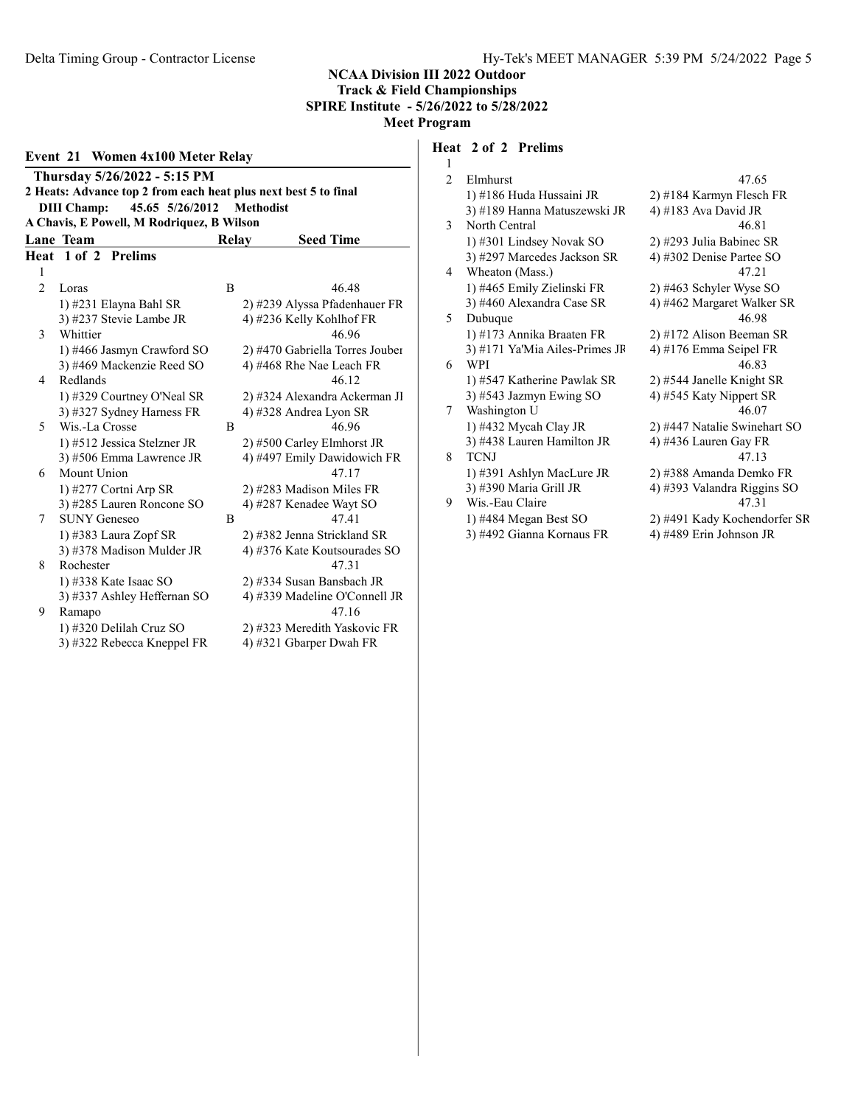| Event 21 Women 4x100 Meter Relay                                |                                           |       |                                 |  |  |  |
|-----------------------------------------------------------------|-------------------------------------------|-------|---------------------------------|--|--|--|
| Thursday 5/26/2022 - 5:15 PM                                    |                                           |       |                                 |  |  |  |
| 2 Heats: Advance top 2 from each heat plus next best 5 to final |                                           |       |                                 |  |  |  |
|                                                                 | 45.65 5/26/2012<br><b>DIII</b> Champ:     |       | <b>Methodist</b>                |  |  |  |
|                                                                 | A Chavis, E Powell, M Rodriquez, B Wilson |       |                                 |  |  |  |
|                                                                 | <b>Lane Team</b>                          | Relay | <b>Seed Time</b>                |  |  |  |
| Heat                                                            | 1 of 2 Prelims                            |       |                                 |  |  |  |
| 1                                                               |                                           |       |                                 |  |  |  |
| $\overline{2}$                                                  | Loras                                     | B     | 46.48                           |  |  |  |
|                                                                 | 1) #231 Elayna Bahl SR                    |       | 2) #239 Alyssa Pfadenhauer FR   |  |  |  |
|                                                                 | 3) #237 Stevie Lambe JR                   |       | 4) #236 Kelly Kohlhof FR        |  |  |  |
| 3                                                               | Whittier                                  |       | 46.96                           |  |  |  |
|                                                                 | 1) #466 Jasmyn Crawford SO                |       | 2) #470 Gabriella Torres Jouber |  |  |  |
|                                                                 | 3) #469 Mackenzie Reed SO                 |       | 4) #468 Rhe Nae Leach FR        |  |  |  |
| 4                                                               | Redlands                                  |       | 46.12                           |  |  |  |
|                                                                 | 1) #329 Courtney O'Neal SR                |       | 2) #324 Alexandra Ackerman Jl   |  |  |  |
|                                                                 | 3) #327 Sydney Harness FR                 |       | 4) #328 Andrea Lyon SR          |  |  |  |
| 5                                                               | Wis.-La Crosse                            | B     | 46.96                           |  |  |  |
|                                                                 | 1) #512 Jessica Stelzner JR               |       | 2) #500 Carley Elmhorst JR      |  |  |  |
|                                                                 | 3) #506 Emma Lawrence JR                  |       | 4) #497 Emily Dawidowich FR     |  |  |  |
| 6                                                               | Mount Union                               |       | 47.17                           |  |  |  |
|                                                                 | 1) #277 Cortni Arp SR                     |       | 2) #283 Madison Miles FR        |  |  |  |
|                                                                 | 3) #285 Lauren Roncone SO                 |       | 4) #287 Kenadee Wayt SO         |  |  |  |
| 7                                                               | <b>SUNY Geneseo</b>                       | B     | 47.41                           |  |  |  |
|                                                                 | 1) #383 Laura Zopf SR                     |       | 2) #382 Jenna Strickland SR     |  |  |  |
|                                                                 | 3) #378 Madison Mulder JR                 |       | 4) #376 Kate Koutsourades SO    |  |  |  |
| 8                                                               | Rochester                                 |       | 47.31                           |  |  |  |
|                                                                 | 1) #338 Kate Isaac SO                     |       | 2) #334 Susan Bansbach JR       |  |  |  |
|                                                                 | 3) #337 Ashley Heffernan SO               |       | 4) #339 Madeline O'Connell JR   |  |  |  |
| 9                                                               | Ramapo                                    |       | 47.16                           |  |  |  |
|                                                                 | 1) #320 Delilah Cruz SO                   |       | 2) #323 Meredith Yaskovic FR    |  |  |  |
|                                                                 | 3) #322 Rebecca Kneppel FR                |       | 4) #321 Gbarper Dwah FR         |  |  |  |

# Heat 2 of 2 Prelims

| 1              |                                |                              |
|----------------|--------------------------------|------------------------------|
| $\mathfrak{D}$ | Elmhurst                       | 47.65                        |
|                | 1) #186 Huda Hussaini JR       | 2) #184 Karmyn Flesch FR     |
|                | 3) #189 Hanna Matuszewski JR   | 4) #183 Ava David JR         |
| 3              | North Central                  | 46.81                        |
|                | 1) #301 Lindsey Novak SO       | 2) #293 Julia Babinec SR     |
|                | 3) #297 Marcedes Jackson SR    | 4) #302 Denise Partee SO     |
| 4              | Wheaton (Mass.)                | 47.21                        |
|                | 1) #465 Emily Zielinski FR     | 2) #463 Schyler Wyse SO      |
|                | 3) #460 Alexandra Case SR      | 4) #462 Margaret Walker SR   |
| 5              | Dubuque                        | 46.98                        |
|                | 1) #173 Annika Braaten FR      | 2) #172 Alison Beeman SR     |
|                | 3) #171 Ya'Mia Ailes-Primes JF | 4) #176 Emma Seipel FR       |
| 6              | <b>WPI</b>                     | 46.83                        |
|                | 1) #547 Katherine Pawlak SR    | 2) #544 Janelle Knight SR    |
|                | 3) #543 Jazmyn Ewing SO        | 4) #545 Katy Nippert SR      |
| 7              | Washington U                   | 46.07                        |
|                | 1) #432 Mycah Clay JR          | 2) #447 Natalie Swinehart SO |
|                | 3) #438 Lauren Hamilton JR     | 4) #436 Lauren Gay FR        |
| 8              | <b>TCNJ</b>                    | 47.13                        |
|                | 1) #391 Ashlyn MacLure JR      | 2) #388 Amanda Demko FR      |
|                | 3) #390 Maria Grill JR         | 4) #393 Valandra Riggins SO  |
| 9              | Wis.-Eau Claire                | 47.31                        |
|                | 1) #484 Megan Best SO          | 2) #491 Kady Kochendorfer SR |
|                | 3) #492 Gianna Kornaus FR      | 4) #489 Erin Johnson JR      |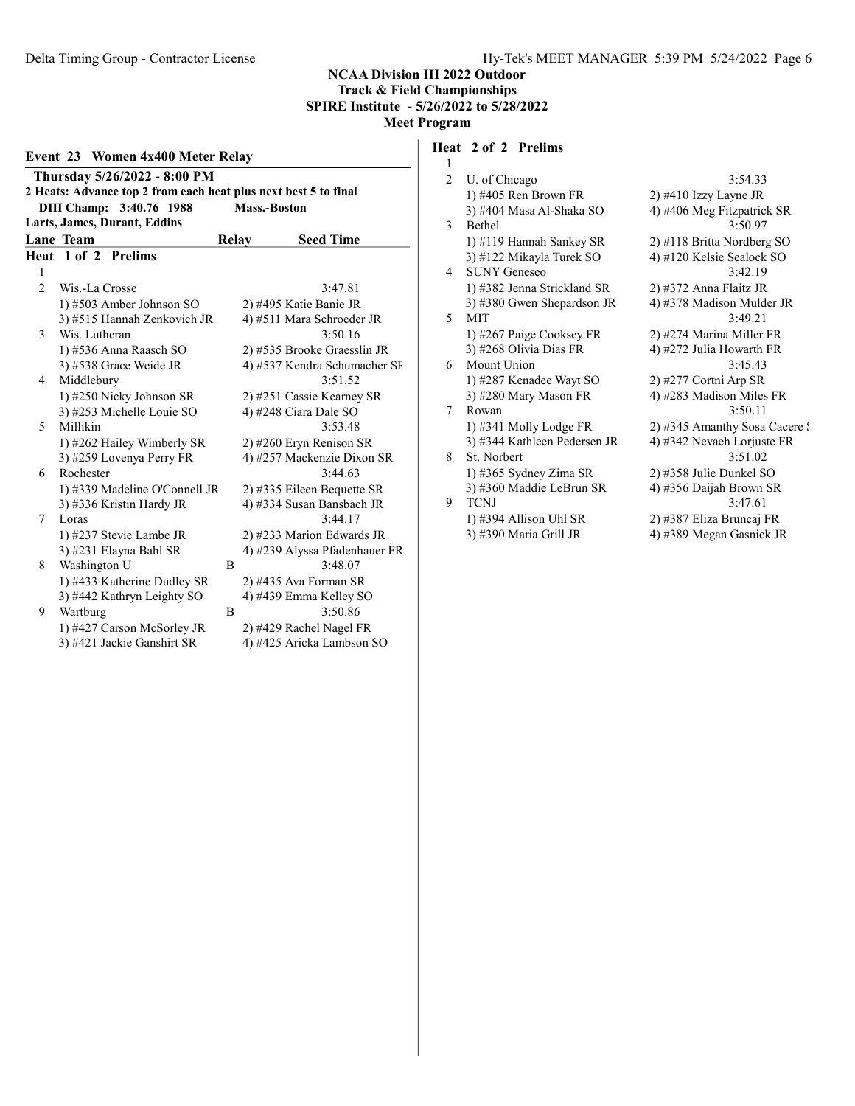#### Event 23 Women 4x400 Meter Relay Thursday 5/26/2022 - 8:00 PM 2 Heats: Advance top 2 from each heat plus next best 5 to final DIII Champ: 3:40.76 1988 Mass.-Boston Larts, James, Durant, Eddins Lane Team Relay Seed Time Heat 1 of 2 Prelims 1 2 Wis.-La Crosse 3:47.81 1) #503 Amber Johnson SO 2) #495 Katie Banie JR 3) #515 Hannah Zenkovich JR  $4$ ) #511 Mara Schroeder JR 3 Wis. Lutheran 3:50.16 1) #536 Anna Raasch SO 2) #535 Brooke Graesslin JR 3) #538 Grace Weide JR 4) #537 Kendra Schumacher SF 4 Middlebury 3:51.52 1) #250 Nicky Johnson SR 2) #251 Cassie Kearney SR 3) #253 Michelle Louie SO 4) #248 Ciara Dale SO 5 Millikin 3:53.48 1) #262 Hailey Wimberly SR 2) #260 Eryn Renison SR 3) #259 Lovenya Perry FR 4) #257 Mackenzie Dixon SR 6 Rochester 3:44.63 1) #339 Madeline O'Connell JR 2) #335 Eileen Bequette SR 3) #336 Kristin Hardy JR 4) #334 Susan Bansbach JR 7 Loras 3:44.17 1) #237 Stevie Lambe JR 2) #233 Marion Edwards JR 3) #231 Elayna Bahl SR 4) #239 Alyssa Pfadenhauer FR 8 Washington U B 3:48.07 1) #433 Katherine Dudley SR 2) #435 Ava Forman SR 3) #442 Kathryn Leighty SO 4) #439 Emma Kelley SO 9 Wartburg B 3:50.86 1) #427 Carson McSorley JR 2) #429 Rachel Nagel FR

# 3) #421 Jackie Ganshirt SR 4) #425 Aricka Lambson SO

## Heat 2 of 2 Prelims

| 1  |                              |                               |
|----|------------------------------|-------------------------------|
| 2  | U. of Chicago                | 3:54.33                       |
|    | $1)$ #405 Ren Brown FR       | $2)$ #410 Izzy Layne JR       |
|    | 3) #404 Masa Al-Shaka SO     | 4) #406 Meg Fitzpatrick SR    |
| 3. | <b>Bethel</b>                | 3:50.97                       |
|    | 1) #119 Hannah Sankey SR     | 2) #118 Britta Nordberg SO    |
|    | 3) #122 Mikayla Turek SO     | 4) #120 Kelsie Sealock SO     |
| 4  | <b>SUNY Geneseo</b>          | 3:42.19                       |
|    | 1) #382 Jenna Strickland SR  | 2) #372 Anna Flaitz JR        |
|    | 3) #380 Gwen Shepardson JR   | 4) #378 Madison Mulder JR     |
| 5  | <b>MIT</b>                   | 3:49.21                       |
|    | 1) #267 Paige Cooksey FR     | 2) #274 Marina Miller FR      |
|    | 3) #268 Olivia Dias FR       | 4) #272 Julia Howarth FR      |
| 6  | Mount Union                  | 3:45.43                       |
|    | 1) #287 Kenadee Wayt SO      | $2)$ #277 Cortni Arp SR       |
|    | 3) #280 Mary Mason FR        | 4) #283 Madison Miles FR      |
| 7  | Rowan                        | 3:50.11                       |
|    | 1) #341 Molly Lodge FR       | 2) #345 Amanthy Sosa Cacere ? |
|    | 3) #344 Kathleen Pedersen JR | 4) #342 Nevaeh Lorjuste FR    |
| 8  | St. Norbert                  | 3:51.02                       |
|    | 1) #365 Sydney Zima SR       | 2) #358 Julie Dunkel SO       |
|    | 3) #360 Maddie LeBrun SR     | 4) #356 Daijah Brown SR       |
| 9  | <b>TCNJ</b>                  | 3:47.61                       |
|    | 1) #394 Allison Uhl SR       | 2) #387 Eliza Bruncaj FR      |
|    | 3) #390 Maria Grill JR       | 4) #389 Megan Gasnick JR      |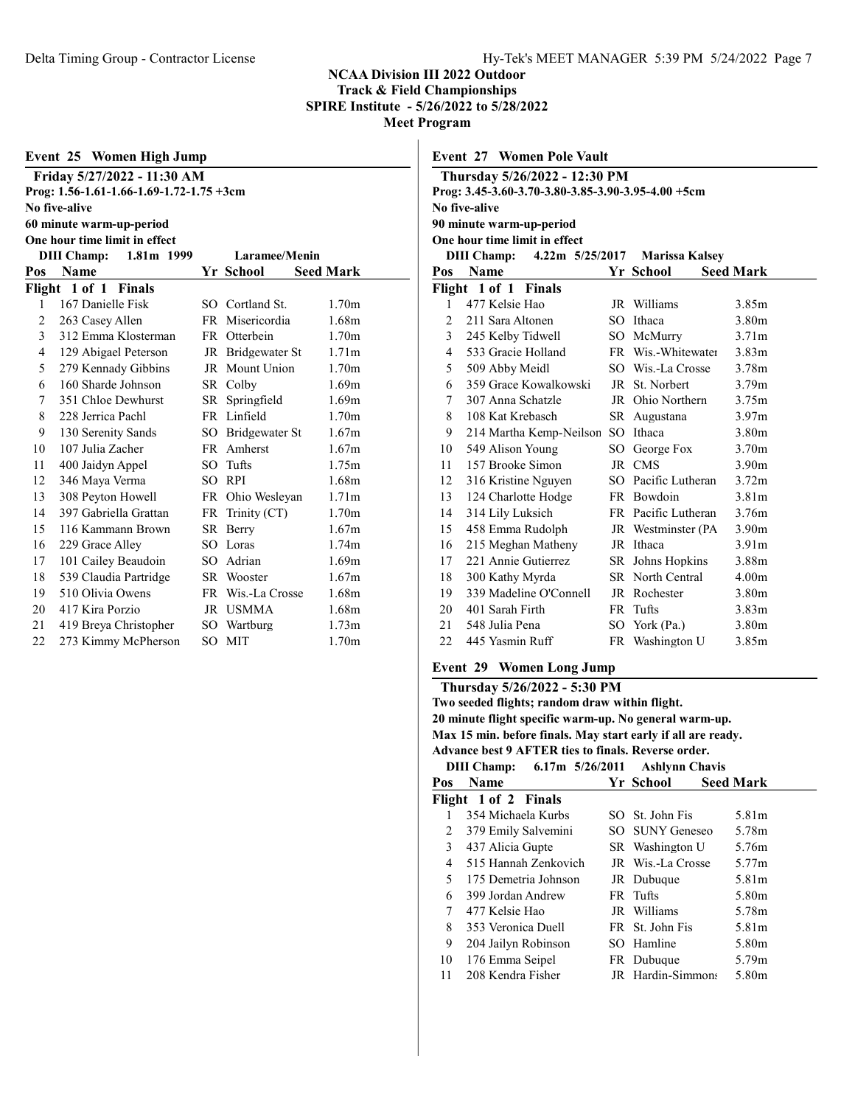| Event 25 Women High Jump |                                          |      |                   |                   |  |  |
|--------------------------|------------------------------------------|------|-------------------|-------------------|--|--|
|                          | Friday 5/27/2022 - 11:30 AM              |      |                   |                   |  |  |
|                          | Prog: 1.56-1.61-1.66-1.69-1.72-1.75 +3cm |      |                   |                   |  |  |
|                          | No five-alive                            |      |                   |                   |  |  |
|                          | 60 minute warm-up-period                 |      |                   |                   |  |  |
|                          | One hour time limit in effect            |      |                   |                   |  |  |
|                          | <b>DIII Champ:</b><br>1.81m 1999         |      | Laramee/Menin     |                   |  |  |
| Pos                      | Name                                     |      | Yr School         | Seed Mark         |  |  |
|                          | Flight 1 of 1 Finals                     |      |                   |                   |  |  |
| 1                        | 167 Danielle Fisk                        |      | SO Cortland St.   | 1.70m             |  |  |
| 2                        | 263 Casey Allen                          |      | FR Misericordia   | 1.68m             |  |  |
| $\mathfrak{Z}$           | 312 Emma Klosterman                      |      | FR Otterbein      | 1.70 <sub>m</sub> |  |  |
| 4                        | 129 Abigael Peterson                     |      | JR Bridgewater St | 1.71 <sub>m</sub> |  |  |
| 5                        | 279 Kennady Gibbins                      |      | JR Mount Union    | 1.70m             |  |  |
| 6                        | 160 Sharde Johnson                       |      | SR Colby          | 1.69m             |  |  |
| 7                        | 351 Chloe Dewhurst                       | SR - | Springfield       | 1.69m             |  |  |
| 8                        | 228 Jerrica Pachl                        |      | FR Linfield       | 1.70 <sub>m</sub> |  |  |
| 9                        | 130 Serenity Sands                       |      | SO Bridgewater St | 1.67m             |  |  |
| 10                       | 107 Julia Zacher                         | FR - | Amherst           | 1.67m             |  |  |
| 11                       | 400 Jaidyn Appel                         | SO.  | Tufts             | 1.75m             |  |  |
| 12                       | 346 Maya Verma                           | SО   | <b>RPI</b>        | 1.68m             |  |  |
| 13                       | 308 Peyton Howell                        | FR   | Ohio Wesleyan     | 1.71m             |  |  |

 397 Gabriella Grattan FR Trinity (CT) 1.70m 116 Kammann Brown SR Berry 1.67m 16 229 Grace Alley SO Loras 1.74m 17 101 Cailey Beaudoin SO Adrian 1.69m 539 Claudia Partridge SR Wooster 1.67m 510 Olivia Owens FR Wis.-La Crosse 1.68m 417 Kira Porzio JR USMMA 1.68m 419 Breya Christopher SO Wartburg 1.73m 22 273 Kimmy McPherson SO MIT 1.70m

|                | <b>Event 27 Women Pole Vault</b>                   |     |                         |                   |  |
|----------------|----------------------------------------------------|-----|-------------------------|-------------------|--|
|                | Thursday 5/26/2022 - 12:30 PM                      |     |                         |                   |  |
|                | Prog: 3.45-3.60-3.70-3.80-3.85-3.90-3.95-4.00 +5cm |     |                         |                   |  |
|                | No five-alive                                      |     |                         |                   |  |
|                | 90 minute warm-up-period                           |     |                         |                   |  |
|                | One hour time limit in effect                      |     |                         |                   |  |
|                | <b>DIII Champ:</b><br>$4.22m$ 5/25/2017            |     | <b>Marissa Kalsey</b>   |                   |  |
| Pos            | <b>Name</b>                                        |     | Yr School               | <b>Seed Mark</b>  |  |
|                | Flight 1 of 1 Finals                               |     |                         |                   |  |
| 1              | 477 Kelsie Hao                                     |     | JR Williams             | 3.85m             |  |
| 2              | 211 Sara Altonen                                   |     | SO Ithaca               | 3.80m             |  |
| $\overline{3}$ | 245 Kelby Tidwell                                  |     | SO McMurry              | 3.71m             |  |
| 4              | 533 Gracie Holland                                 |     | FR Wis.-Whitewater      | 3.83 <sub>m</sub> |  |
| 5              | 509 Abby Meidl                                     |     | SO Wis.-La Crosse       | 3.78m             |  |
| 6              | 359 Grace Kowalkowski                              |     | JR St. Norbert          | 3.79 <sub>m</sub> |  |
| 7              | 307 Anna Schatzle                                  |     | JR Ohio Northern        | 3.75m             |  |
| 8              | 108 Kat Krebasch                                   |     | SR Augustana            | 3.97 <sub>m</sub> |  |
| 9              | 214 Martha Kemp-Neilson                            | SO. | Ithaca                  | 3.80m             |  |
| 10             | 549 Alison Young                                   |     | SO George Fox           | 3.70 <sub>m</sub> |  |
| 11             | 157 Brooke Simon                                   |     | JR CMS                  | 3.90m             |  |
| 12             | 316 Kristine Nguyen                                |     | SO Pacific Lutheran     | 3.72 <sub>m</sub> |  |
| 13             | 124 Charlotte Hodge                                |     | FR Bowdoin              | 3.81 <sub>m</sub> |  |
| 14             | 314 Lily Luksich                                   |     | FR Pacific Lutheran     | 3.76m             |  |
| 15             | 458 Emma Rudolph                                   |     | JR Westminster (PA      | 3.90 <sub>m</sub> |  |
| 16             | 215 Meghan Matheny                                 |     | JR Ithaca               | 3.91 <sub>m</sub> |  |
| 17             | 221 Annie Gutierrez                                |     | SR Johns Hopkins        | 3.88m             |  |
| 18             | 300 Kathy Myrda                                    |     | <b>SR</b> North Central | 4.00 <sub>m</sub> |  |
| 19             | 339 Madeline O'Connell                             |     | JR Rochester            | 3.80 <sub>m</sub> |  |
| 20             | 401 Sarah Firth                                    |     | FR Tufts                | 3.83m             |  |
| 21             | 548 Julia Pena                                     | SO  | York (Pa.)              | 3.80m             |  |
| 22             | 445 Yasmin Ruff                                    |     | FR Washington U         | 3.85m             |  |

# Event 29 Women Long Jump

# Thursday 5/26/2022 - 5:30 PM

Two seeded flights; random draw within flight. 20 minute flight specific warm-up. No general warm-up. Max 15 min. before finals. May start early if all are ready. Advance best 9 AFTER ties to finals. Reverse order. DIII Champ: 6.17m 5/26/2011 Ashlynn Chavis

| Name                 |                      |           |                                                                                                                                                                                         |
|----------------------|----------------------|-----------|-----------------------------------------------------------------------------------------------------------------------------------------------------------------------------------------|
|                      |                      | Yr School | <b>Seed Mark</b>                                                                                                                                                                        |
|                      |                      |           |                                                                                                                                                                                         |
| 354 Michaela Kurbs   |                      |           | 5.81m                                                                                                                                                                                   |
| 379 Emily Salvemini  |                      |           | 5.78m                                                                                                                                                                                   |
| 437 Alicia Gupte     |                      |           | 5.76m                                                                                                                                                                                   |
| 515 Hannah Zenkovich |                      |           | 5.77m                                                                                                                                                                                   |
| 175 Demetria Johnson |                      |           | 5.81m                                                                                                                                                                                   |
| 399 Jordan Andrew    |                      |           | 5.80m                                                                                                                                                                                   |
| 477 Kelsie Hao       |                      |           | 5.78m                                                                                                                                                                                   |
| 353 Veronica Duell   |                      |           | 5.81m                                                                                                                                                                                   |
| 204 Jailyn Robinson  |                      |           | 5.80 <sub>m</sub>                                                                                                                                                                       |
| 176 Emma Seipel      |                      |           | 5.79m                                                                                                                                                                                   |
| 208 Kendra Fisher    |                      |           | 5.80m                                                                                                                                                                                   |
|                      | Flight 1 of 2 Finals |           | SO St. John Fis<br>SO SUNY Geneseo<br>SR Washington U<br>JR Wis.-La Crosse<br>JR Dubuque<br>FR Tufts<br>JR Williams<br>FR St. John Fis<br>SO Hamline<br>FR Dubuque<br>JR Hardin-Simmons |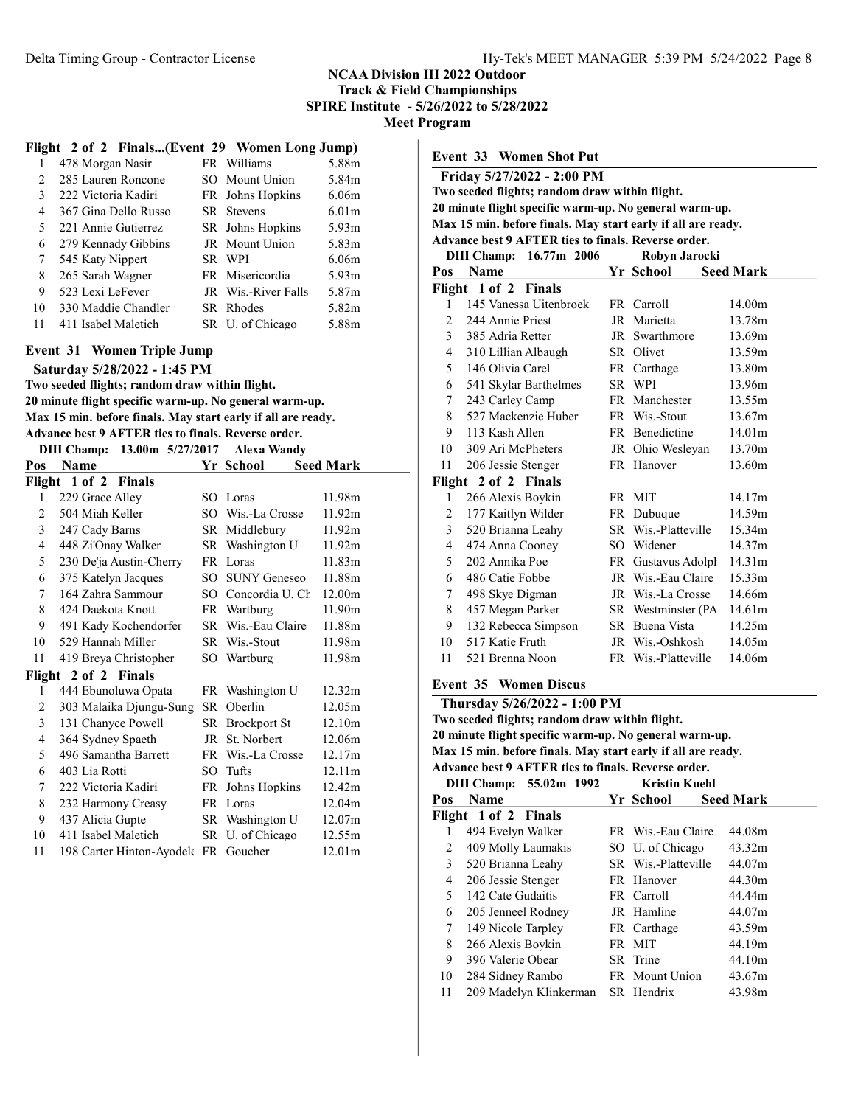# NCAA Division III 2022 Outdoor

Track & Field Championships SPIRE Institute - 5/26/2022 to 5/28/2022

Meet Program

#### Flight 2 of 2 Finals...(Event 29 Women Long Jump)

|                | 478 Morgan Nasir     | FR Williams         | 5.88m             |
|----------------|----------------------|---------------------|-------------------|
| $\mathfrak{D}$ | 285 Lauren Roncone   | SO Mount Union      | 5.84m             |
| 3              | 222 Victoria Kadiri  | FR Johns Hopkins    | 6.06 <sub>m</sub> |
| 4              | 367 Gina Dello Russo | SR Stevens          | 6.01 <sub>m</sub> |
| 5              | 221 Annie Gutierrez  | SR Johns Hopkins    | 5.93 <sub>m</sub> |
| 6              | 279 Kennady Gibbins  | JR Mount Union      | 5.83m             |
| 7              | 545 Katy Nippert     | SR WPI              | 6.06m             |
| 8              | 265 Sarah Wagner     | FR Misericordia     | 5.93 <sub>m</sub> |
| 9              | 523 Lexi LeFever     | JR Wis.-River Falls | 5.87m             |
| 10             | 330 Maddie Chandler  | SR Rhodes           | 5.82m             |
| 11             | 411 Isabel Maletich  | SR U. of Chicago    | 5.88m             |
|                |                      |                     |                   |

#### Event 31 Women Triple Jump

Saturday 5/28/2022 - 1:45 PM Two seeded flights; random draw within flight. 20 minute flight specific warm-up. No general warm-up.

Max 15 min. before finals. May start early if all are ready. Advance best 9 AFTER ties to finals. Reverse order.

|  | DIII Champ: 13.00m 5/27/2017 Alexa Wandy |
|--|------------------------------------------|
|  |                                          |

|     |                                     |        | $1000 \text{ m}$ $0.411 \text{ s}$ |                  |
|-----|-------------------------------------|--------|------------------------------------|------------------|
| Pos | Name                                |        | Yr School                          | <b>Seed Mark</b> |
|     | Flight 1 of 2 Finals                |        |                                    |                  |
| 1   | 229 Grace Alley                     |        | SO Loras                           | 11.98m           |
| 2   | 504 Miah Keller                     |        | SO Wis.-La Crosse                  | 11.92m           |
| 3   | 247 Cady Barns                      |        | SR Middlebury                      | 11.92m           |
| 4   | 448 Zi'Onay Walker                  |        | SR Washington U                    | 11.92m           |
| 5   | 230 De'ja Austin-Cherry             |        | FR Loras                           | 11.83m           |
| 6   | 375 Katelyn Jacques                 | $SO^-$ | <b>SUNY Geneseo</b>                | 11.88m           |
| 7   | 164 Zahra Sammour                   |        | SO Concordia U. Ch                 | 12.00m           |
| 8   | 424 Daekota Knott                   |        | FR Wartburg                        | 11.90m           |
| 9   | 491 Kady Kochendorfer               |        | SR Wis.-Eau Claire                 | 11.88m           |
| 10  | 529 Hannah Miller                   |        | SR Wis.-Stout                      | 11.98m           |
| 11  | 419 Breya Christopher               |        | SO Wartburg                        | 11.98m           |
|     | Flight 2 of 2 Finals                |        |                                    |                  |
| 1   | 444 Ebunoluwa Opata                 |        | FR Washington U                    | 12.32m           |
| 2   | 303 Malaika Djungu-Sung             | SR.    | Oberlin                            | 12.05m           |
| 3   | 131 Chanyce Powell                  |        | SR Brockport St                    | 12.10m           |
| 4   | 364 Sydney Spaeth                   | JR     | St. Norbert                        | 12.06m           |
| 5   | 496 Samantha Barrett                |        | FR Wis.-La Crosse                  | 12.17m           |
| 6   | 403 Lia Rotti                       | SО     | Tufts                              | 12.11m           |
| 7   | 222 Victoria Kadiri                 |        | FR Johns Hopkins                   | 12.42m           |
| 8   | 232 Harmony Creasy                  |        | FR Loras                           | 12.04m           |
| 9   | 437 Alicia Gupte                    |        | SR Washington U                    | 12.07m           |
| 10  | 411 Isabel Maletich                 |        | SR U. of Chicago                   | 12.55m           |
| 11  | 198 Carter Hinton-Ayodel FR Goucher |        |                                    | 12.01m           |

Event 33 Women Shot Put Friday 5/27/2022 - 2:00 PM Two seeded flights; random draw within flight. 20 minute flight specific warm-up. No general warm-up. Max 15 min. before finals. May start early if all are ready. Advance best 9 AFTER ties to finals. Reverse order. DIII Champ: 16.77m 2006 Robyn Jarocki Pos Name Yr School Seed Mark Flight 1 of 2 Finals 145 Vanessa Uitenbroek FR Carroll 14.00m 244 Annie Priest JR Marietta 13.78m 385 Adria Retter JR Swarthmore 13.69m 310 Lillian Albaugh SR Olivet 13.59m 5 146 Olivia Carel FR Carthage 13.80m 541 Skylar Barthelmes SR WPI 13.96m 243 Carley Camp FR Manchester 13.55m 527 Mackenzie Huber FR Wis.-Stout 13.67m 113 Kash Allen FR Benedictine 14.01m 309 Ari McPheters JR Ohio Wesleyan 13.70m 206 Jessie Stenger FR Hanover 13.60m Flight 2 of 2 Finals 266 Alexis Boykin FR MIT 14.17m 177 Kaitlyn Wilder FR Dubuque 14.59m 520 Brianna Leahy SR Wis.-Platteville 15.34m 474 Anna Cooney SO Widener 14.37m 202 Annika Poe FR Gustavus Adolph. 14.31m 486 Catie Fobbe JR Wis.-Eau Claire 15.33m 498 Skye Digman JR Wis.-La Crosse 14.66m 8 457 Megan Parker SR Westminster (PA 14.61m) 132 Rebecca Simpson SR Buena Vista 14.25m 517 Katie Fruth JR Wis.-Oshkosh 14.05m 521 Brenna Noon FR Wis.-Platteville 14.06m

## Event 35 Women Discus

| Thursday 5/26/2022 - 1:00 PM                                 |  |
|--------------------------------------------------------------|--|
| Two seeded flights; random draw within flight.               |  |
| 20 minute flight specific warm-up. No general warm-up.       |  |
| Max 15 min. before finals. May start early if all are ready. |  |
| Advance best 9 AFTER ties to finals. Reverse order.          |  |
| <b>DIII CL.,  55.00 1000.</b> 17.2.42.17.11                  |  |

|     | DIII CHAMP; 33.04M 1994 | KEISUH KUCIH        |                  |
|-----|-------------------------|---------------------|------------------|
| Pos | <b>Name</b>             | Yr School           | <b>Seed Mark</b> |
|     | Flight 1 of 2 Finals    |                     |                  |
|     | 494 Evelyn Walker       | FR Wis.-Eau Claire  | 44.08m           |
| 2   | 409 Molly Laumakis      | SO U. of Chicago    | 43.32m           |
| 3   | 520 Brianna Leahy       | SR Wis.-Platteville | 44.07m           |
| 4   | 206 Jessie Stenger      | FR Hanover          | 44.30m           |
| 5.  | 142 Cate Gudaitis       | FR Carroll          | 44.44m           |
| 6   | 205 Jenneel Rodney      | JR Hamline          | 44.07m           |
| 7   | 149 Nicole Tarpley      | FR Carthage         | 43.59m           |
| 8   | 266 Alexis Boykin       | FR MIT              | 44.19m           |
| 9   | 396 Valerie Obear       | SR Trine            | 44.10m           |
| 10  | 284 Sidney Rambo        | FR Mount Union      | 43.67m           |
| 11  | 209 Madelyn Klinkerman  | SR Hendrix          | 43.98m           |
|     |                         |                     |                  |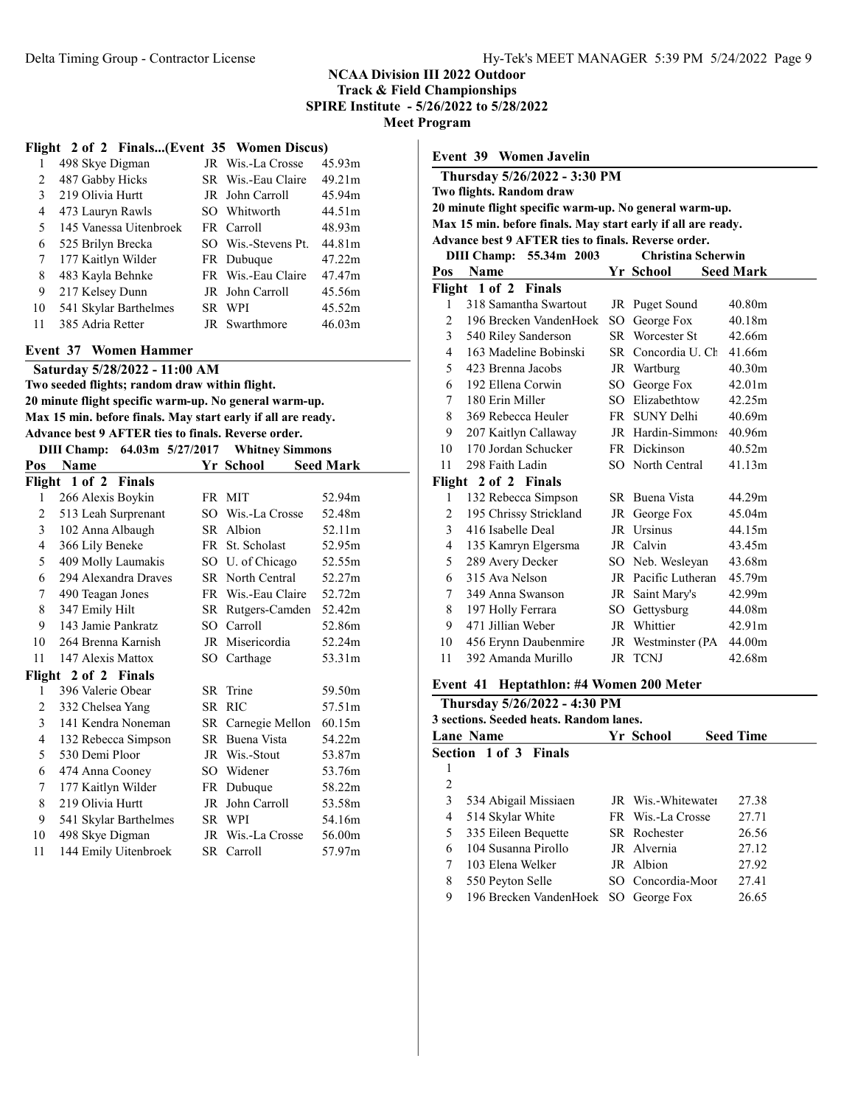SPIRE Institute - 5/26/2022 to 5/28/2022

Meet Program

#### Flight 2 of 2 Finals...(Event 35 Women Discus)

|    | 498 Skye Digman        | JR Wis.-La Crosse   | 45.93m |  |
|----|------------------------|---------------------|--------|--|
| 2  | 487 Gabby Hicks        | SR Wis.-Eau Claire  | 49.21m |  |
| 3  | 219 Olivia Hurtt       | JR John Carroll     | 45.94m |  |
| 4  | 473 Lauryn Rawls       | SO Whitworth        | 44.51m |  |
| 5  | 145 Vanessa Uitenbroek | FR Carroll          | 48.93m |  |
| 6  | 525 Brilyn Brecka      | SO Wis.-Stevens Pt. | 44.81m |  |
| 7  | 177 Kaitlyn Wilder     | FR Dubuque          | 47.22m |  |
| 8  | 483 Kayla Behnke       | FR Wis.-Eau Claire  | 47.47m |  |
| 9  | 217 Kelsey Dunn        | JR John Carroll     | 45.56m |  |
| 10 | 541 Skylar Barthelmes  | SR WPI              | 45.52m |  |
| 11 | 385 Adria Retter       | JR Swarthmore       | 46.03m |  |
|    |                        |                     |        |  |

#### Event 37 Women Hammer

Saturday 5/28/2022 - 11:00 AM

Two seeded flights; random draw within flight. 20 minute flight specific warm-up. No general warm-up. Max 15 min. before finals. May start early if all are ready.

| Advance best 9 AFTER ties to finals. Reverse order.     |  |                                      |
|---------------------------------------------------------|--|--------------------------------------|
| $\text{DIII}$ Champs $(4.03 \text{ m} \cdot 5/27/2017)$ |  | $\mathbf{W}$ kituar $\mathbf{C}$ imu |

| DIII Champ:<br>$64.03m$ $5/27/2017$ Whitney Simmons |                       |     |                    |                  |
|-----------------------------------------------------|-----------------------|-----|--------------------|------------------|
| Pos                                                 | Name                  |     | Yr School          | <b>Seed Mark</b> |
|                                                     | Flight 1 of 2 Finals  |     |                    |                  |
| 1                                                   | 266 Alexis Boykin     |     | FR MIT             | 52.94m           |
| $\overline{2}$                                      | 513 Leah Surprenant   |     | SO Wis.-La Crosse  | 52.48m           |
| 3                                                   | 102 Anna Albaugh      |     | SR Albion          | 52.11m           |
| 4                                                   | 366 Lily Beneke       |     | FR St. Scholast    | 52.95m           |
| 5                                                   | 409 Molly Laumakis    |     | SO U. of Chicago   | 52.55m           |
| 6                                                   | 294 Alexandra Draves  |     | SR North Central   | 52.27m           |
| 7                                                   | 490 Teagan Jones      |     | FR Wis.-Eau Claire | 52.72m           |
| 8                                                   | 347 Emily Hilt        |     | SR Rutgers-Camden  | 52.42m           |
| 9                                                   | 143 Jamie Pankratz    |     | SO Carroll         | 52.86m           |
| 10                                                  | 264 Brenna Karnish    |     | JR Misericordia    | 52.24m           |
| 11                                                  | 147 Alexis Mattox     |     | SO Carthage        | 53.31m           |
|                                                     | Flight 2 of 2 Finals  |     |                    |                  |
| 1                                                   | 396 Valerie Obear     |     | SR Trine           | 59.50m           |
| 2                                                   | 332 Chelsea Yang      | SR. | <b>RIC</b>         | 57.51m           |
| 3                                                   | 141 Kendra Noneman    |     | SR Carnegie Mellon | 60.15m           |
| 4                                                   | 132 Rebecca Simpson   |     | SR Buena Vista     | 54.22m           |
| 5                                                   | 530 Demi Ploor        |     | JR Wis.-Stout      | 53.87m           |
| 6                                                   | 474 Anna Cooney       | SO  | Widener            | 53.76m           |
| 7                                                   | 177 Kaitlyn Wilder    |     | FR Dubuque         | 58.22m           |
| 8                                                   | 219 Olivia Hurtt      | JR  | John Carroll       | 53.58m           |
| 9                                                   | 541 Skylar Barthelmes |     | SR WPI             | 54.16m           |
| 10                                                  | 498 Skye Digman       |     | JR Wis.-La Crosse  | 56.00m           |
| 11                                                  | 144 Emily Uitenbroek  |     | SR Carroll         | 57.97m           |
|                                                     |                       |     |                    |                  |

|                | <b>Event 39 Women Javelin</b>                                |    |                        |                  |
|----------------|--------------------------------------------------------------|----|------------------------|------------------|
|                | Thursday 5/26/2022 - 3:30 PM                                 |    |                        |                  |
|                | Two flights. Random draw                                     |    |                        |                  |
|                | 20 minute flight specific warm-up. No general warm-up.       |    |                        |                  |
|                | Max 15 min. before finals. May start early if all are ready. |    |                        |                  |
|                | <b>Advance best 9 AFTER ties to finals. Reverse order.</b>   |    |                        |                  |
|                | <b>DIII Champ:</b><br>55.34m 2003                            |    | Christina Scherwin     |                  |
| Pos            | <b>Name</b>                                                  |    | Yr School              | <b>Seed Mark</b> |
| Flight         | 1 of 2 Finals                                                |    |                        |                  |
| 1              | 318 Samantha Swartout                                        |    | JR Puget Sound         | 40.80m           |
| $\overline{2}$ | 196 Brecken VandenHoek                                       |    | SO George Fox          | 40.18m           |
| 3              | 540 Riley Sanderson                                          |    | <b>SR</b> Worcester St | 42.66m           |
| $\overline{4}$ | 163 Madeline Bobinski                                        |    | SR Concordia U. Ch     | 41.66m           |
| 5              | 423 Brenna Jacobs                                            |    | JR Wartburg            | 40.30m           |
| 6              | 192 Ellena Corwin                                            |    | SO George Fox          | 42.01m           |
| 7              | 180 Erin Miller                                              |    | SO Elizabethtow        | 42.25m           |
| 8              | 369 Rebecca Heuler                                           |    | FR SUNY Delhi          | 40.69m           |
| 9              | 207 Kaitlyn Callaway                                         |    | JR Hardin-Simmons      | 40.96m           |
| 10             | 170 Jordan Schucker                                          |    | FR Dickinson           | 40.52m           |
| 11             | 298 Faith Ladin                                              |    | SO North Central       | 41.13m           |
|                | Flight 2 of 2 Finals                                         |    |                        |                  |
| 1              | 132 Rebecca Simpson                                          |    | SR Buena Vista         | 44.29m           |
| 2              | 195 Chrissy Strickland                                       |    | JR George Fox          | 45.04m           |
| 3              | 416 Isabelle Deal                                            |    | JR Ursinus             | 44.15m           |
| 4              | 135 Kamryn Elgersma                                          |    | JR Calvin              | 43.45m           |
| 5              | 289 Avery Decker                                             |    | SO Neb. Wesleyan       | 43.68m           |
| 6              | 315 Ava Nelson                                               |    | JR Pacific Lutheran    | 45.79m           |
| 7              | 349 Anna Swanson                                             |    | JR Saint Mary's        | 42.99m           |
| 8              | 197 Holly Ferrara                                            |    | SO Gettysburg          | 44.08m           |
| 9              | 471 Jillian Weber                                            |    | JR Whittier            | 42.91m           |
| 10             | 456 Erynn Daubenmire                                         |    | JR Westminster (PA     | 44.00m           |
| 11             | 392 Amanda Murillo                                           | JR | <b>TCNJ</b>            | 42.68m           |

#### Event 41 Heptathlon: #4 Women 200 Meter

| Thursday 5/26/2022 - 4:30 PM<br>3 sections. Seeded heats. Random lanes. |                                      |  |                    |  |                  |  |
|-------------------------------------------------------------------------|--------------------------------------|--|--------------------|--|------------------|--|
|                                                                         | Lane Name                            |  | Yr School          |  | <b>Seed Time</b> |  |
|                                                                         | Section 1 of 3 Finals                |  |                    |  |                  |  |
| 1                                                                       |                                      |  |                    |  |                  |  |
| 2                                                                       |                                      |  |                    |  |                  |  |
| 3                                                                       | 534 Abigail Missiaen                 |  | JR Wis.-Whitewater |  | 27.38            |  |
| 4                                                                       | 514 Skylar White                     |  | FR Wis.-La Crosse  |  | 27.71            |  |
| 5                                                                       | 335 Eileen Bequette                  |  | SR Rochester       |  | 26.56            |  |
| 6                                                                       | 104 Susanna Pirollo                  |  | JR Alvernia        |  | 27.12            |  |
| 7                                                                       | 103 Elena Welker                     |  | JR Albion          |  | 27.92            |  |
| 8                                                                       | 550 Peyton Selle                     |  | SO Concordia-Moor  |  | 27.41            |  |
| 9                                                                       | 196 Brecken VandenHoek SO George Fox |  |                    |  | 26.65            |  |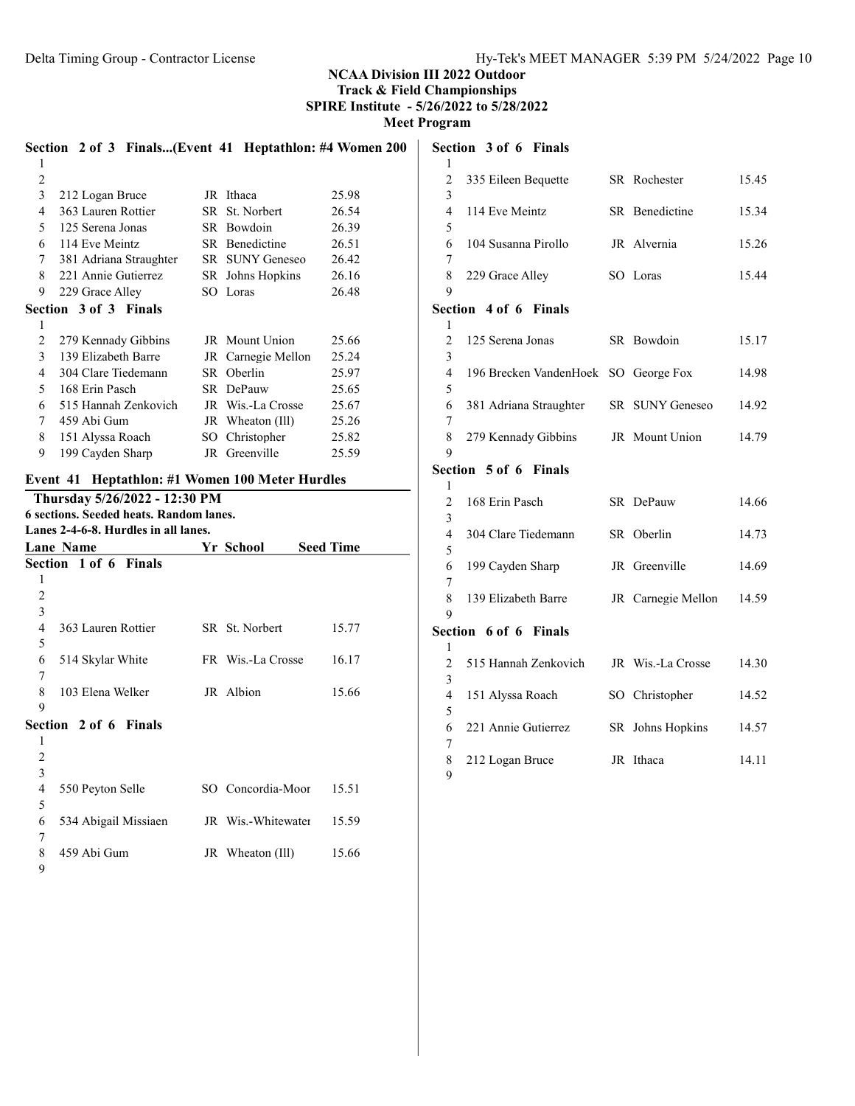Meet Program

Section 3 of 6 Finals

|                     | Section 2 of 3 Finals(Event 41 Heptathlon: #4 Women 200                  |                    |                  | Sec            |
|---------------------|--------------------------------------------------------------------------|--------------------|------------------|----------------|
| 1                   |                                                                          |                    |                  | 1              |
| $\overline{2}$      |                                                                          |                    |                  | $\overline{2}$ |
| 3                   | 212 Logan Bruce                                                          | JR Ithaca          | 25.98            | 3              |
| $\overline{4}$      | 363 Lauren Rottier                                                       | SR St. Norbert     | 26.54            | $\overline{4}$ |
| 5                   | 125 Serena Jonas                                                         | SR Bowdoin         | 26.39            | 5              |
| 6                   | 114 Eve Meintz                                                           | SR Benedictine     | 26.51            | 6              |
| $\tau$              | 381 Adriana Straughter                                                   | SR SUNY Geneseo    | 26.42            | 7              |
| 8                   | 221 Annie Gutierrez                                                      | SR Johns Hopkins   | 26.16            | 8              |
| 9                   | 229 Grace Alley                                                          | SO Loras           | 26.48            | 9              |
|                     | Section 3 of 3 Finals                                                    |                    |                  | Sec            |
| 1                   |                                                                          |                    |                  | 1              |
| $\overline{2}$      | 279 Kennady Gibbins                                                      | JR Mount Union     | 25.66            | $\overline{2}$ |
| 3                   | 139 Elizabeth Barre                                                      | JR Carnegie Mellon | 25.24            | 3              |
| 4                   | 304 Clare Tiedemann                                                      | SR Oberlin         | 25.97            | $\overline{4}$ |
| 5                   | 168 Erin Pasch                                                           | SR DePauw          | 25.65            | 5              |
| 6                   | 515 Hannah Zenkovich                                                     | JR Wis.-La Crosse  | 25.67            | 6              |
| $\tau$              | 459 Abi Gum                                                              | JR Wheaton (Ill)   | 25.26            | 7              |
| 8                   | 151 Alyssa Roach                                                         | SO Christopher     | 25.82            | 8              |
| 9                   | 199 Cayden Sharp                                                         | JR Greenville      | 25.59            | 9              |
|                     |                                                                          |                    |                  | Sec            |
|                     | Event 41 Heptathlon: #1 Women 100 Meter Hurdles                          |                    |                  | 1              |
|                     | Thursday 5/26/2022 - 12:30 PM<br>6 sections. Seeded heats. Random lanes. |                    |                  | $\overline{2}$ |
|                     | Lanes 2-4-6-8. Hurdles in all lanes.                                     |                    |                  | 3              |
|                     | <b>Lane Name</b>                                                         | Yr School          | <b>Seed Time</b> | $\overline{4}$ |
|                     | Section 1 of 6 Finals                                                    |                    |                  | 5              |
| 1                   |                                                                          |                    |                  | 6              |
| $\overline{2}$      |                                                                          |                    |                  | 7              |
| 3                   |                                                                          |                    |                  | 8              |
| 4                   | 363 Lauren Rottier                                                       | SR St. Norbert     | 15.77            | 9              |
| 5                   |                                                                          |                    |                  | Sec            |
| 6                   | 514 Skylar White                                                         | FR Wis.-La Crosse  | 16.17            | 1              |
| 7                   |                                                                          |                    |                  | $\overline{c}$ |
| 8                   |                                                                          | JR Albion          |                  | $\mathfrak{Z}$ |
| 9                   | 103 Elena Welker                                                         |                    | 15.66            | $\overline{4}$ |
|                     | Section 2 of 6 Finals                                                    |                    |                  | 5              |
|                     |                                                                          |                    |                  | 6              |
| 1<br>$\overline{2}$ |                                                                          |                    |                  | 7              |
| 3                   |                                                                          |                    |                  | 8              |
|                     |                                                                          |                    |                  | 9              |
| 4                   | 550 Peyton Selle                                                         | SO Concordia-Moor  | 15.51            |                |
| 5                   |                                                                          |                    |                  |                |
| 6                   | 534 Abigail Missiaen                                                     | JR Wis.-Whitewater | 15.59            |                |
| 7                   |                                                                          |                    |                  |                |

459 Abi Gum JR Wheaton (Ill) 15.66

| 1                   |                                      |      |                    |       |
|---------------------|--------------------------------------|------|--------------------|-------|
| $\overline{c}$      | 335 Eileen Bequette                  |      | SR Rochester       | 15.45 |
| 3<br>$\overline{4}$ | 114 Eve Meintz                       |      | SR Benedictine     | 15.34 |
| 5<br>6              | 104 Susanna Pirollo                  |      | JR Alvernia        | 15.26 |
| 7                   |                                      |      |                    |       |
| 8                   | 229 Grace Alley                      |      | SO Loras           | 15.44 |
| 9                   |                                      |      |                    |       |
|                     | Section 4 of 6 Finals                |      |                    |       |
| 1<br>$\overline{2}$ | 125 Serena Jonas                     |      | SR Bowdoin         | 15.17 |
| 3<br>$\overline{4}$ | 196 Brecken VandenHoek SO George Fox |      |                    | 14.98 |
| 5                   |                                      |      |                    |       |
| 6<br>7              | 381 Adriana Straughter               |      | SR SUNY Geneseo    | 14.92 |
| 8                   | 279 Kennady Gibbins                  |      | JR Mount Union     | 14.79 |
| 9                   |                                      |      |                    |       |
|                     | Section 5 of 6 Finals                |      |                    |       |
| 1                   |                                      |      |                    |       |
| $\overline{c}$      | 168 Erin Pasch                       |      | SR DePauw          | 14.66 |
| 3<br>$\overline{4}$ | 304 Clare Tiedemann                  |      | SR Oberlin         | 14.73 |
| 5                   |                                      |      |                    |       |
| 6                   | 199 Cayden Sharp                     |      | JR Greenville      | 14.69 |
| 7                   |                                      |      |                    |       |
| 8<br>9              | 139 Elizabeth Barre                  |      | JR Carnegie Mellon | 14.59 |
|                     | Section 6 of 6 Finals                |      |                    |       |
| 1                   |                                      |      |                    |       |
| $\overline{c}$      | 515 Hannah Zenkovich                 |      | JR Wis.-La Crosse  | 14.30 |
| 3                   |                                      |      |                    |       |
| $\overline{4}$      | 151 Alyssa Roach                     |      | SO Christopher     | 14.52 |
| 5<br>6              | 221 Annie Gutierrez                  | SR - | Johns Hopkins      | 14.57 |
| 7                   |                                      |      |                    |       |
| 8                   | 212 Logan Bruce                      |      | JR Ithaca          | 14.11 |
| 9                   |                                      |      |                    |       |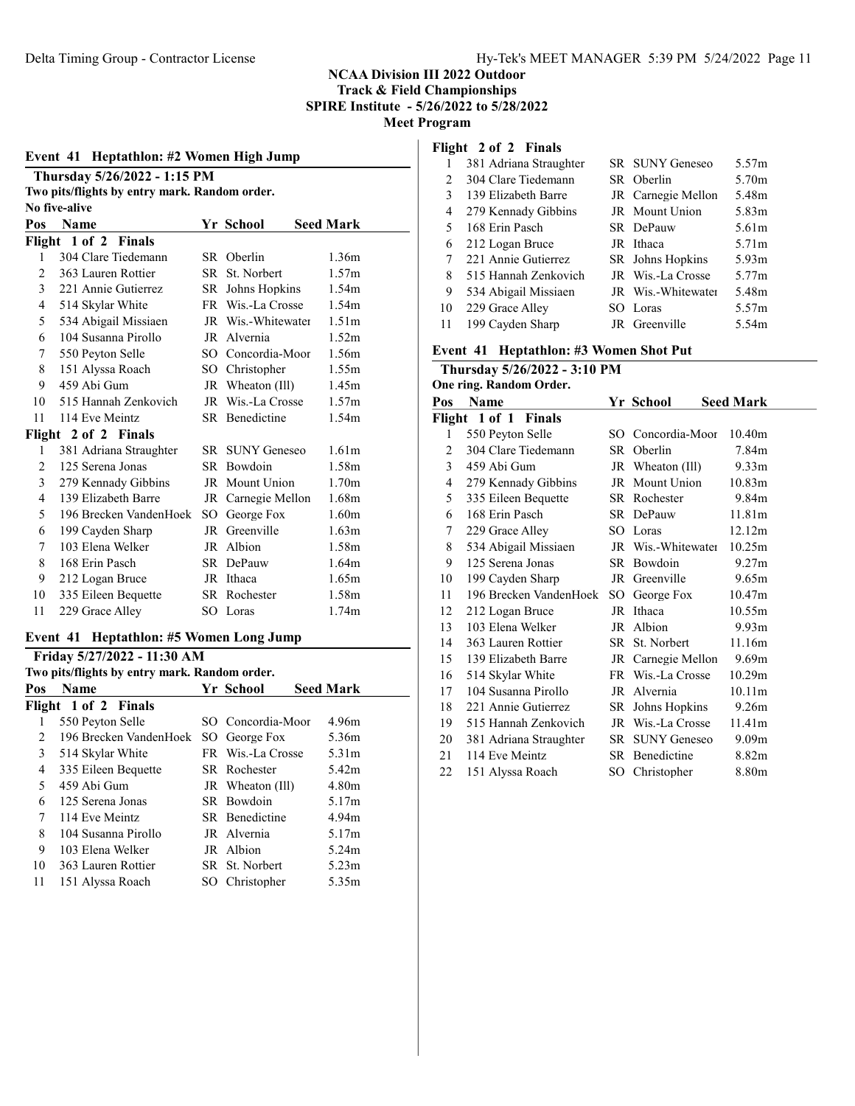#### Event 41 Heptathlon: #2 Women High Jump

| Thursday 5/26/2022 - 1:15 PM                  |
|-----------------------------------------------|
| Two pits/flights by entry mark. Random order. |
| No five-alive                                 |

| Pos            | <b>Name</b>            |      | Yr School              | <b>Seed Mark</b>  |
|----------------|------------------------|------|------------------------|-------------------|
|                | Flight 1 of 2 Finals   |      |                        |                   |
| 1              | 304 Clare Tiedemann    |      | SR Oberlin             | 1.36m             |
| 2              | 363 Lauren Rottier     | SR - | St. Norbert            | 1.57m             |
| 3              | 221 Annie Gutierrez    |      | SR Johns Hopkins       | 1.54m             |
| 4              | 514 Skylar White       |      | FR Wis.-La Crosse      | 1.54m             |
| 5              | 534 Abigail Missiaen   |      | JR Wis.-Whitewater     | 1.51 <sub>m</sub> |
| 6              | 104 Susanna Pirollo    |      | JR Alvernia            | 1.52m             |
| 7              | 550 Peyton Selle       |      | SO Concordia-Moor      | 1.56m             |
| 8              | 151 Alyssa Roach       | SO - | Christopher            | 1.55m             |
| 9              | 459 Abi Gum            |      | JR Wheaton (Ill)       | 1.45m             |
| 10             | 515 Hannah Zenkovich   |      | JR Wis.-La Crosse      | 1.57m             |
| 11             | 114 Eve Meintz         |      | SR Benedictine         | 1.54m             |
| Flight         | 2 of 2 Finals          |      |                        |                   |
| 1              | 381 Adriana Straughter |      | <b>SR SUNY Geneseo</b> | 1.61m             |
| $\overline{c}$ | 125 Serena Jonas       |      | SR Bowdoin             | 1.58m             |
| 3              | 279 Kennady Gibbins    |      | JR Mount Union         | 1.70m             |
| 4              | 139 Elizabeth Barre    |      | JR Carnegie Mellon     | 1.68m             |
| 5              | 196 Brecken VandenHoek |      | SO George Fox          | 1.60 <sub>m</sub> |
| 6              | 199 Cayden Sharp       | JR   | Greenville             | 1.63 <sub>m</sub> |
| 7              | 103 Elena Welker       |      | JR Albion              | 1.58m             |
| 8              | 168 Erin Pasch         |      | SR DePauw              | 1.64m             |
| 9              | 212 Logan Bruce        |      | JR Ithaca              | 1.65m             |
| 10             | 335 Eileen Bequette    |      | SR Rochester           | 1.58m             |
| 11             | 229 Grace Alley        |      | SO Loras               | 1.74m             |

## Event 41 Heptathlon: #5 Women Long Jump

|     | Friday 5/27/2022 - 11:30 AM                   |     |                   |                   |  |  |  |  |
|-----|-----------------------------------------------|-----|-------------------|-------------------|--|--|--|--|
|     | Two pits/flights by entry mark. Random order. |     |                   |                   |  |  |  |  |
| Pos | <b>Name</b>                                   |     | Yr School         | <b>Seed Mark</b>  |  |  |  |  |
|     | Flight 1 of 2 Finals                          |     |                   |                   |  |  |  |  |
| 1   | 550 Peyton Selle                              |     | SO Concordia-Moor | 4.96m             |  |  |  |  |
| 2   | 196 Brecken VandenHoek                        |     | SO George Fox     | 5.36m             |  |  |  |  |
| 3   | 514 Skylar White                              |     | FR Wis.-La Crosse | 5.31 <sub>m</sub> |  |  |  |  |
| 4   | 335 Eileen Bequette                           |     | SR Rochester      | 5.42m             |  |  |  |  |
| 5   | 459 Abi Gum                                   |     | JR Wheaton (Ill)  | 4.80 <sub>m</sub> |  |  |  |  |
| 6   | 125 Serena Jonas                              |     | SR Bowdoin        | 5.17m             |  |  |  |  |
| 7   | 114 Eve Meintz                                |     | SR Benedictine    | 4.94m             |  |  |  |  |
| 8   | 104 Susanna Pirollo                           |     | JR Alvernia       | 5.17m             |  |  |  |  |
| 9   | 103 Elena Welker                              |     | JR Albion         | 5.24m             |  |  |  |  |
| 10  | 363 Lauren Rottier                            |     | SR St. Norbert    | 5.23m             |  |  |  |  |
| 11  | 151 Alyssa Roach                              | SO. | Christopher       | 5.35m             |  |  |  |  |

## Flight 2 of 2 Finals

| 1  | 381 Adriana Straughter | <b>SR SUNY Geneseo</b> | 5.57m |
|----|------------------------|------------------------|-------|
| 2  | 304 Clare Tiedemann    | SR Oberlin             | 5.70m |
| 3  | 139 Elizabeth Barre    | JR Carnegie Mellon     | 5.48m |
| 4  | 279 Kennady Gibbins    | JR Mount Union         | 5.83m |
| 5  | 168 Erin Pasch         | SR DePauw              | 5.61m |
| 6  | 212 Logan Bruce        | JR Ithaca              | 5.71m |
| 7  | 221 Annie Gutierrez    | SR Johns Hopkins       | 5.93m |
| 8  | 515 Hannah Zenkovich   | JR Wis.-La Crosse      | 5.77m |
| 9  | 534 Abigail Missiaen   | JR Wis.-Whitewater     | 5.48m |
| 10 | 229 Grace Alley        | SO Loras               | 5.57m |
| 11 | 199 Cayden Sharp       | JR Greenville          | 5.54m |

### Event 41 Heptathlon: #3 Women Shot Put

| Thursday 5/26/2022 - 3:10 PM |                         |    |                        |                    |
|------------------------------|-------------------------|----|------------------------|--------------------|
|                              | One ring. Random Order. |    |                        |                    |
| Pos                          | Name                    |    | Yr School              | <b>Seed Mark</b>   |
|                              | Flight 1 of 1 Finals    |    |                        |                    |
| 1                            | 550 Peyton Selle        |    | SO Concordia-Moor      | 10.40m             |
| 2                            | 304 Clare Tiedemann     |    | SR Oberlin             | 7.84m              |
| 3                            | 459 Abi Gum             |    | JR Wheaton (Ill)       | 9.33 <sub>m</sub>  |
| 4                            | 279 Kennady Gibbins     |    | JR Mount Union         | 10.83 <sub>m</sub> |
| 5                            | 335 Eileen Bequette     |    | SR Rochester           | 9.84m              |
| 6                            | 168 Erin Pasch          |    | SR DePauw              | 11.81m             |
| 7                            | 229 Grace Alley         |    | SO Loras               | 12.12m             |
| 8                            | 534 Abigail Missiaen    |    | JR Wis.-Whitewater     | 10.25m             |
| 9                            | 125 Serena Jonas        |    | SR Bowdoin             | 9.27m              |
| 10                           | 199 Cayden Sharp        |    | JR Greenville          | 9.65m              |
| 11                           | 196 Brecken VandenHoek  | SO | George Fox             | 10.47m             |
| 12                           | 212 Logan Bruce         |    | JR Ithaca              | 10.55m             |
| 13                           | 103 Elena Welker        |    | JR Albion              | 9.93 <sub>m</sub>  |
| 14                           | 363 Lauren Rottier      |    | SR St. Norbert         | 11.16m             |
| 15                           | 139 Elizabeth Barre     |    | JR Carnegie Mellon     | 9.69 <sub>m</sub>  |
| 16                           | 514 Skylar White        |    | FR Wis.-La Crosse      | 10.29m             |
| 17                           | 104 Susanna Pirollo     |    | JR Alvernia            | 10.11m             |
| 18                           | 221 Annie Gutierrez     |    | SR Johns Hopkins       | 9.26m              |
| 19                           | 515 Hannah Zenkovich    |    | JR Wis.-La Crosse      | 11.41m             |
| 20                           | 381 Adriana Straughter  |    | <b>SR SUNY Geneseo</b> | 9.09 <sub>m</sub>  |
| 21                           | 114 Eve Meintz          |    | SR Benedictine         | 8.82m              |
| 22                           | 151 Alyssa Roach        |    | SO Christopher         | 8.80m              |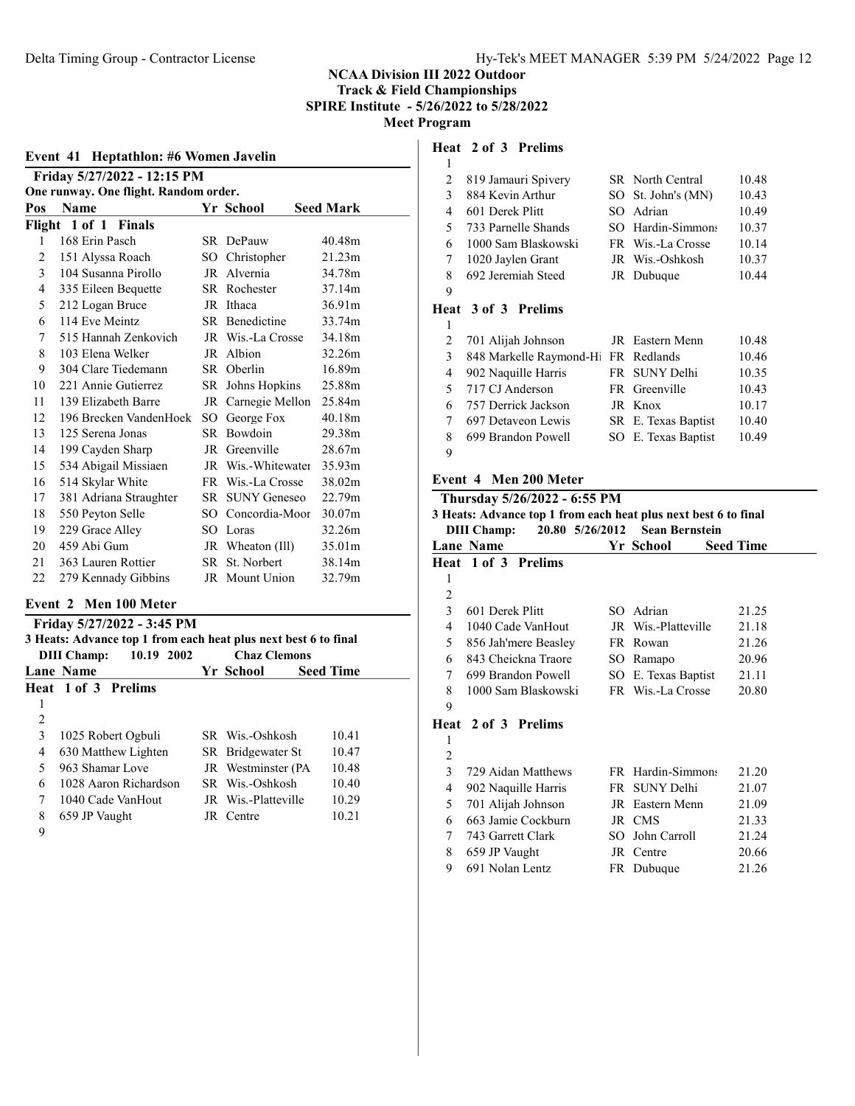| Event 41 Heptathlon: #6 Women Javelin |                                       |        |                     |                  |  |  |
|---------------------------------------|---------------------------------------|--------|---------------------|------------------|--|--|
|                                       | Friday 5/27/2022 - 12:15 PM           |        |                     |                  |  |  |
|                                       | One runway. One flight. Random order. |        |                     |                  |  |  |
| Pos                                   | <b>Name</b>                           |        | Yr School           | <b>Seed Mark</b> |  |  |
| Flight                                | 1 of 1 Finals                         |        |                     |                  |  |  |
| 1                                     | 168 Erin Pasch                        |        | SR DePauw           | 40.48m           |  |  |
| 2                                     | 151 Alyssa Roach                      | SO     | Christopher         | 21.23m           |  |  |
| 3                                     | 104 Susanna Pirollo                   | JR     | Alvernia            | 34.78m           |  |  |
| 4                                     | 335 Eileen Bequette                   |        | SR Rochester        | 37.14m           |  |  |
| 5                                     | 212 Logan Bruce                       | JR     | Ithaca              | 36.91m           |  |  |
| 6                                     | 114 Eve Meintz                        |        | SR Benedictine      | 33.74m           |  |  |
| 7                                     | 515 Hannah Zenkovich                  | JR     | Wis.-La Crosse      | 34.18m           |  |  |
| 8                                     | 103 Elena Welker                      | JR     | Albion              | 32.26m           |  |  |
| 9                                     | 304 Clare Tiedemann                   | SR -   | Oberlin             | 16.89m           |  |  |
| 10                                    | 221 Annie Gutierrez                   | SR.    | Johns Hopkins       | 25.88m           |  |  |
| 11                                    | 139 Elizabeth Barre                   | JR     | Carnegie Mellon     | 25.84m           |  |  |
| 12                                    | 196 Brecken VandenHoek                | SO.    | George Fox          | 40.18m           |  |  |
| 13                                    | 125 Serena Jonas                      | SR.    | <b>Bowdoin</b>      | 29.38m           |  |  |
| 14                                    | 199 Cayden Sharp                      | JR     | Greenville          | 28.67m           |  |  |
| 15                                    | 534 Abigail Missiaen                  |        | JR Wis.-Whitewater  | 35.93m           |  |  |
| 16                                    | 514 Skylar White                      | FR     | Wis.-La Crosse      | 38.02m           |  |  |
| 17                                    | 381 Adriana Straughter                | SR -   | <b>SUNY Geneseo</b> | 22.79m           |  |  |
| 18                                    | 550 Peyton Selle                      | $SO^-$ | Concordia-Moor      | 30.07m           |  |  |
| 19                                    | 229 Grace Alley                       | SO.    | Loras               | 32.26m           |  |  |
| 20                                    | 459 Abi Gum                           |        | JR Wheaton (Ill)    | 35.01m           |  |  |
| 21                                    | 363 Lauren Rottier                    | SR -   | St. Norbert         | 38.14m           |  |  |
| 22                                    | 279 Kennady Gibbins                   |        | JR Mount Union      | 32.79m           |  |  |
|                                       |                                       |        |                     |                  |  |  |

# Event 2 Men 100 Meter

|                          | Friday 5/27/2022 - 3:45 PM                                      |  |                            |                  |  |  |  |  |
|--------------------------|-----------------------------------------------------------------|--|----------------------------|------------------|--|--|--|--|
|                          | 3 Heats: Advance top 1 from each heat plus next best 6 to final |  |                            |                  |  |  |  |  |
|                          | 10.19 2002<br><b>DIII</b> Champ:                                |  | <b>Chaz Clemons</b>        |                  |  |  |  |  |
|                          | <b>Lane Name</b>                                                |  | Yr School                  | <b>Seed Time</b> |  |  |  |  |
|                          | Heat 1 of 3 Prelims                                             |  |                            |                  |  |  |  |  |
| 1                        |                                                                 |  |                            |                  |  |  |  |  |
| 2                        |                                                                 |  |                            |                  |  |  |  |  |
| 3                        | 1025 Robert Ogbuli                                              |  | SR Wis.-Oshkosh            | 10.41            |  |  |  |  |
| 4                        | 630 Matthew Lighten                                             |  | SR Bridgewater St          | 10.47            |  |  |  |  |
| $\overline{\phantom{0}}$ | 963 Shamar Love                                                 |  | JR Westminster (PA         | 10.48            |  |  |  |  |
| 6                        | 1028 Aaron Richardson                                           |  | SR Wis.-Oshkosh            | 10.40            |  |  |  |  |
| 7                        | 1040 Cade VanHout                                               |  | <b>IR</b> Wis.-Platteville | 10.29            |  |  |  |  |
| 8                        | 659 JP Vaught                                                   |  | JR Centre                  | 10.21            |  |  |  |  |
| $\Omega$                 |                                                                 |  |                            |                  |  |  |  |  |

#### Heat 2 of 3 Prelims

| 1 |                                     |                         |       |
|---|-------------------------------------|-------------------------|-------|
| 2 | 819 Jamauri Spivery                 | <b>SR</b> North Central | 10.48 |
| 3 | 884 Kevin Arthur                    | SO St. John's (MN)      | 10.43 |
| 4 | 601 Derek Plitt                     | SO Adrian               | 10.49 |
| 5 | 733 Parnelle Shands                 | SO Hardin-Simmons       | 10.37 |
| 6 | 1000 Sam Blaskowski                 | FR Wis.-La Crosse       | 10.14 |
| 7 | 1020 Jaylen Grant                   | JR Wis.-Oshkosh         | 10.37 |
| 8 | 692 Jeremiah Steed                  | JR Dubuque              | 10.44 |
| 9 |                                     |                         |       |
|   | <b>Heat 3 of 3 Prelims</b>          |                         |       |
| ı |                                     |                         |       |
| 2 | 701 Alijah Johnson                  | JR Eastern Menn         | 10.48 |
| 3 | 848 Markelle Raymond-Hi FR Redlands |                         | 10.46 |
|   |                                     |                         |       |

| $\mathcal{E}$ | 848 Markelle Raymond-Hi FR Redlands |                     | 10.46 |
|---------------|-------------------------------------|---------------------|-------|
|               | 4 902 Naquille Harris               | FR SUNY Delhi       | 10.35 |
|               | 5 717 CJ Anderson                   | FR Greenville       | 10.43 |
|               | 6 757 Derrick Jackson               | JR Knox             | 10.17 |
| 7             | 697 Detaveon Lewis                  | SR E. Texas Baptist | 10.40 |
| 8             | 699 Brandon Powell                  | SO E. Texas Baptist | 10.49 |
| -9            |                                     |                     |       |

### Event 4 Men 200 Meter

|                | Thursday 5/26/2022 - 6:55 PM                                    |  |                     |                  |  |  |
|----------------|-----------------------------------------------------------------|--|---------------------|------------------|--|--|
|                | 3 Heats: Advance top 1 from each heat plus next best 6 to final |  |                     |                  |  |  |
|                | 20.80 5/26/2012 Sean Bernstein<br>DIII Champ:                   |  |                     |                  |  |  |
|                | <b>Lane Name</b>                                                |  | Yr School           | <b>Seed Time</b> |  |  |
|                | Heat 1 of 3 Prelims                                             |  |                     |                  |  |  |
| 1              |                                                                 |  |                     |                  |  |  |
| 2              |                                                                 |  |                     |                  |  |  |
| 3              | 601 Derek Plitt                                                 |  | SO Adrian           | 21.25            |  |  |
| $\overline{4}$ | 1040 Cade VanHout                                               |  | JR Wis.-Platteville | 21.18            |  |  |
| 5 <sup>1</sup> | 856 Jah'mere Beasley                                            |  | FR Rowan            | 21.26            |  |  |
| 6              | 843 Cheickna Traore                                             |  | SO Ramapo           | 20.96            |  |  |
| $7^{\circ}$    | 699 Brandon Powell                                              |  | SO E. Texas Baptist | 21.11            |  |  |
| 8              | 1000 Sam Blaskowski                                             |  | FR Wis.-La Crosse   | 20.80            |  |  |
| 9              |                                                                 |  |                     |                  |  |  |
|                | <b>Heat 2 of 3 Prelims</b>                                      |  |                     |                  |  |  |
| 1              |                                                                 |  |                     |                  |  |  |
| 2              |                                                                 |  |                     |                  |  |  |
| 3              | 729 Aidan Matthews                                              |  | FR Hardin-Simmons   | 21.20            |  |  |
| 4              | 902 Naquille Harris                                             |  | FR SUNY Delhi       | 21.07            |  |  |
| 5              | 701 Alijah Johnson                                              |  | JR Eastern Menn     | 21.09            |  |  |
| 6              | 663 Jamie Cockburn                                              |  | JR CMS              | 21.33            |  |  |

 743 Garrett Clark SO John Carroll 21.24 8 659 JP Vaught JR Centre 20.66<br>
9 691 Nolan Lentz FR Dubuque 21.26

9 691 Nolan Lentz FR Dubuque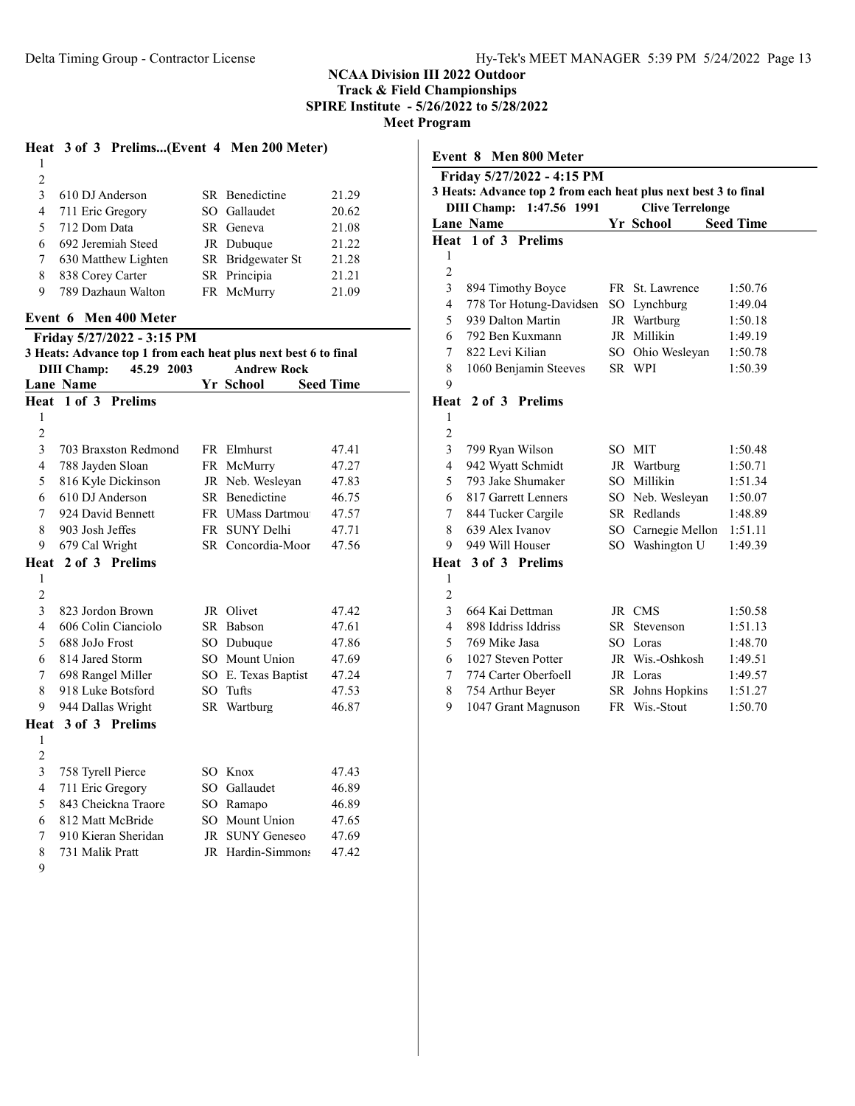# Heat 3 of 3 Prelims...(Event 4 Men 200 Meter)

| 2  |                     |                   |       |
|----|---------------------|-------------------|-------|
| 3  | 610 DJ Anderson     | SR Benedictine    | 21.29 |
| 4  | 711 Eric Gregory    | SO Gallaudet      | 20.62 |
| 5  | 712 Dom Data        | SR Geneva         | 21.08 |
| 6. | 692 Jeremiah Steed  | JR Dubuque        | 21.22 |
|    | 630 Matthew Lighten | SR Bridgewater St | 21.28 |
| 8  | 838 Corey Carter    | SR Principia      | 21.21 |
| 9  | 789 Dazhaun Walton  | FR McMurry        | 21.09 |
|    |                     |                   |       |

### Event 6 Men 400 Meter

Friday 5/27/2022 - 3:15 PM

|                    |            | 3 Heats: Advance top 1 from each heat plus next best 6 to final |
|--------------------|------------|-----------------------------------------------------------------|
| <b>DIII Champ:</b> | 45.29 2003 | <b>Andrew Rock</b>                                              |

|                | <b>Lane Name</b>     |                 | Yr School            | <b>Seed Time</b> |
|----------------|----------------------|-----------------|----------------------|------------------|
| Heat           | 1 of 3 Prelims       |                 |                      |                  |
| 1              |                      |                 |                      |                  |
| $\overline{c}$ |                      |                 |                      |                  |
| 3              | 703 Braxston Redmond |                 | FR Elmhurst          | 47.41            |
| 4              | 788 Jayden Sloan     |                 | FR McMurry           | 47.27            |
| 5              | 816 Kyle Dickinson   |                 | JR Neb. Wesleyan     | 47.83            |
| 6              | 610 DJ Anderson      |                 | SR Benedictine       | 46.75            |
| 7              | 924 David Bennett    | FR.             | <b>UMass Dartmou</b> | 47.57            |
| 8              | 903 Josh Jeffes      | FR -            | <b>SUNY Delhi</b>    | 47.71            |
| 9              | 679 Cal Wright       | SR -            | Concordia-Moor       | 47.56            |
| Heat           | 2 of 3 Prelims       |                 |                      |                  |
| 1              |                      |                 |                      |                  |
| $\overline{c}$ |                      |                 |                      |                  |
| 3              | 823 Jordon Brown     | JR              | Olivet               | 47.42            |
| 4              | 606 Colin Cianciolo  | SR              | Babson               | 47.61            |
| 5              | 688 JoJo Frost       | SO.             | Dubuque              | 47.86            |
| 6              | 814 Jared Storm      |                 | SO Mount Union       | 47.69            |
| 7              | 698 Rangel Miller    | $SO_{\odot}$    | E. Texas Baptist     | 47.24            |
| 8              | 918 Luke Botsford    | $SO_{-}$        | Tufts                | 47.53            |
| 9              | 944 Dallas Wright    |                 | SR Wartburg          | 46.87            |
| Heat           | 3 of 3 Prelims       |                 |                      |                  |
| 1              |                      |                 |                      |                  |
| $\overline{c}$ |                      |                 |                      |                  |
| 3              | 758 Tyrell Pierce    |                 | SO Knox              | 47.43            |
| 4              | 711 Eric Gregory     | SO              | Gallaudet            | 46.89            |
| 5              | 843 Cheickna Traore  | SO <sub>2</sub> | Ramapo               | 46.89            |
| 6              | 812 Matt McBride     | SO.             | Mount Union          | 47.65            |
| 7              | 910 Kieran Sheridan  | JR              | <b>SUNY Geneseo</b>  | 47.69            |
| 8              | 731 Malik Pratt      | JR              | Hardin-Simmons       | 47.42            |

| Event 8 Men 800 Meter |                                                                 |  |                         |                  |  |
|-----------------------|-----------------------------------------------------------------|--|-------------------------|------------------|--|
|                       | Friday 5/27/2022 - 4:15 PM                                      |  |                         |                  |  |
|                       | 3 Heats: Advance top 2 from each heat plus next best 3 to final |  |                         |                  |  |
|                       | <b>DIII Champ:</b><br>1:47.56 1991                              |  | <b>Clive Terrelonge</b> |                  |  |
|                       | <b>Lane Name</b>                                                |  | Yr School               | <b>Seed Time</b> |  |
|                       | Heat 1 of 3 Prelims                                             |  |                         |                  |  |
| $\mathbf{1}$          |                                                                 |  |                         |                  |  |
| $\overline{c}$        |                                                                 |  |                         |                  |  |
| 3                     | 894 Timothy Boyce                                               |  | FR St. Lawrence         | 1:50.76          |  |
| 4                     | 778 Tor Hotung-Davidsen                                         |  | SO Lynchburg            | 1:49.04          |  |
| 5                     | 939 Dalton Martin                                               |  | JR Wartburg             | 1:50.18          |  |
| 6                     | 792 Ben Kuxmann                                                 |  | JR Millikin             | 1:49.19          |  |
| 7                     | 822 Levi Kilian                                                 |  | SO Ohio Wesleyan        | 1:50.78          |  |
| 8                     | 1060 Benjamin Steeves                                           |  | SR WPI                  | 1:50.39          |  |
| 9                     |                                                                 |  |                         |                  |  |
| Heat                  | 2 of 3 Prelims                                                  |  |                         |                  |  |
| 1                     |                                                                 |  |                         |                  |  |
| $\overline{c}$        |                                                                 |  |                         |                  |  |
| 3                     | 799 Ryan Wilson                                                 |  | SO MIT                  | 1:50.48          |  |
| $\overline{4}$        | 942 Wyatt Schmidt                                               |  | JR Wartburg             | 1:50.71          |  |
| 5                     | 793 Jake Shumaker                                               |  | SO Millikin             | 1:51.34          |  |
| 6                     | 817 Garrett Lenners                                             |  | SO Neb. Wesleyan        | 1:50.07          |  |
| 7                     | 844 Tucker Cargile                                              |  | SR Redlands             | 1:48.89          |  |
| $\,$ 8 $\,$           | 639 Alex Ivanov                                                 |  | SO Carnegie Mellon      | 1:51.11          |  |
| 9                     | 949 Will Houser                                                 |  | SO Washington U         | 1:49.39          |  |
|                       | Heat 3 of 3 Prelims                                             |  |                         |                  |  |
| $\mathbf{1}$          |                                                                 |  |                         |                  |  |
| $\overline{c}$        |                                                                 |  |                         |                  |  |
| 3                     | 664 Kai Dettman                                                 |  | JR CMS                  | 1:50.58          |  |
| $\overline{4}$        | 898 Iddriss Iddriss                                             |  | SR Stevenson            | 1:51.13          |  |
| 5                     | 769 Mike Jasa                                                   |  | SO Loras                | 1:48.70          |  |
| 6                     | 1027 Steven Potter                                              |  | JR Wis.-Oshkosh         | 1:49.51          |  |
| 7                     | 774 Carter Oberfoell                                            |  | JR Loras                | 1:49.57          |  |
| 8                     | 754 Arthur Beyer                                                |  | SR Johns Hopkins        | 1:51.27          |  |
| 9                     | 1047 Grant Magnuson                                             |  | FR Wis.-Stout           | 1:50.70          |  |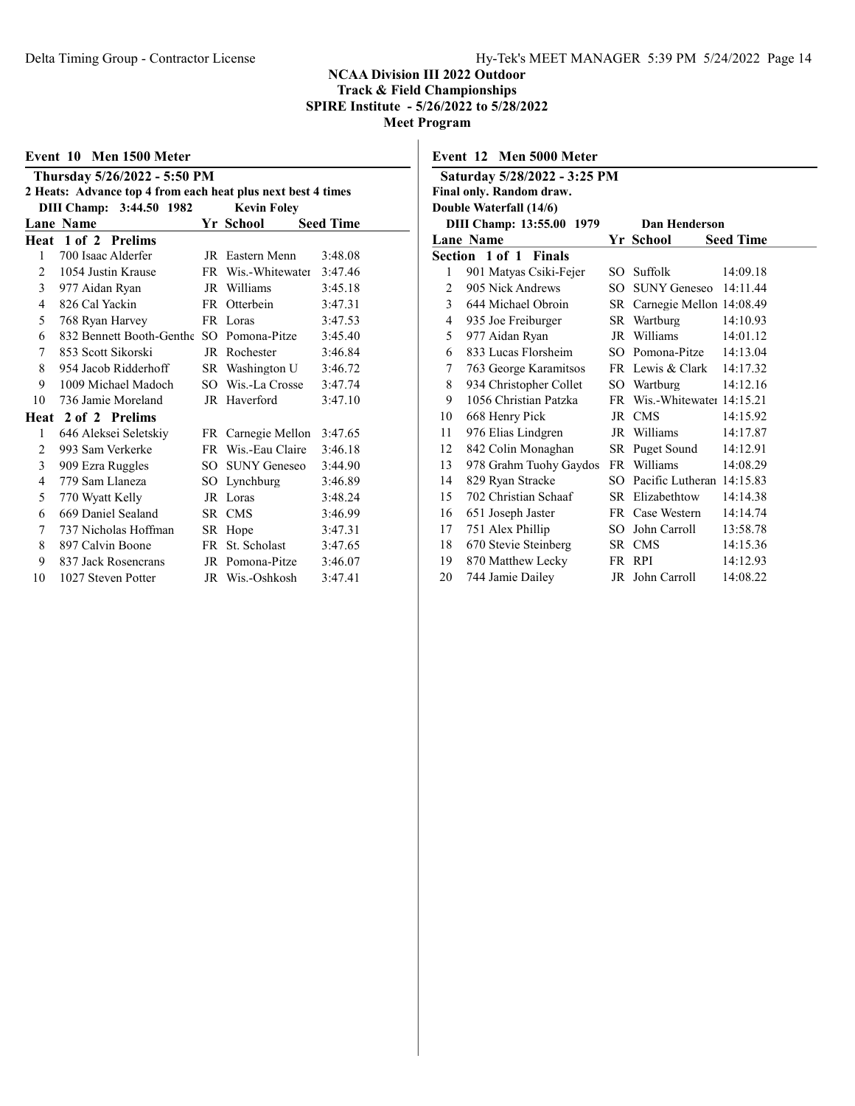|                | Event 10 Men 1500 Meter                                      |      |                    |                  |  |  |  |
|----------------|--------------------------------------------------------------|------|--------------------|------------------|--|--|--|
|                | Thursday 5/26/2022 - 5:50 PM                                 |      |                    |                  |  |  |  |
|                | 2 Heats: Advance top 4 from each heat plus next best 4 times |      |                    |                  |  |  |  |
|                | DIII Champ: 3:44.50 1982                                     |      | <b>Kevin Foley</b> |                  |  |  |  |
|                | <b>Lane Name</b>                                             |      | Yr School          | <b>Seed Time</b> |  |  |  |
|                | Heat 1 of 2 Prelims                                          |      |                    |                  |  |  |  |
| 1              | 700 Isaac Alderfer                                           |      | JR Eastern Menn    | 3:48.08          |  |  |  |
| 2              | 1054 Justin Krause                                           |      | FR Wis.-Whitewater | 3:47.46          |  |  |  |
| $\overline{3}$ | 977 Aidan Ryan                                               |      | JR Williams        | 3:45.18          |  |  |  |
| 4              | 826 Cal Yackin                                               |      | FR Otterbein       | 3:47.31          |  |  |  |
| 5              | 768 Ryan Harvey                                              |      | FR Loras           | 3:47.53          |  |  |  |
| 6              | 832 Bennett Booth-Genthe SO Pomona-Pitze                     |      |                    | 3:45.40          |  |  |  |
| 7              | 853 Scott Sikorski                                           |      | JR Rochester       | 3:46.84          |  |  |  |
| 8              | 954 Jacob Ridderhoff                                         |      | SR Washington U    | 3:46.72          |  |  |  |
| 9              | 1009 Michael Madoch                                          |      | SO Wis.-La Crosse  | 3:47.74          |  |  |  |
| 10             | 736 Jamie Moreland                                           |      | JR Haverford       | 3:47.10          |  |  |  |
|                | Heat 2 of 2 Prelims                                          |      |                    |                  |  |  |  |
| 1              | 646 Aleksei Seletskiy                                        |      | FR Carnegie Mellon | 3:47.65          |  |  |  |
| 2              | 993 Sam Verkerke                                             |      | FR Wis.-Eau Claire | 3:46.18          |  |  |  |
| 3              | 909 Ezra Ruggles                                             |      | SO SUNY Geneseo    | 3:44.90          |  |  |  |
| 4              | 779 Sam Llaneza                                              |      | SO Lynchburg       | 3:46.89          |  |  |  |
| 5              | 770 Wyatt Kelly                                              |      | JR Loras           | 3:48.24          |  |  |  |
| 6              | 669 Daniel Sealand                                           | SR - | <b>CMS</b>         | 3:46.99          |  |  |  |
| 7              | 737 Nicholas Hoffman                                         |      | SR Hope            | 3:47.31          |  |  |  |
| 8              | 897 Calvin Boone                                             | FR - | St. Scholast       | 3:47.65          |  |  |  |
| 9              | 837 Jack Rosencrans                                          |      | JR Pomona-Pitze    | 3:46.07          |  |  |  |
| 10             | 1027 Steven Potter                                           |      | JR Wis.-Oshkosh    | 3:47.41          |  |  |  |
|                |                                                              |      |                    |                  |  |  |  |

Event 12 Men 5000 Meter

| Saturday 5/28/2022 - 3:25 PM               |                          |        |                              |                  |  |
|--------------------------------------------|--------------------------|--------|------------------------------|------------------|--|
|                                            | Final only. Random draw. |        |                              |                  |  |
|                                            | Double Waterfall (14/6)  |        |                              |                  |  |
| DIII Champ: 13:55.00 1979<br>Dan Henderson |                          |        |                              |                  |  |
|                                            | <b>Lane Name</b>         |        | Yr School                    | <b>Seed Time</b> |  |
|                                            | Section 1 of 1 Finals    |        |                              |                  |  |
| 1                                          | 901 Matyas Csiki-Fejer   | SO.    | Suffolk                      | 14:09.18         |  |
| 2                                          | 905 Nick Andrews         | $SO^-$ | <b>SUNY Geneseo</b>          | 14:11.44         |  |
| $\overline{3}$                             | 644 Michael Obroin       |        | SR Carnegie Mellon 14:08.49  |                  |  |
| $\overline{4}$                             | 935 Joe Freiburger       |        | SR Wartburg                  | 14:10.93         |  |
| 5                                          | 977 Aidan Ryan           |        | JR Williams                  | 14:01.12         |  |
| 6                                          | 833 Lucas Florsheim      |        | SO Pomona-Pitze              | 14:13.04         |  |
| 7                                          | 763 George Karamitsos    |        | FR Lewis & Clark             | 14:17.32         |  |
| 8                                          | 934 Christopher Collet   |        | SO Wartburg                  | 14:12.16         |  |
| 9                                          | 1056 Christian Patzka    |        | FR Wis.-Whitewater 14:15.21  |                  |  |
| 10                                         | 668 Henry Pick           |        | JR CMS                       | 14:15.92         |  |
| 11                                         | 976 Elias Lindgren       |        | JR Williams                  | 14:17.87         |  |
| 12                                         | 842 Colin Monaghan       |        | SR Puget Sound               | 14:12.91         |  |
| 13                                         | 978 Grahm Tuohy Gaydos   |        | FR Williams                  | 14:08.29         |  |
| 14                                         | 829 Ryan Stracke         |        | SO Pacific Lutheran 14:15.83 |                  |  |
| 15                                         | 702 Christian Schaaf     |        | SR Elizabethtow              | 14:14.38         |  |
| 16                                         | 651 Joseph Jaster        |        | FR Case Western              | 14:14.74         |  |
| 17                                         | 751 Alex Phillip         | SO.    | John Carroll                 | 13:58.78         |  |
| 18                                         | 670 Stevie Steinberg     |        | SR CMS                       | 14:15.36         |  |
| 19                                         | 870 Matthew Lecky        |        | FR RPI                       | 14:12.93         |  |
| 20                                         | 744 Jamie Dailey         |        | JR John Carroll              | 14:08.22         |  |
|                                            |                          |        |                              |                  |  |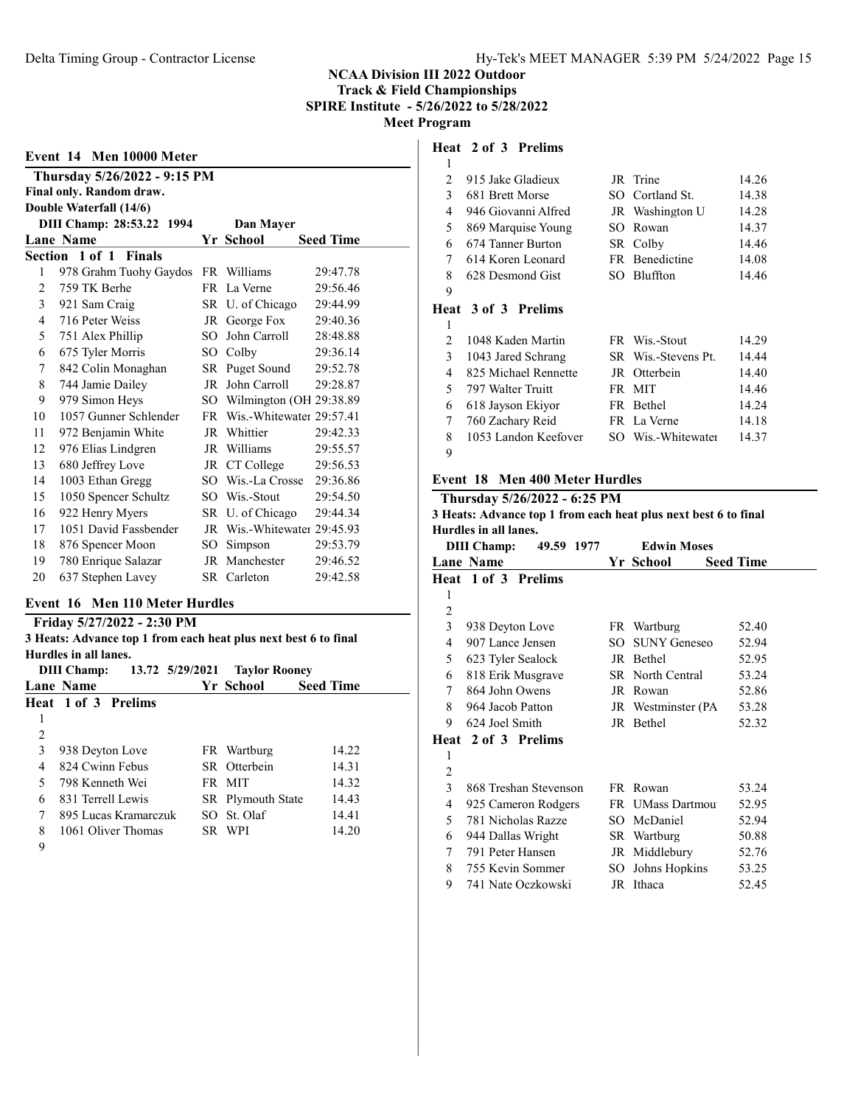| Event 14 Men 10000 Meter |                              |      |                             |                  |  |  |  |  |
|--------------------------|------------------------------|------|-----------------------------|------------------|--|--|--|--|
|                          | Thursday 5/26/2022 - 9:15 PM |      |                             |                  |  |  |  |  |
|                          | Final only. Random draw.     |      |                             |                  |  |  |  |  |
|                          | Double Waterfall (14/6)      |      |                             |                  |  |  |  |  |
|                          | DIII Champ: 28:53.22 1994    |      | Dan Mayer                   |                  |  |  |  |  |
|                          | <b>Lane Name</b>             |      | Yr School                   | <b>Seed Time</b> |  |  |  |  |
|                          | Section 1 of 1 Finals        |      |                             |                  |  |  |  |  |
| 1                        | 978 Grahm Tuohy Gaydos       |      | FR Williams                 | 29:47.78         |  |  |  |  |
| 2                        | 759 TK Berhe                 |      | FR La Verne                 | 29:56.46         |  |  |  |  |
| 3                        | 921 Sam Craig                |      | SR U. of Chicago            | 29:44.99         |  |  |  |  |
| 4                        | 716 Peter Weiss              |      | JR George Fox               | 29:40.36         |  |  |  |  |
| 5                        | 751 Alex Phillip             | SO.  | John Carroll                | 28:48.88         |  |  |  |  |
| 6                        | 675 Tyler Morris             |      | SO Colby                    | 29:36.14         |  |  |  |  |
| 7                        | 842 Colin Monaghan           |      | SR Puget Sound              | 29:52.78         |  |  |  |  |
| 8                        | 744 Jamie Dailey             | JR   | John Carroll                | 29:28.87         |  |  |  |  |
| 9                        | 979 Simon Heys               |      | SO Wilmington (OH 29:38.89) |                  |  |  |  |  |
| 10                       | 1057 Gunner Schlender        | FR - | Wis.-Whitewater 29:57.41    |                  |  |  |  |  |
| 11                       | 972 Benjamin White           | JR   | Whittier                    | 29:42.33         |  |  |  |  |
| 12                       | 976 Elias Lindgren           |      | JR Williams                 | 29:55.57         |  |  |  |  |
| 13                       | 680 Jeffrey Love             |      | JR CT College               | 29:56.53         |  |  |  |  |
| 14                       | 1003 Ethan Gregg             |      | SO Wis.-La Crosse           | 29:36.86         |  |  |  |  |
| 15                       | 1050 Spencer Schultz         |      | SO Wis.-Stout               | 29:54.50         |  |  |  |  |
| 16                       | 922 Henry Myers              |      | SR U. of Chicago            | 29:44.34         |  |  |  |  |
| 17                       | 1051 David Fassbender        |      | JR Wis.-Whitewater 29:45.93 |                  |  |  |  |  |
| 18                       | 876 Spencer Moon             | SO.  | Simpson                     | 29:53.79         |  |  |  |  |
| 19                       | 780 Enrique Salazar          |      | JR Manchester               | 29:46.52         |  |  |  |  |
| 20                       | 637 Stephen Lavey            |      | SR Carleton                 | 29:42.58         |  |  |  |  |
|                          |                              |      |                             |                  |  |  |  |  |

#### Event 16 Men 110 Meter Hurdles

#### Friday 5/27/2022 - 2:30 PM

3 Heats: Advance top 1 from each heat plus next best 6 to final Hurdles in all lanes.

|   | <b>DIII</b> Champ:   | 13.72 5/29/2021 | <b>Taylor Rooney</b> |                  |
|---|----------------------|-----------------|----------------------|------------------|
|   | Lane Name            |                 | Yr School            | <b>Seed Time</b> |
|   | Heat 1 of 3 Prelims  |                 |                      |                  |
|   |                      |                 |                      |                  |
| 2 |                      |                 |                      |                  |
| 3 | 938 Deyton Love      |                 | FR Wartburg          | 14.22            |
| 4 | 824 Cwinn Febus      |                 | SR Otterbein         | 14.31            |
| 5 | 798 Kenneth Wei      |                 | FR MIT               | 14.32            |
| 6 | 831 Terrell Lewis    |                 | SR Plymouth State    | 14.43            |
| 7 | 895 Lucas Kramarczuk |                 | SO St. Olaf          | 14.41            |
| 8 | 1061 Oliver Thomas   |                 | SR WPI               | 14.20            |
| 9 |                      |                 |                      |                  |

#### Heat 2 of 3 Prelims

| 1 |                            |     |                     |       |
|---|----------------------------|-----|---------------------|-------|
| 2 | 915 Jake Gladieux          |     | JR Trine            | 14.26 |
| 3 | 681 Brett Morse            |     | SO Cortland St.     | 14.38 |
| 4 | 946 Giovanni Alfred        |     | JR Washington U     | 14.28 |
| 5 | 869 Marquise Young         | SO. | Rowan               | 14.37 |
| 6 | 674 Tanner Burton          |     | SR Colby            | 14.46 |
| 7 | 614 Koren Leonard          |     | FR Benedictine      | 14.08 |
| 8 | 628 Desmond Gist           |     | SO Bluffton         | 14.46 |
| 9 |                            |     |                     |       |
|   | <b>Heat 3 of 3 Prelims</b> |     |                     |       |
| 1 |                            |     |                     |       |
| 2 | 1048 Kaden Martin          |     | FR Wis.-Stout       | 14.29 |
| 3 | 1043 Jared Schrang         |     | SR Wis.-Stevens Pt. | 14.44 |
| 4 | 825 Michael Rennette       | JR  | Otterbein           | 14.40 |
| 5 | 797 Walter Truitt          | FR  | <b>MIT</b>          | 14.46 |
| 6 | 618 Jayson Ekiyor          | FR  | Bethel              | 14.24 |
| 7 | 760 Zachary Reid           |     | FR La Verne         | 14.18 |
| 8 | 1053 Landon Keefover       |     | SO Wis.-Whitewater  | 14.37 |
| 9 |                            |     |                     |       |

#### Event 18 Men 400 Meter Hurdles

### Thursday 5/26/2022 - 6:25 PM 3 Heats: Advance top 1 from each heat plus next best 6 to final Hurdles in all lanes. DIII Champ: 49.59 1977 Edwin Moses Lane Name **Seed Time Seed Time Seed Time** Heat 1 of 3 Prelims 938 Deyton Love FR Wartburg 52.40 907 Lance Jensen SO SUNY Geneseo 52.94 623 Tyler Sealock JR Bethel 52.95 818 Erik Musgrave SR North Central 53.24 864 John Owens JR Rowan 52.86 8 964 Jacob Patton JR Westminster (PA 53.28 624 Joel Smith JR Bethel 52.32 Heat 2 of 3 Prelims  $\mathfrak{D}$  868 Treshan Stevenson FR Rowan 53.24 4 925 Cameron Rodgers FR UMass Dartmou 52.95 781 Nicholas Razze SO McDaniel 52.94 944 Dallas Wright SR Wartburg 50.88 791 Peter Hansen JR Middlebury 52.76

 755 Kevin Sommer SO Johns Hopkins 53.25 741 Nate Oczkowski JR Ithaca 52.45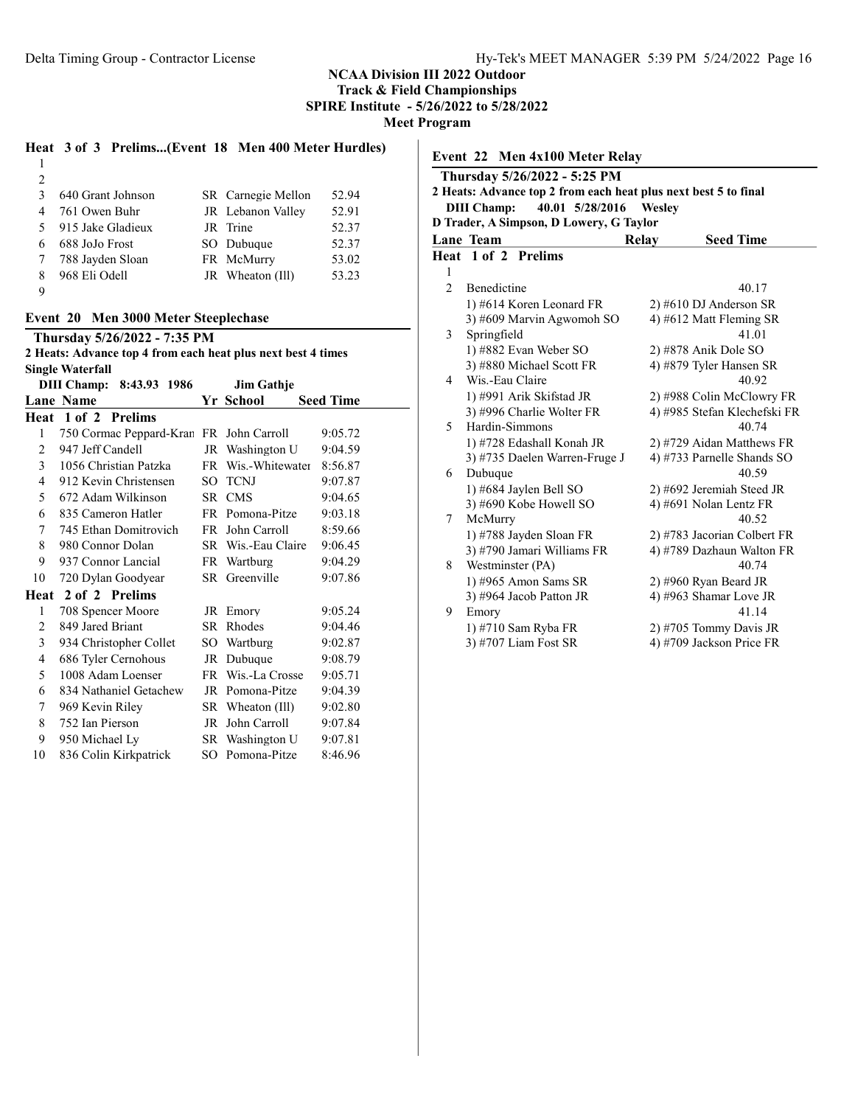SPIRE Institute - 5/26/2022 to 5/28/2022

Meet Program

# Heat 3 of 3 Prelims...(Event 18 Men 400 Meter Hurdles)

| $\mathcal{E}$ | 640 Grant Johnson   | SR Carnegie Mellon | 52.94 |
|---------------|---------------------|--------------------|-------|
| 4             | 761 Owen Buhr       | JR Lebanon Valley  | 52.91 |
|               | 5 915 Jake Gladieux | JR Trine           | 52.37 |
| 6             | 688 JoJo Frost      | SO Dubuque         | 52.37 |
|               | 7 788 Jayden Sloan  | FR McMurry         | 53.02 |
| 8             | 968 Eli Odell       | JR Wheaton (Ill)   | 53.23 |
| -9            |                     |                    |       |

#### Event 20 Men 3000 Meter Steeplechase

Thursday 5/26/2022 - 7:35 PM

| 2 Heats: Advance top 4 from each heat plus next best 4 times |                                         |          |                    |                  |  |
|--------------------------------------------------------------|-----------------------------------------|----------|--------------------|------------------|--|
|                                                              | <b>Single Waterfall</b>                 |          |                    |                  |  |
|                                                              | DIII Champ: 8:43.93 1986                |          | <b>Jim Gathje</b>  |                  |  |
|                                                              | Lane Name                               |          | Yr School          | <b>Seed Time</b> |  |
| Heat                                                         | 1 of 2 Prelims                          |          |                    |                  |  |
| 1                                                            | 750 Cormac Peppard-Kran FR John Carroll |          |                    | 9:05.72          |  |
| $\overline{2}$                                               | 947 Jeff Candell                        | JR       | Washington U       | 9:04.59          |  |
| 3                                                            | 1056 Christian Patzka                   |          | FR Wis.-Whitewater | 8:56.87          |  |
| 4                                                            | 912 Kevin Christensen                   | $SO_{-}$ | <b>TCNJ</b>        | 9:07.87          |  |
| 5                                                            | 672 Adam Wilkinson                      | SR.      | <b>CMS</b>         | 9:04.65          |  |
| 6                                                            | 835 Cameron Hatler                      |          | FR Pomona-Pitze    | 9:03.18          |  |
| 7                                                            | 745 Ethan Domitrovich                   | FR       | John Carroll       | 8:59.66          |  |
| 8                                                            | 980 Connor Dolan                        |          | SR Wis.-Eau Claire | 9:06.45          |  |
| 9                                                            | 937 Connor Lancial                      |          | FR Wartburg        | 9:04.29          |  |
| 10                                                           | 720 Dylan Goodyear                      |          | SR Greenville      | 9:07.86          |  |
| Heat                                                         | 2 of 2 Prelims                          |          |                    |                  |  |
| 1                                                            | 708 Spencer Moore                       |          | JR Emory           | 9:05.24          |  |
| 2                                                            | 849 Jared Briant                        |          | SR Rhodes          | 9:04.46          |  |
| 3                                                            | 934 Christopher Collet                  |          | SO Wartburg        | 9:02.87          |  |
| 4                                                            | 686 Tyler Cernohous                     |          | JR Dubuque         | 9:08.79          |  |
| 5                                                            | 1008 Adam Loenser                       | FR       | Wis.-La Crosse     | 9:05.71          |  |
| 6                                                            | 834 Nathaniel Getachew                  |          | JR Pomona-Pitze    | 9:04.39          |  |
| 7                                                            | 969 Kevin Riley                         | SR       | Wheaton (Ill)      | 9:02.80          |  |
| 8                                                            | 752 Ian Pierson                         | JR       | John Carroll       | 9:07.84          |  |
| 9                                                            | 950 Michael Ly                          |          | SR Washington U    | 9:07.81          |  |
| 10                                                           | 836 Colin Kirkpatrick                   | SО       | Pomona-Pitze       | 8:46.96          |  |
|                                                              |                                         |          |                    |                  |  |

| Event 22 Men 4x100 Meter Relay |                                                                                                 |       |                              |  |  |  |  |  |
|--------------------------------|-------------------------------------------------------------------------------------------------|-------|------------------------------|--|--|--|--|--|
|                                | Thursday 5/26/2022 - 5:25 PM<br>2 Heats: Advance top 2 from each heat plus next best 5 to final |       |                              |  |  |  |  |  |
|                                |                                                                                                 |       |                              |  |  |  |  |  |
|                                | 40.01 5/28/2016<br><b>DIII Champ:</b><br>Wesley                                                 |       |                              |  |  |  |  |  |
|                                | D Trader, A Simpson, D Lowery, G Taylor                                                         |       |                              |  |  |  |  |  |
|                                | Lane Team                                                                                       | Relay | <b>Seed Time</b>             |  |  |  |  |  |
|                                | Heat 1 of 2 Prelims                                                                             |       |                              |  |  |  |  |  |
| 1                              |                                                                                                 |       |                              |  |  |  |  |  |
| $\overline{c}$                 | Benedictine                                                                                     |       | 40.17                        |  |  |  |  |  |
|                                | 1) #614 Koren Leonard FR                                                                        |       | $2)$ #610 DJ Anderson SR     |  |  |  |  |  |
|                                | 3) #609 Marvin Agwomoh SO                                                                       |       | 4) #612 Matt Fleming SR      |  |  |  |  |  |
| 3                              | Springfield                                                                                     |       | 41.01                        |  |  |  |  |  |
|                                | 1) #882 Evan Weber SO                                                                           |       | 2) #878 Anik Dole SO         |  |  |  |  |  |
|                                | 3) #880 Michael Scott FR                                                                        |       | 4) #879 Tyler Hansen SR      |  |  |  |  |  |
| 4                              | Wis.-Eau Claire                                                                                 |       | 40.92                        |  |  |  |  |  |
|                                | 1) #991 Arik Skifstad JR                                                                        |       | 2) #988 Colin McClowry FR    |  |  |  |  |  |
|                                | 3) #996 Charlie Wolter FR                                                                       |       | 4) #985 Stefan Klechefski FR |  |  |  |  |  |
| 5                              | Hardin-Simmons                                                                                  |       | 40.74                        |  |  |  |  |  |
|                                | 1) #728 Edashall Konah JR                                                                       |       | 2) #729 Aidan Matthews FR    |  |  |  |  |  |
|                                | 3) #735 Daelen Warren-Fruge J                                                                   |       | 4) #733 Parnelle Shands SO   |  |  |  |  |  |
| 6                              | Dubuque                                                                                         |       | 40.59                        |  |  |  |  |  |
|                                | 1) #684 Jaylen Bell SO                                                                          |       | 2) #692 Jeremiah Steed JR    |  |  |  |  |  |
|                                | 3) #690 Kobe Howell SO                                                                          |       | 4) #691 Nolan Lentz FR       |  |  |  |  |  |
| 7                              | McMurry                                                                                         |       | 40.52                        |  |  |  |  |  |
|                                | 1) #788 Jayden Sloan FR                                                                         |       | 2) #783 Jacorian Colbert FR  |  |  |  |  |  |
|                                | 3) #790 Jamari Williams FR                                                                      |       | 4) #789 Dazhaun Walton FR    |  |  |  |  |  |
| 8                              | Westminster (PA)                                                                                |       | 40.74                        |  |  |  |  |  |
|                                | 1) #965 Amon Sams SR                                                                            |       | 2) #960 Ryan Beard JR        |  |  |  |  |  |
|                                | 3) #964 Jacob Patton JR                                                                         |       | 4) #963 Shamar Love JR       |  |  |  |  |  |
| 9                              | Emory                                                                                           |       | 41.14                        |  |  |  |  |  |
|                                | 1) #710 Sam Ryba FR                                                                             |       | 2) #705 Tommy Davis JR       |  |  |  |  |  |
|                                | 3) #707 Liam Fost SR                                                                            |       | 4) #709 Jackson Price FR     |  |  |  |  |  |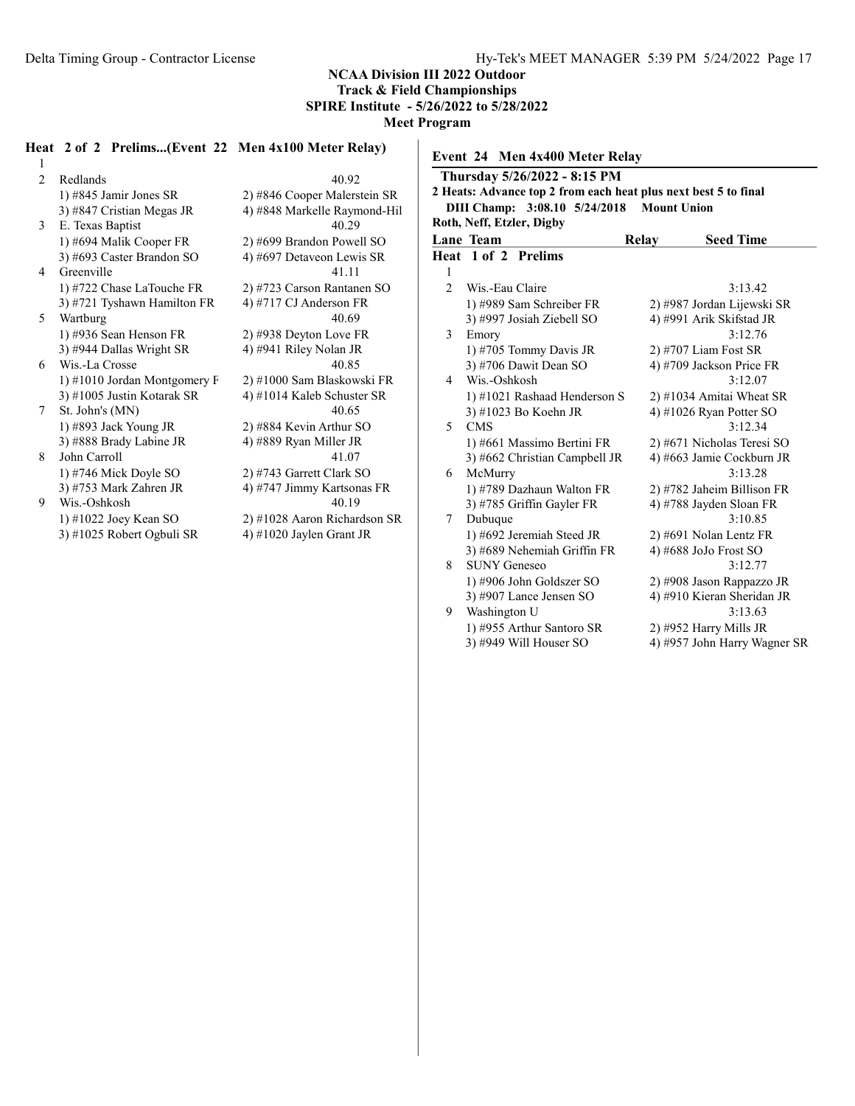SPIRE Institute - 5/26/2022 to 5/28/2022

Event 24 Men 4x400 Meter Relay

Meet Program

#### Heat 2 of 2 Prelims...(Event 22 Men 4x100 Meter Relay)

1 2 Redlands 40.92 1) #845 Jamir Jones SR 2) #846 Cooper Malerstein SR 3)  $\#847$  Cristian Megas JR  $\qquad \qquad$  4)  $\#848$  Markelle Raymond-Hil 3 E. Texas Baptist 40.29 1) #694 Malik Cooper FR 2) #699 Brandon Powell SO 3) #693 Caster Brandon SO 4) #697 Detaveon Lewis SR 4 Greenville 41.11 1) #722 Chase LaTouche FR 2) #723 Carson Rantanen SO<br>3) #721 Tyshawn Hamilton FR 4) #717 CJ Anderson FR 3) #721 Tyshawn Hamilton FR 5 Wartburg 40.69 1) #936 Sean Henson FR 2) #938 Deyton Love FR 3) #944 Dallas Wright SR  $\qquad \qquad$  4) #941 Riley Nolan JR 6 Wis.-La Crosse 40.85 1) #1010 Jordan Montgomery F 2) #1000 Sam Blaskowski FR 3)  $\#1005$  Justin Kotarak SR 4)  $\#1014$  Kaleb Schuster SR 7 St. John's (MN) 40.65 1) #893 Jack Young JR 2) #884 Kevin Arthur SO 3)  $\#888$  Brady Labine JR  $\qquad \qquad$  4)  $\#889$  Ryan Miller JR 8 John Carroll 41.07 1) #746 Mick Doyle SO 2) #743 Garrett Clark SO 3) #753 Mark Zahren JR  $\begin{array}{ccc} 4) \#747 \end{array}$  Jimmy Kartsonas FR Wis.-Oshkosh  $\begin{array}{ccc} 40.19 \end{array}$ 9 Wis.-Oshkosh 1) #1022 Joey Kean SO 2) #1028 Aaron Richardson SR

3) #1025 Robert Ogbuli SR  $\qquad \qquad$  4) #1020 Jaylen Grant JR

Thursday 5/26/2022 - 8:15 PM 2 Heats: Advance top 2 from each heat plus next best 5 to final DIII Champ: 3:08.10 5/24/2018 Mount Union Roth, Neff, Etzler, Digby Lane Team Relay Seed Time Heat 1 of 2 Prelims 1 2 Wis.-Eau Claire 3:13.42 1) #989 Sam Schreiber FR 2) #987 Jordan Lijewski SR 3) #997 Josiah Ziebell SO 4) #991 Arik Skifstad JR 3 Emory 3:12.76 1) #705 Tommy Davis JR 2) #707 Liam Fost SR  $3)$  #706 Dawit Dean SO  $4)$  #709 Jackson Price FR Wis.-Oshkosh 3:12.07 1) #1021 Rashaad Henderson S 2) #1034 Amitai Wheat SR 3) #1023 Bo Koehn JR  $\qquad \qquad$  4) #1026 Ryan Potter SO 5 CMS 3:12.34 1) #661 Massimo Bertini FR 2) #671 Nicholas Teresi SO 3) #662 Christian Campbell JR  $4$ ) #663 Jamie Cockburn JR 6 McMurry 3:13.28 1) #789 Dazhaun Walton FR 2) #782 Jaheim Billison FR 3) #785 Griffin Gayler FR  $\qquad \qquad$  4) #788 Jayden Sloan FR 7 Dubuque 3:10.85 1) #692 Jeremiah Steed JR 2) #691 Nolan Lentz FR 3) #689 Nehemiah Griffin FR  $4$ ) #688 JoJo Frost SO 8 SUNY Geneseo 3:12.77

1) #906 John Goldszer SO 2) #908 Jason Rappazzo JR 3) #907 Lance Jensen SO 4) #910 Kieran Sheridan JR 9 Washington U 3:13.63 1) #955 Arthur Santoro SR 2) #952 Harry Mills JR 3) #949 Will Houser SO 4) #957 John Harry Wagner SR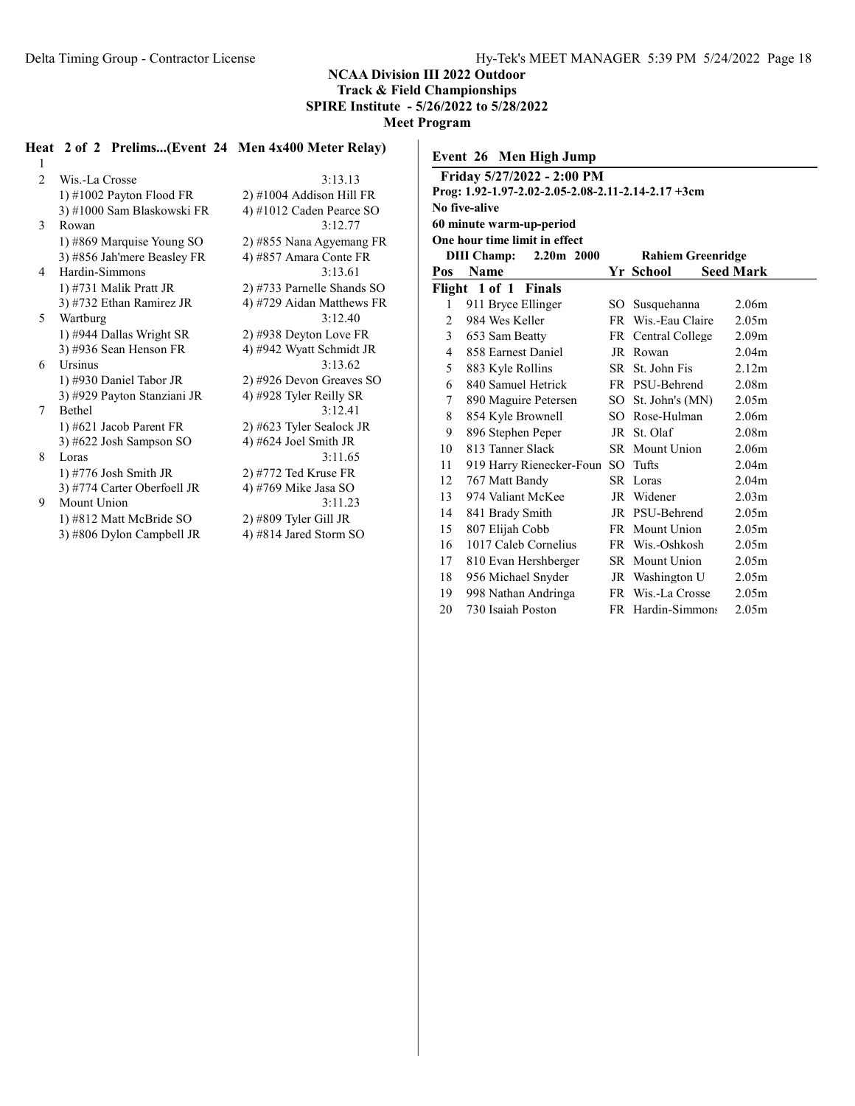SPIRE Institute - 5/26/2022 to 5/28/2022

Meet Program

# Heat 2 of 2 Prelims...(Event 24 Men 4x400 Meter Relay)

| 1              |                             |                            |
|----------------|-----------------------------|----------------------------|
| $\mathfrak{D}$ | Wis.-La Crosse              | 3:13.13                    |
|                | 1) $\#1002$ Payton Flood FR | $2)$ #1004 Addison Hill FR |
|                | 3) #1000 Sam Blaskowski FR  | 4) #1012 Caden Pearce SO   |
| 3              | Rowan                       | 3:12.77                    |
|                | 1) #869 Marquise Young SO   | 2) #855 Nana Agyemang FR   |
|                | 3) #856 Jah'mere Beasley FR | 4) #857 Amara Conte FR     |
| 4              | Hardin-Simmons              | 3:13.61                    |
|                | 1) #731 Malik Pratt JR      | 2) #733 Parnelle Shands SO |
|                | 3) #732 Ethan Ramirez JR    | 4) #729 Aidan Matthews FR  |
| 5              | Wartburg                    | 3:12.40                    |
|                | 1) #944 Dallas Wright SR    | 2) #938 Deyton Love FR     |
|                | 3) #936 Sean Henson FR      | 4) #942 Wyatt Schmidt JR   |
| 6              | <b>Ursinus</b>              | 3:13.62                    |
|                | 1) #930 Daniel Tabor JR     | 2) #926 Devon Greaves SO   |
|                | 3) #929 Payton Stanziani JR | 4) #928 Tyler Reilly SR    |
| 7              | <b>Bethel</b>               | 3:12.41                    |
|                | 1) #621 Jacob Parent FR     | 2) #623 Tyler Sealock JR   |
|                | 3) #622 Josh Sampson SO     | 4) #624 Joel Smith JR      |
| 8              | Loras                       | 3:11.65                    |
|                | 1) #776 Josh Smith JR       | $2)$ #772 Ted Kruse FR     |
|                | 3) #774 Carter Oberfoell JR | 4) #769 Mike Jasa SO       |
| 9              | Mount Union                 | 3:11.23                    |
|                | 1) #812 Matt McBride SO     | $2)$ #809 Tyler Gill JR    |
|                | 3) #806 Dylon Campbell JR   | 4) #814 Jared Storm SO     |

| 3:13.13                    |
|----------------------------|
| 2) #1004 Addison Hill FR   |
| 4) #1012 Caden Pearce SO   |
| 3:12.77                    |
| 2) #855 Nana Agyemang FR   |
| 4) #857 Amara Conte FR     |
| 3:13.61                    |
| 2) #733 Parnelle Shands SO |
| 4) #729 Aidan Matthews FR  |
| 3:12.40                    |
| $2)$ #938 Deyton Love FR   |
| 4) #942 Wyatt Schmidt JR   |
| 3:13.62                    |
| 2) #926 Devon Greaves SO   |
| 4) #928 Tyler Reilly SR    |
| 3:12.41                    |
| 2) #623 Tyler Sealock JR   |
| 4) #624 Joel Smith JR      |
| 3:11.65                    |
| 2) #772 Ted Kruse FR       |
| 4) #769 Mike Jasa SO       |
| 3:11.23                    |
| 2) #809 Tyler Gill JR      |
| 4) #814 Jared Storm SO     |

| Event 26 Men High Jump |                                                    |      |                          |                   |  |
|------------------------|----------------------------------------------------|------|--------------------------|-------------------|--|
|                        | Friday 5/27/2022 - 2:00 PM                         |      |                          |                   |  |
|                        | Prog: 1.92-1.97-2.02-2.05-2.08-2.11-2.14-2.17 +3cm |      |                          |                   |  |
|                        | No five-alive                                      |      |                          |                   |  |
|                        | 60 minute warm-up-period                           |      |                          |                   |  |
|                        | One hour time limit in effect                      |      |                          |                   |  |
|                        | $2.20m$ 2000<br><b>DIII</b> Champ:                 |      | <b>Rahiem Greenridge</b> |                   |  |
| Pos                    | Name                                               |      | Yr School                | <b>Seed Mark</b>  |  |
|                        | Flight 1 of 1<br>Finals                            |      |                          |                   |  |
| 1                      | 911 Bryce Ellinger                                 |      | SO Susquehanna           | 2.06 <sub>m</sub> |  |
| 2                      | 984 Wes Keller                                     |      | FR Wis.-Eau Claire       | 2.05m             |  |
| 3                      | 653 Sam Beatty                                     |      | FR Central College       | 2.09 <sub>m</sub> |  |
| $\overline{4}$         | 858 Earnest Daniel                                 |      | JR Rowan                 | 2.04 <sub>m</sub> |  |
| 5                      | 883 Kyle Rollins                                   |      | SR St. John Fis          | 2.12 <sub>m</sub> |  |
| 6                      | 840 Samuel Hetrick                                 |      | FR PSU-Behrend           | 2.08 <sub>m</sub> |  |
| 7                      | 890 Maguire Petersen                               | SO - | St. John's (MN)          | 2.05 <sub>m</sub> |  |
| 8                      | 854 Kyle Brownell                                  |      | SO Rose-Hulman           | 2.06 <sub>m</sub> |  |
| 9                      | 896 Stephen Peper                                  |      | JR St. Olaf              | 2.08 <sub>m</sub> |  |
| 10                     | 813 Tanner Slack                                   |      | <b>SR</b> Mount Union    | 2.06 <sub>m</sub> |  |
| 11                     | 919 Harry Rienecker-Foun                           | SO.  | Tufts                    | 2.04 <sub>m</sub> |  |
| 12                     | 767 Matt Bandy                                     |      | SR Loras                 | 2.04 <sub>m</sub> |  |
| 13                     | 974 Valiant McKee                                  |      | JR Widener               | 2.03 <sub>m</sub> |  |
| 14                     | 841 Brady Smith                                    |      | JR PSU-Behrend           | 2.05m             |  |
| 15                     | 807 Elijah Cobb                                    |      | FR Mount Union           | 2.05 <sub>m</sub> |  |
| 16                     | 1017 Caleb Cornelius                               |      | FR Wis.-Oshkosh          | 2.05 <sub>m</sub> |  |
| 17                     | 810 Evan Hershberger                               |      | <b>SR</b> Mount Union    | 2.05 <sub>m</sub> |  |
| 18                     | 956 Michael Snyder                                 |      | JR Washington U          | 2.05 <sub>m</sub> |  |
| 19                     | 998 Nathan Andringa                                |      | FR Wis.-La Crosse        | 2.05m             |  |
| 20                     | 730 Isaiah Poston                                  |      | FR Hardin-Simmons        | 2.05 <sub>m</sub> |  |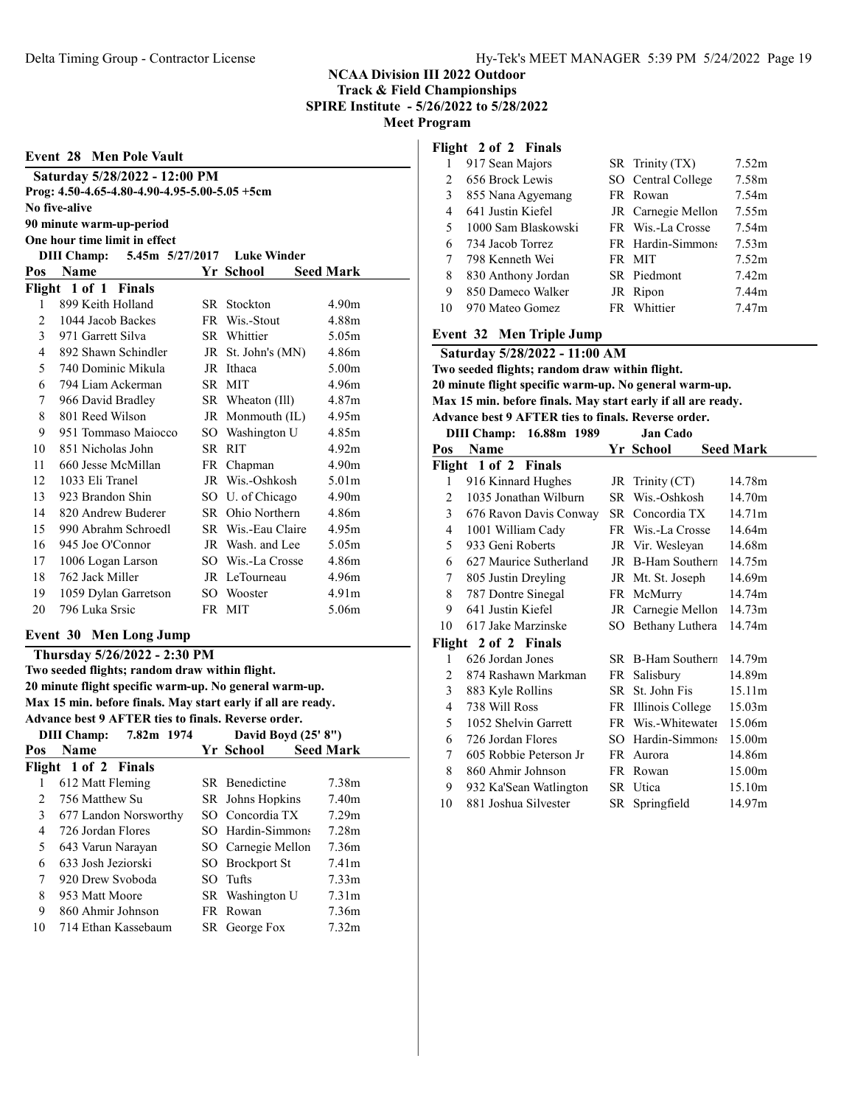|               | <b>Event 28 Men Pole Vault</b>                |     |                    |                   |
|---------------|-----------------------------------------------|-----|--------------------|-------------------|
|               | Saturday 5/28/2022 - 12:00 PM                 |     |                    |                   |
|               | Prog: 4.50-4.65-4.80-4.90-4.95-5.00-5.05 +5cm |     |                    |                   |
|               | No five-alive                                 |     |                    |                   |
|               | 90 minute warm-up-period                      |     |                    |                   |
|               | One hour time limit in effect                 |     |                    |                   |
|               | <b>DIII Champ:</b><br>5.45m 5/27/2017         |     | <b>Luke Winder</b> |                   |
| Pos           | <b>Name</b>                                   |     | Yr School          | <b>Seed Mark</b>  |
|               | Flight 1 of 1 Finals                          |     |                    |                   |
| 1             | 899 Keith Holland                             | SR. | Stockton           | 4.90m             |
| 2             | 1044 Jacob Backes                             | FR. | Wis.-Stout         | 4.88m             |
| $\mathcal{E}$ | 971 Garrett Silva                             | SR. | Whittier           | 5.05m             |
| 4             | 892 Shawn Schindler                           | JR  | St. John's (MN)    | 4.86m             |
| 5             | 740 Dominic Mikula                            |     | JR Ithaca          | 5.00 <sub>m</sub> |
| 6             | 794 Liam Ackerman                             |     | SR MIT             | 4.96m             |
| 7             | 966 David Bradley                             | SR  | Wheaton (Ill)      | 4.87m             |
| 8             | 801 Reed Wilson                               |     | JR Monmouth (IL)   | 4.95m             |
| 9             | 951 Tommaso Majocco                           | SO. | Washington U       | 4.85m             |
| 10            | 851 Nicholas John                             |     | SR RIT             | 4.92m             |
| 11            | 660 Jesse McMillan                            | FR. | Chapman            | 4.90 <sub>m</sub> |
| 12.           | 1033 Eli Tranel                               |     | JR Wis.-Oshkosh    | 5.01 $m$          |
| 13            | 923 Brandon Shin                              |     | SO U. of Chicago   | 4.90 <sub>m</sub> |
| 14            | 820 Andrew Buderer                            |     | SR Ohio Northern   | 4.86m             |
| 15            | 990 Abrahm Schroedl                           |     | SR Wis.-Eau Claire | 4.95m             |
| 16            | 945 Joe O'Connor                              |     | JR Wash, and Lee   | 5.05m             |
| 17            | 1006 Logan Larson                             |     | SO Wis.-La Crosse  | 4.86m             |
| 18            | 762 Jack Miller                               | JR  | LeTourneau         | 4.96m             |
| 19            | 1059 Dylan Garretson                          | SΟ  | Wooster            | 4.91 <sub>m</sub> |
| 20            | 796 Luka Srsic                                | FR. | MIT                | 5.06m             |

#### Event 30 Men Long Jump

Thursday 5/26/2022 - 2:30 PM Two seeded flights; random draw within flight. 20 minute flight specific warm-up. No general warm-up. Max 15 min. before finals. May start early if all are ready. Advance best 9 AFTER ties to finals. Reverse order. DIII Champ: 7.82m 1974 David Boyd (25' 8") Pos Name Seed Mark Flight 1 of 2 Finals 612 Matt Fleming SR Benedictine 7.38m 756 Matthew Su SR Johns Hopkins 7.40m 677 Landon Norsworthy SO Concordia TX 7.29m 726 Jordan Flores SO Hardin-Simmons 7.28m 643 Varun Narayan SO Carnegie Mellon 7.36m 633 Josh Jeziorski SO Brockport St 7.41m 920 Drew Svoboda SO Tufts 7.33m 953 Matt Moore SR Washington U 7.31m

 860 Ahmir Johnson FR Rowan 7.36m 714 Ethan Kassebaum SR George Fox 7.32m

#### Flight 2 of 2 Finals

|               | 917 Sean Majors     | SR Trinity (TX)    | 7.52m             |
|---------------|---------------------|--------------------|-------------------|
| $\mathcal{L}$ | 656 Brock Lewis     | SO Central College | 7.58m             |
| 3             | 855 Nana Agyemang   | FR Rowan           | 7.54m             |
| 4             | 641 Justin Kiefel   | JR Carnegie Mellon | 7.55m             |
| 5             | 1000 Sam Blaskowski | FR Wis.-La Crosse  | 7.54m             |
| 6             | 734 Jacob Torrez    | FR Hardin-Simmons  | 7.53m             |
|               | 798 Kenneth Wei     | FR MIT             | 7.52m             |
| 8             | 830 Anthony Jordan  | SR Piedmont        | 7.42m             |
| 9             | 850 Dameco Walker   | JR Ripon           | 7.44m             |
| 10            | 970 Mateo Gomez     | FR Whittier        | 7.47 <sub>m</sub> |

#### Event 32 Men Triple Jump

|   | Saturday 5/28/2022 - 11:00 AM                  |  |                                                              |                                           |
|---|------------------------------------------------|--|--------------------------------------------------------------|-------------------------------------------|
|   | Two seeded flights; random draw within flight. |  |                                                              |                                           |
|   |                                                |  | 20 minute flight specific warm-up. No general warm-up.       |                                           |
|   |                                                |  | Max 15 min. before finals. May start early if all are ready. |                                           |
|   |                                                |  | Advance best 9 AFTER ties to finals. Reverse order.          |                                           |
|   | DIII Champ: 16.88m 1989                        |  | <b>Jan Cado</b>                                              |                                           |
|   | Pos Name                                       |  |                                                              | Yr School Seed Mark                       |
|   |                                                |  |                                                              |                                           |
|   | Flight 1 of 2 Finals                           |  |                                                              |                                           |
| 1 |                                                |  |                                                              | 916 Kinnard Hughes JR Trinity (CT) 14.78m |

| 3  | 676 Ravon Davis Conway |    | SR Concordia TX     | 14.71m |
|----|------------------------|----|---------------------|--------|
| 4  | 1001 William Cady      |    | FR Wis.-La Crosse   | 14.64m |
| 5  | 933 Geni Roberts       |    | JR Vir. Wesleyan    | 14.68m |
| 6  | 627 Maurice Sutherland |    | JR B-Ham Southern   | 14.75m |
| 7  | 805 Justin Dreyling    |    | JR Mt. St. Joseph   | 14.69m |
| 8  | 787 Dontre Sinegal     |    | FR McMurry          | 14.74m |
| 9  | 641 Justin Kiefel      |    | JR Carnegie Mellon  | 14.73m |
| 10 | 617 Jake Marzinske     |    | SO Bethany Luthera  | 14.74m |
|    | Flight 2 of 2 Finals   |    |                     |        |
| 1  | 626 Jordan Jones       |    | SR B-Ham Southern   | 14.79m |
| 2  | 874 Rashawn Markman    |    | FR Salisbury        | 14.89m |
| 3  | 883 Kyle Rollins       |    | SR St. John Fis     | 15.11m |
| 4  | 738 Will Ross          |    | FR Illinois College | 15.03m |
| 5  | 1052 Shelvin Garrett   |    | FR Wis.-Whitewater  | 15.06m |
| 6  | 726 Jordan Flores      |    | SO Hardin-Simmons   | 15.00m |
| 7  | 605 Robbie Peterson Jr |    | FR Aurora           | 14.86m |
| 8  | 860 Ahmir Johnson      |    | FR Rowan            | 15.00m |
| 9  | 932 Ka'Sean Watlington |    | SR Utica            | 15.10m |
| 10 | 881 Joshua Silvester   | SR | Springfield         | 14.97m |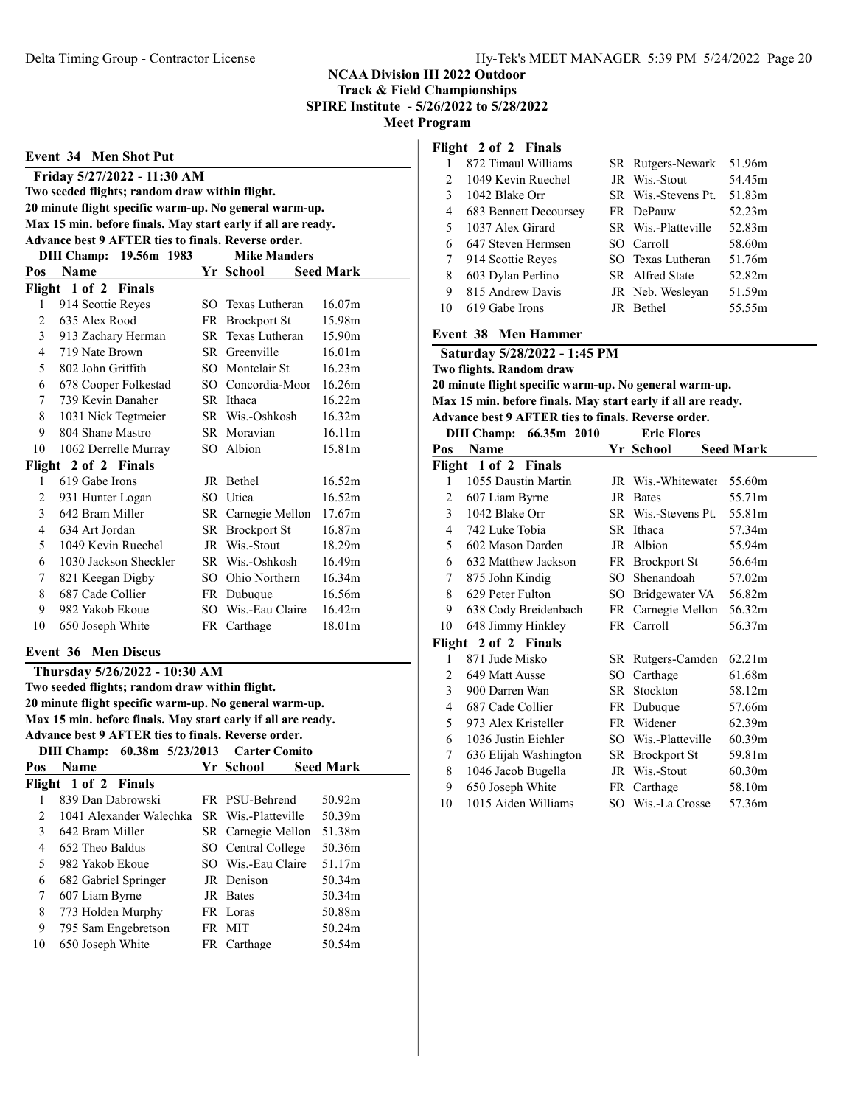|                                                        | <b>Event 34 Men Shot Put</b>                                 |     |                     |                    |  |  |  |
|--------------------------------------------------------|--------------------------------------------------------------|-----|---------------------|--------------------|--|--|--|
|                                                        | Friday 5/27/2022 - 11:30 AM                                  |     |                     |                    |  |  |  |
|                                                        | Two seeded flights; random draw within flight.               |     |                     |                    |  |  |  |
| 20 minute flight specific warm-up. No general warm-up. |                                                              |     |                     |                    |  |  |  |
|                                                        | Max 15 min. before finals. May start early if all are ready. |     |                     |                    |  |  |  |
|                                                        | Advance best 9 AFTER ties to finals. Reverse order.          |     |                     |                    |  |  |  |
|                                                        | 19.56m 1983<br><b>DIII Champ:</b>                            |     | <b>Mike Manders</b> |                    |  |  |  |
| Pos                                                    | <b>Name</b>                                                  |     | Yr School           | <b>Seed Mark</b>   |  |  |  |
|                                                        | Flight 1 of 2 Finals                                         |     |                     |                    |  |  |  |
| 1                                                      | 914 Scottie Reyes                                            |     | SO Texas Lutheran   | 16.07m             |  |  |  |
| $\mathfrak{D}$                                         | 635 Alex Rood                                                |     | FR Brockport St     | 15.98m             |  |  |  |
| 3                                                      | 913 Zachary Herman                                           |     | SR Texas Lutheran   | 15.90m             |  |  |  |
| 4                                                      | 719 Nate Brown                                               |     | SR Greenville       | 16.01 <sub>m</sub> |  |  |  |
| 5                                                      | 802 John Griffith                                            |     | SO Montclair St     | 16.23m             |  |  |  |
| 6                                                      | 678 Cooper Folkestad                                         |     | SO Concordia-Moor   | 16.26m             |  |  |  |
| 7                                                      | 739 Kevin Danaher                                            |     | SR Ithaca           | 16.22m             |  |  |  |
| 8                                                      | 1031 Nick Tegtmeier                                          |     | SR Wis.-Oshkosh     | 16.32m             |  |  |  |
| 9                                                      | 804 Shane Mastro                                             |     | SR Moravian         | 16.11m             |  |  |  |
| 10                                                     | 1062 Derrelle Murray                                         | SO. | Albion              | 15.81m             |  |  |  |
| Flight                                                 | 2 of 2 Finals                                                |     |                     |                    |  |  |  |
| 1                                                      | 619 Gabe Irons                                               |     | JR Bethel           | 16.52m             |  |  |  |
| $\overline{c}$                                         | 931 Hunter Logan                                             |     | SO Utica            | 16.52m             |  |  |  |
| 3                                                      | 642 Bram Miller                                              |     | SR Carnegie Mellon  | 17.67m             |  |  |  |
| $\overline{\mathcal{L}}$                               | 634 Art Jordan                                               |     | SR Brockport St     | 16.87m             |  |  |  |
| 5                                                      | 1049 Kevin Ruechel                                           |     | JR Wis.-Stout       | 18.29m             |  |  |  |
| 6                                                      | 1030 Jackson Sheckler                                        |     | SR Wis.-Oshkosh     | 16.49m             |  |  |  |
| 7                                                      | 821 Keegan Digby                                             |     | SO Ohio Northern    | 16.34m             |  |  |  |
| 8                                                      | 687 Cade Collier                                             |     | FR Dubuque          | 16.56m             |  |  |  |
| 9                                                      | 982 Yakob Ekoue                                              |     | SO Wis.-Eau Claire  | 16.42m             |  |  |  |
| 10                                                     | 650 Joseph White                                             |     | FR Carthage         | 18.01m             |  |  |  |
|                                                        | <b>Event 36 Men Discus</b>                                   |     |                     |                    |  |  |  |
|                                                        | Thursday 5/26/2022 - 10:30 AM                                |     |                     |                    |  |  |  |

Two seeded flights; random draw within flight. 20 minute flight specific warm-up. No general warm-up. Max 15 min. before finals. May start early if all are ready. Advance best 9 AFTER ties to finals. Reverse order. DIII Champ: 60.38m 5/23/2013 Carter Comito Pos Name Seed Mark Yr School Seed Mark

|               | Flight 1 of 2 Finals    |                     |        |
|---------------|-------------------------|---------------------|--------|
|               | 839 Dan Dabrowski       | FR PSU-Behrend      | 50.92m |
| $\mathcal{P}$ | 1041 Alexander Walechka | SR Wis.-Platteville | 50.39m |
| 3             | 642 Bram Miller         | SR Carnegie Mellon  | 51.38m |
| 4             | 652 Theo Baldus         | SO Central College  | 50.36m |
| 5             | 982 Yakob Ekoue         | SO Wis.-Eau Claire  | 51.17m |
| 6             | 682 Gabriel Springer    | <b>IR</b> Denison   | 50.34m |
| 7             | 607 Liam Byrne          | JR Bates            | 50.34m |
| 8             | 773 Holden Murphy       | FR Loras            | 50.88m |
| 9             | 795 Sam Engebretson     | FR MIT              | 50.24m |
| 10            | 650 Joseph White        | FR Carthage         | 50.54m |
|               |                         |                     |        |

#### Flight 2 of 2 Finals

|                | 872 Timaul Williams   | SR Rutgers-Newark   | 51.96m |
|----------------|-----------------------|---------------------|--------|
| $\mathfrak{D}$ | 1049 Kevin Ruechel    | JR Wis.-Stout       | 54.45m |
| 3              | 1042 Blake Orr        | SR Wis.-Stevens Pt. | 51.83m |
| 4              | 683 Bennett Decoursey | FR DePauw           | 52.23m |
| 5              | 1037 Alex Girard      | SR Wis.-Platteville | 52.83m |
| 6              | 647 Steven Hermsen    | SO Carroll          | 58.60m |
| 7              | 914 Scottie Reyes     | SO Texas Lutheran   | 51.76m |
| 8              | 603 Dylan Perlino     | SR Alfred State     | 52.82m |
| 9              | 815 Andrew Davis      | JR Neb. Wesleyan    | 51.59m |
| 10             | 619 Gabe Irons        | JR Bethel           | 55.55m |

#### Event 38 Men Hammer

Saturday 5/28/2022 - 1:45 PM Two flights. Random draw 20 minute flight specific warm-up. No general warm-up.

Max 15 min. before finals. May start early if all are ready. Advance best 9 AFTER ties to finals. Reverse order.

#### DIII Champ: 66.35m 2010 Eric Flores

| Pos | Name                  |    | Yr School                  | <b>Seed Mark</b> |
|-----|-----------------------|----|----------------------------|------------------|
|     | Flight 1 of 2 Finals  |    |                            |                  |
| 1   | 1055 Daustin Martin   |    | JR Wis.-Whitewater         | 55.60m           |
| 2   | 607 Liam Byrne        |    | JR Bates                   | 55.71m           |
| 3   | 1042 Blake Orr        |    | SR Wis.-Stevens Pt. 55.81m |                  |
| 4   | 742 Luke Tobia        |    | SR Ithaca                  | 57.34m           |
| 5   | 602 Mason Darden      |    | JR Albion                  | 55.94m           |
| 6   | 632 Matthew Jackson   |    | FR Brockport St            | 56.64m           |
| 7   | 875 John Kindig       |    | SO Shenandoah              | 57.02m           |
| 8   | 629 Peter Fulton      |    | SO Bridgewater VA 56.82m   |                  |
| 9   | 638 Cody Breidenbach  |    | FR Carnegie Mellon         | 56.32m           |
| 10  | 648 Jimmy Hinkley     |    | FR Carroll                 | 56.37m           |
|     | Flight 2 of 2 Finals  |    |                            |                  |
| 1   | 871 Jude Misko        |    | SR Rutgers-Camden          | 62.21m           |
| 2   | 649 Matt Ausse        | SО | Carthage                   | 61.68m           |
| 3   | 900 Darren Wan        |    | SR Stockton                | 58.12m           |
| 4   | 687 Cade Collier      |    | FR Dubuque                 | 57.66m           |
| 5   | 973 Alex Kristeller   |    | FR Widener                 | 62.39m           |
| 6   | 1036 Justin Eichler   |    | SO Wis.-Platteville        | 60.39m           |
| 7   | 636 Elijah Washington |    | SR Brockport St            | 59.81m           |
| 8   | 1046 Jacob Bugella    |    | JR Wis.-Stout              | 60.30m           |
| 9   | 650 Joseph White      |    | FR Carthage                | 58.10m           |
| 10  | 1015 Aiden Williams   |    | SO Wis.-La Crosse          | 57.36m           |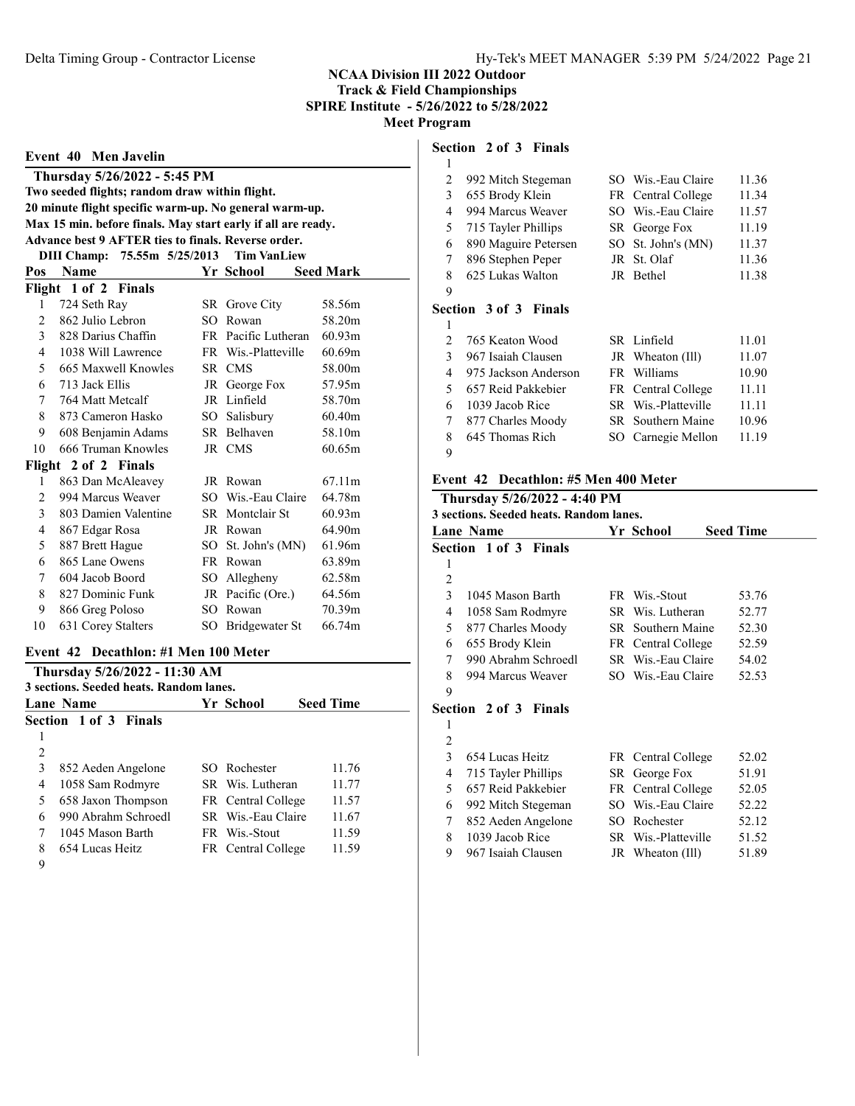Event 40 Men Javelin Thursday 5/26/2022 - 5:45 PM Two seeded flights; random draw within flight. 20 minute flight specific warm-up. No general warm-up. Max 15 min. before finals. May start early if all are ready. Advance best 9 AFTER ties to finals. Reverse order. DIII Champ: 75.55m 5/25/2013 Tim VanLiew Pos Name Yr School Seed Mark Flight 1 of 2 Finals 724 Seth Ray SR Grove City 58.56m 862 Julio Lebron SO Rowan 58.20m 828 Darius Chaffin FR Pacific Lutheran 60.93m 1038 Will Lawrence FR Wis.-Platteville 60.69m 665 Maxwell Knowles SR CMS 58.00m 713 Jack Ellis JR George Fox 57.95m 764 Matt Metcalf JR Linfield 58.70m 8 873 Cameron Hasko SO Salisbury 60.40m 608 Benjamin Adams SR Belhaven 58.10m 10 666 Truman Knowles JR CMS 60.65m Flight 2 of 2 Finals 863 Dan McAleavey JR Rowan 67.11m 994 Marcus Weaver SO Wis.-Eau Claire 64.78m 803 Damien Valentine SR Montclair St 60.93m 867 Edgar Rosa JR Rowan 64.90m 5 887 Brett Hague SO St. John's (MN) 61.96m 865 Lane Owens FR Rowan 63.89m 604 Jacob Boord SO Allegheny 62.58m 8 827 Dominic Funk JR Pacific (Ore.) 64.56m 866 Greg Poloso SO Rowan 70.39m 10 631 Corey Stalters SO Bridgewater St 66.74m

## Event 42 Decathlon: #1 Men 100 Meter

|                | Thursday 5/26/2022 - 11:30 AM<br>3 sections. Seeded heats. Random lanes. |                    |                  |  |
|----------------|--------------------------------------------------------------------------|--------------------|------------------|--|
|                | <b>Lane Name</b>                                                         | Yr School          | <b>Seed Time</b> |  |
|                | <b>Section 1 of 3 Finals</b>                                             |                    |                  |  |
|                |                                                                          |                    |                  |  |
| $\overline{2}$ |                                                                          |                    |                  |  |
| 3              | 852 Aeden Angelone                                                       | SO Rochester       | 11.76            |  |
| 4              | 1058 Sam Rodmyre                                                         | SR Wis. Lutheran   | 11.77            |  |
| 5              | 658 Jaxon Thompson                                                       | FR Central College | 11.57            |  |
| 6              | 990 Abrahm Schroedl                                                      | SR Wis.-Eau Claire | 11.67            |  |
| 7              | 1045 Mason Barth                                                         | FR Wis.-Stout      | 11.59            |  |
| 8              | 654 Lucas Heitz                                                          | FR Central College | 11.59            |  |
| $\Omega$       |                                                                          |                    |                  |  |

#### Section 2 of 3 Finals

| 1 |                              |                     |       |
|---|------------------------------|---------------------|-------|
| 2 | 992 Mitch Stegeman           | SO Wis.-Eau Claire  | 11.36 |
| 3 | 655 Brody Klein              | FR Central College  | 11.34 |
| 4 | 994 Marcus Weaver            | SO Wis.-Eau Claire  | 11.57 |
| 5 | 715 Tayler Phillips          | SR George Fox       | 11.19 |
| 6 | 890 Maguire Petersen         | SO St. John's (MN)  | 11.37 |
| 7 | 896 Stephen Peper            | JR St. Olaf         | 11.36 |
| 8 | 625 Lukas Walton             | JR Bethel           | 11.38 |
| 9 |                              |                     |       |
|   | <b>Section 3 of 3 Finals</b> |                     |       |
| 1 |                              |                     |       |
| 2 | 765 Keaton Wood              | SR Linfield         | 11.01 |
| 3 | 967 Isaiah Clausen           | JR Wheaton (Ill)    | 11.07 |
| 4 | 975 Jackson Anderson         | FR Williams         | 10.90 |
| 5 | 657 Reid Pakkebier           | FR Central College  | 11.11 |
| 6 | 1039 Jacob Rice              | SR Wis.-Platteville | 11.11 |
| 7 | 877 Charles Moody            | SR Southern Maine   | 10.96 |
| 8 | 645 Thomas Rich              | SO Carnegie Mellon  | 11.19 |
| 9 |                              |                     |       |

#### Event 42 Decathlon: #5 Men 400 Meter

| Thursday 5/26/2022 - 4:40 PM |                                                   |  |                     |       |  |  |  |  |  |  |  |
|------------------------------|---------------------------------------------------|--|---------------------|-------|--|--|--|--|--|--|--|
|                              | 3 sections. Seeded heats. Random lanes.           |  |                     |       |  |  |  |  |  |  |  |
|                              | <b>Seed Time</b><br><b>Lane Name</b><br>Yr School |  |                     |       |  |  |  |  |  |  |  |
|                              | <b>Section 1 of 3 Finals</b>                      |  |                     |       |  |  |  |  |  |  |  |
| 1                            |                                                   |  |                     |       |  |  |  |  |  |  |  |
| 2                            |                                                   |  |                     |       |  |  |  |  |  |  |  |
| 3                            | 1045 Mason Barth                                  |  | FR Wis.-Stout       | 53.76 |  |  |  |  |  |  |  |
| 4                            | 1058 Sam Rodmyre                                  |  | SR Wis. Lutheran    | 52.77 |  |  |  |  |  |  |  |
| 5                            | 877 Charles Moody                                 |  | SR Southern Maine   | 52.30 |  |  |  |  |  |  |  |
| 6                            | 655 Brody Klein                                   |  | FR Central College  | 52.59 |  |  |  |  |  |  |  |
| 7 <sup>7</sup>               | 990 Abrahm Schroedl                               |  | SR Wis.-Eau Claire  | 54.02 |  |  |  |  |  |  |  |
| 8                            | 994 Marcus Weaver                                 |  | SO Wis.-Eau Claire  | 52.53 |  |  |  |  |  |  |  |
| 9                            |                                                   |  |                     |       |  |  |  |  |  |  |  |
|                              | <b>Section 2 of 3 Finals</b>                      |  |                     |       |  |  |  |  |  |  |  |
| 1                            |                                                   |  |                     |       |  |  |  |  |  |  |  |
| 2                            |                                                   |  |                     |       |  |  |  |  |  |  |  |
| 3                            | 654 Lucas Heitz                                   |  | FR Central College  | 52.02 |  |  |  |  |  |  |  |
| 4                            | 715 Tayler Phillips                               |  | SR George Fox       | 51.91 |  |  |  |  |  |  |  |
| 5                            | 657 Reid Pakkebier                                |  | FR Central College  | 52.05 |  |  |  |  |  |  |  |
| 6                            | 992 Mitch Stegeman                                |  | SO Wis.-Eau Claire  | 52.22 |  |  |  |  |  |  |  |
| 7                            | 852 Aeden Angelone                                |  | SO Rochester        | 52.12 |  |  |  |  |  |  |  |
| 8                            | 1039 Jacob Rice                                   |  | SR Wis.-Platteville | 51.52 |  |  |  |  |  |  |  |
| 9                            | 967 Isaiah Clausen                                |  | JR Wheaton (Ill)    | 51.89 |  |  |  |  |  |  |  |
|                              |                                                   |  |                     |       |  |  |  |  |  |  |  |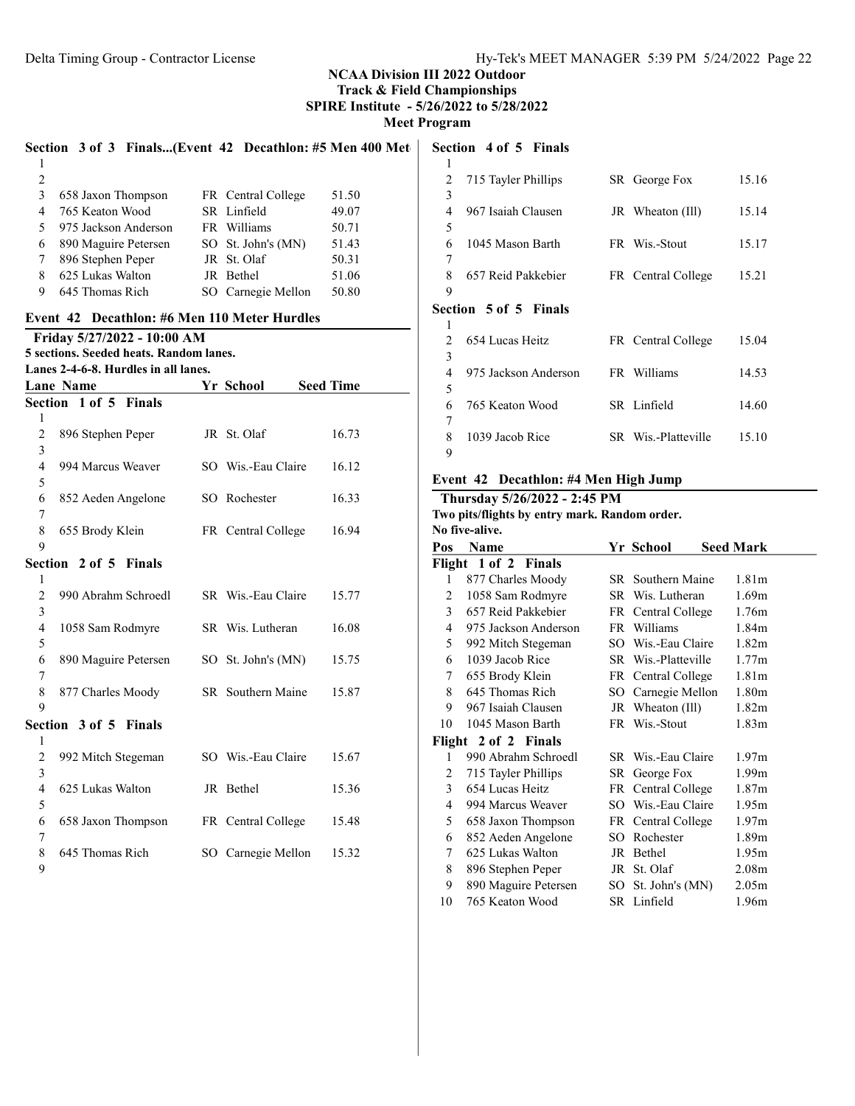|                  |                       |                                         |           |                                              | Section 3 of 3 Finals(Event 42 Decathlon: #5 Men 400 Met |
|------------------|-----------------------|-----------------------------------------|-----------|----------------------------------------------|----------------------------------------------------------|
| 1                |                       |                                         |           |                                              |                                                          |
| $\overline{2}$   |                       |                                         |           |                                              |                                                          |
| 3                |                       | 658 Jaxon Thompson                      |           | FR Central College                           | 51.50                                                    |
| 4                | 765 Keaton Wood       |                                         |           | SR Linfield                                  | 49.07                                                    |
| 5                |                       | 975 Jackson Anderson                    |           | FR Williams                                  | 50.71                                                    |
| 6                |                       | 890 Maguire Petersen                    |           | SO St. John's (MN)                           | 51.43                                                    |
| 7                | 896 Stephen Peper     |                                         |           | JR St. Olaf                                  | 50.31                                                    |
| 8                | 625 Lukas Walton      |                                         | JR Bethel |                                              | 51.06                                                    |
| 9.               | 645 Thomas Rich       |                                         |           | SO Carnegie Mellon                           | 50.80                                                    |
|                  |                       |                                         |           | Event 42 Decathlon: #6 Men 110 Meter Hurdles |                                                          |
|                  |                       | Friday 5/27/2022 - 10:00 AM             |           |                                              |                                                          |
|                  |                       | 5 sections. Seeded heats. Random lanes. |           |                                              |                                                          |
|                  |                       | Lanes 2-4-6-8. Hurdles in all lanes.    |           |                                              |                                                          |
| <b>Lane Name</b> |                       |                                         |           | Yr School                                    | <b>Seed Time</b>                                         |
|                  | Section 1 of 5 Finals |                                         |           |                                              |                                                          |
| 1                |                       |                                         |           |                                              |                                                          |
| 2                | 896 Stephen Peper     |                                         |           | JR St. Olaf                                  | 16.73                                                    |
| 3                |                       |                                         |           |                                              |                                                          |
| $\overline{4}$   | 994 Marcus Weaver     |                                         |           | SO Wis.-Eau Claire                           | 16.12                                                    |
| 5                |                       |                                         |           |                                              |                                                          |
| 6                |                       | 852 Aeden Angelone                      |           | SO Rochester                                 | 16.33                                                    |
| 7                |                       |                                         |           |                                              |                                                          |
| 8                | 655 Brody Klein       |                                         |           | FR Central College                           | 16.94                                                    |
| 9                |                       |                                         |           |                                              |                                                          |
|                  | Section 2 of 5 Finals |                                         |           |                                              |                                                          |
| 1                |                       |                                         |           |                                              |                                                          |
| $\overline{c}$   |                       | 990 Abrahm Schroedl                     |           | SR Wis.-Eau Claire                           | 15.77                                                    |
| 3                |                       |                                         |           |                                              |                                                          |
| 4                | 1058 Sam Rodmyre      |                                         |           | SR Wis. Lutheran                             | 16.08                                                    |
| 5                |                       |                                         |           |                                              |                                                          |
| 6                |                       | 890 Maguire Petersen                    |           | SO St. John's (MN)                           | 15.75                                                    |
| 7                |                       |                                         |           |                                              |                                                          |
| 8                | 877 Charles Moody     |                                         |           | SR Southern Maine                            | 15.87                                                    |
| 9                |                       |                                         |           |                                              |                                                          |
|                  | Section 3 of 5 Finals |                                         |           |                                              |                                                          |
| 1                |                       |                                         |           |                                              |                                                          |
| 2                | 992 Mitch Stegeman    |                                         |           | SO Wis.-Eau Claire                           | 15.67                                                    |
| 3                |                       |                                         |           |                                              |                                                          |
| 4                | 625 Lukas Walton      |                                         | JR Bethel |                                              | 15.36                                                    |
| 5                |                       |                                         |           |                                              |                                                          |
| 6                |                       | 658 Jaxon Thompson                      |           | FR Central College                           | 15.48                                                    |
| 7                |                       |                                         |           |                                              |                                                          |
| 8                | 645 Thomas Rich       |                                         |           | SO Carnegie Mellon                           |                                                          |
| 9                |                       |                                         |           |                                              | 15.32                                                    |
|                  |                       |                                         |           |                                              |                                                          |

#### Section 4 of 5 Finals

| 1              |                              |                     |       |
|----------------|------------------------------|---------------------|-------|
| 2              | 715 Tayler Phillips          | SR George Fox       | 15.16 |
| 3              |                              |                     |       |
| 4              | 967 Isaiah Clausen           | JR Wheaton (Ill)    | 15.14 |
| 5              |                              |                     |       |
| 6              | 1045 Mason Barth             | FR Wis.-Stout       | 15.17 |
| 7              |                              |                     |       |
| 8              | 657 Reid Pakkebier           | FR Central College  | 15.21 |
| 9              |                              |                     |       |
|                | <b>Section 5 of 5 Finals</b> |                     |       |
|                |                              |                     |       |
| 1              |                              |                     |       |
| $\mathfrak{D}$ | 654 Lucas Heitz              | FR Central College  | 15.04 |
| 3              |                              |                     |       |
| 4              | 975 Jackson Anderson         | FR Williams         | 14.53 |
| 5              |                              |                     |       |
| 6              | 765 Keaton Wood              | SR Linfield         | 14.60 |
| 7              |                              |                     |       |
| 8<br>9         | 1039 Jacob Rice              | SR Wis.-Platteville | 15.10 |

## Event 42 Decathlon: #4 Men High Jump

# Thursday 5/26/2022 - 2:45 PM

Two pits/flights by entry mark. Random order. No five-alive.

| Pos                  | <b>Name</b>          |  | Yr School           | <b>Seed Mark</b>  |  |  |
|----------------------|----------------------|--|---------------------|-------------------|--|--|
| Flight 1 of 2 Finals |                      |  |                     |                   |  |  |
| 1                    | 877 Charles Moody    |  | SR Southern Maine   | 1.81m             |  |  |
| 2                    | 1058 Sam Rodmyre     |  | SR Wis. Lutheran    | 1.69m             |  |  |
| 3                    | 657 Reid Pakkebier   |  | FR Central College  | 1.76m             |  |  |
| 4                    | 975 Jackson Anderson |  | FR Williams         | 1.84m             |  |  |
| 5                    | 992 Mitch Stegeman   |  | SO Wis.-Eau Claire  | 1.82 <sub>m</sub> |  |  |
| 6                    | 1039 Jacob Rice      |  | SR Wis.-Platteville | 1.77m             |  |  |
| 7                    | 655 Brody Klein      |  | FR Central College  | 1.81 <sub>m</sub> |  |  |
| 8                    | 645 Thomas Rich      |  | SO Carnegie Mellon  | 1.80m             |  |  |
| 9                    | 967 Isaiah Clausen   |  | JR Wheaton (Ill)    | 1.82 <sub>m</sub> |  |  |
| 10                   | 1045 Mason Barth     |  | FR Wis.-Stout       | 1.83 <sub>m</sub> |  |  |
|                      | Flight 2 of 2 Finals |  |                     |                   |  |  |
| 1                    | 990 Abrahm Schroedl  |  | SR Wis.-Eau Claire  | 1.97m             |  |  |
| 2                    | 715 Tayler Phillips  |  | SR George Fox       | 1.99m             |  |  |
| 3                    | 654 Lucas Heitz      |  | FR Central College  | 1.87 <sub>m</sub> |  |  |
| 4                    | 994 Marcus Weaver    |  | SO Wis.-Eau Claire  | 1.95m             |  |  |
| 5                    | 658 Jaxon Thompson   |  | FR Central College  | 1.97 <sub>m</sub> |  |  |
| 6                    | 852 Aeden Angelone   |  | SO Rochester        | 1.89m             |  |  |
| 7                    | 625 Lukas Walton     |  | JR Bethel           | 1.95m             |  |  |
| 8                    | 896 Stephen Peper    |  | JR St. Olaf         | 2.08 <sub>m</sub> |  |  |
| 9                    | 890 Maguire Petersen |  | SO St. John's (MN)  | 2.05 <sub>m</sub> |  |  |
| 10                   | 765 Keaton Wood      |  | SR Linfield         | 1.96m             |  |  |
|                      |                      |  |                     |                   |  |  |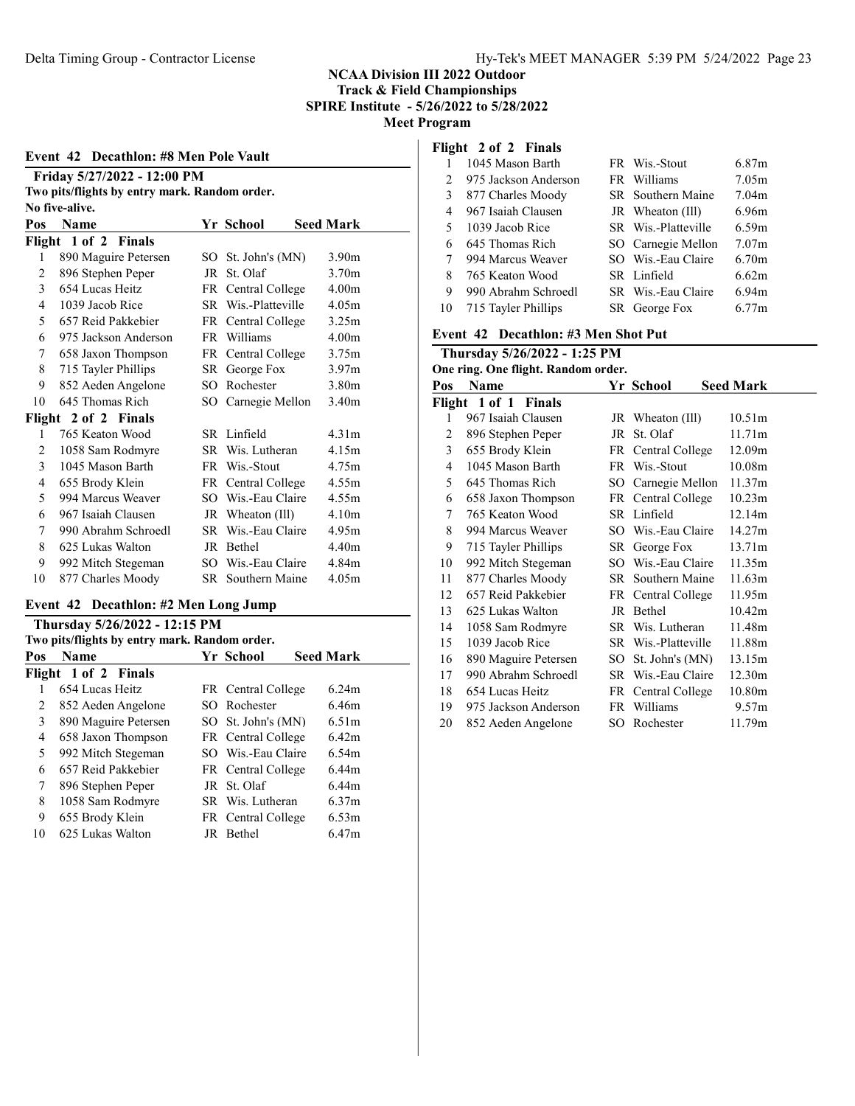#### Event 42 Decathlon: #8 Men Pole Vault

| Friday 5/27/2022 - 12:00 PM                   |
|-----------------------------------------------|
| Two pits/flights by entry mark. Random order. |
| No five-alive.                                |

| Pos                  | <b>Name</b>          |      | Yr School           | <b>Seed Mark</b>  |  |
|----------------------|----------------------|------|---------------------|-------------------|--|
| Flight 1 of 2 Finals |                      |      |                     |                   |  |
| 1                    | 890 Maguire Petersen | SO - | St. John's (MN)     | 3.90 <sub>m</sub> |  |
| $\overline{c}$       | 896 Stephen Peper    | JR   | St. Olaf            | 3.70 <sub>m</sub> |  |
| 3                    | 654 Lucas Heitz      |      | FR Central College  | 4.00 <sub>m</sub> |  |
| 4                    | 1039 Jacob Rice      |      | SR Wis.-Platteville | 4.05m             |  |
| 5                    | 657 Reid Pakkebier   |      | FR Central College  | 3.25m             |  |
| 6                    | 975 Jackson Anderson | FR   | Williams            | 4.00 <sub>m</sub> |  |
| 7                    | 658 Jaxon Thompson   |      | FR Central College  | 3.75m             |  |
| 8                    | 715 Tayler Phillips  |      | SR George Fox       | 3.97m             |  |
| 9                    | 852 Aeden Angelone   | SO.  | Rochester           | 3.80m             |  |
| 10                   | 645 Thomas Rich      |      | SO Carnegie Mellon  | 3.40m             |  |
| Flight 2 of 2 Finals |                      |      |                     |                   |  |
| 1                    | 765 Keaton Wood      |      | SR Linfield         | 4.31m             |  |
| 2                    | 1058 Sam Rodmyre     |      | SR Wis. Lutheran    | 4.15m             |  |
| 3                    | 1045 Mason Barth     |      | FR Wis.-Stout       | 4.75m             |  |
| 4                    | 655 Brody Klein      |      | FR Central College  | 4.55m             |  |
| 5                    | 994 Marcus Weaver    |      | SO Wis.-Eau Claire  | 4.55m             |  |
| 6                    | 967 Isaiah Clausen   |      | JR Wheaton (Ill)    | 4.10m             |  |
| 7                    | 990 Abrahm Schroedl  |      | SR Wis.-Eau Claire  | 4.95m             |  |
| 8                    | 625 Lukas Walton     | JR   | <b>Bethel</b>       | 4.40m             |  |
| 9                    | 992 Mitch Stegeman   |      | SO Wis.-Eau Claire  | 4.84m             |  |
| 10                   | 877 Charles Moody    | SR - | Southern Maine      | 4.05m             |  |

## Event 42 Decathlon: #2 Men Long Jump

| Thursday 5/26/2022 - 12:15 PM                 |                      |  |                    |                  |  |
|-----------------------------------------------|----------------------|--|--------------------|------------------|--|
| Two pits/flights by entry mark. Random order. |                      |  |                    |                  |  |
| Pos                                           | Name                 |  | <b>Yr School</b>   | <b>Seed Mark</b> |  |
|                                               | Flight 1 of 2 Finals |  |                    |                  |  |
|                                               | 654 Lucas Heitz      |  | FR Central College | 6.24m            |  |
| 2                                             | 852 Aeden Angelone   |  | SO Rochester       | 6.46m            |  |
| 3                                             | 890 Maguire Petersen |  | SO St. John's (MN) | 6.51m            |  |
| 4                                             | 658 Jaxon Thompson   |  | FR Central College | 6.42m            |  |
| 5                                             | 992 Mitch Stegeman   |  | SO Wis.-Eau Claire | 6.54m            |  |
| 6                                             | 657 Reid Pakkebier   |  | FR Central College | 6.44m            |  |
| 7                                             | 896 Stephen Peper    |  | JR St. Olaf        | 6.44m            |  |
| 8                                             | 1058 Sam Rodmyre     |  | SR Wis. Lutheran   | 6.37m            |  |
| 9                                             | 655 Brody Klein      |  | FR Central College | 6.53m            |  |
| 10                                            | 625 Lukas Walton     |  | JR Bethel          | 6.47m            |  |

# Flight 2 of 2 Finals

|                | 1045 Mason Barth     | FR Wis.-Stout       | 6.87m             |
|----------------|----------------------|---------------------|-------------------|
| $\mathfrak{D}$ | 975 Jackson Anderson | FR Williams         | 7.05 <sub>m</sub> |
| 3              | 877 Charles Moody    | SR Southern Maine   | 7.04 <sub>m</sub> |
| 4              | 967 Isaiah Clausen   | JR Wheaton (Ill)    | 6.96m             |
| 5.             | 1039 Jacob Rice      | SR Wis.-Platteville | 6.59m             |
| 6              | 645 Thomas Rich      | SO Carnegie Mellon  | 7.07 <sub>m</sub> |
| 7              | 994 Marcus Weaver    | SO Wis.-Eau Claire  | 6.70 <sub>m</sub> |
| 8              | 765 Keaton Wood      | SR Linfield         | 6.62m             |
| 9              | 990 Abrahm Schroedl  | SR Wis.-Eau Claire  | 6.94 <sub>m</sub> |
| 10             | 715 Tayler Phillips  | SR George Fox       | 6.77m             |

# Event 42 Decathlon: #3 Men Shot Put

| Thursday 5/26/2022 - 1:25 PM        |                      |    |                     |                    |  |  |
|-------------------------------------|----------------------|----|---------------------|--------------------|--|--|
| One ring. One flight. Random order. |                      |    |                     |                    |  |  |
| Pos                                 | <b>Name</b>          |    | Yr School           | <b>Seed Mark</b>   |  |  |
|                                     | Flight 1 of 1 Finals |    |                     |                    |  |  |
| 1                                   | 967 Isaiah Clausen   |    | JR Wheaton (Ill)    | 10.51 <sub>m</sub> |  |  |
| 2                                   | 896 Stephen Peper    | JR | St. Olaf            | 11.71m             |  |  |
| 3                                   | 655 Brody Klein      |    | FR Central College  | 12.09m             |  |  |
| 4                                   | 1045 Mason Barth     |    | FR Wis.-Stout       | 10.08 <sub>m</sub> |  |  |
| 5                                   | 645 Thomas Rich      |    | SO Carnegie Mellon  | 11.37m             |  |  |
| 6                                   | 658 Jaxon Thompson   |    | FR Central College  | 10.23m             |  |  |
| 7                                   | 765 Keaton Wood      |    | SR Linfield         | 12.14m             |  |  |
| 8                                   | 994 Marcus Weaver    |    | SO Wis.-Eau Claire  | 14.27m             |  |  |
| 9                                   | 715 Tayler Phillips  |    | SR George Fox       | 13.71m             |  |  |
| 10                                  | 992 Mitch Stegeman   |    | SO Wis.-Eau Claire  | 11.35m             |  |  |
| 11                                  | 877 Charles Moody    |    | SR Southern Maine   | 11.63m             |  |  |
| 12                                  | 657 Reid Pakkebier   |    | FR Central College  | 11.95m             |  |  |
| 13                                  | 625 Lukas Walton     |    | JR Bethel           | 10.42m             |  |  |
| 14                                  | 1058 Sam Rodmyre     |    | SR Wis. Lutheran    | 11.48m             |  |  |
| 15                                  | 1039 Jacob Rice      |    | SR Wis.-Platteville | 11.88m             |  |  |
| 16                                  | 890 Maguire Petersen |    | SO St. John's (MN)  | 13.15m             |  |  |
| 17                                  | 990 Abrahm Schroedl  |    | SR Wis.-Eau Claire  | 12.30m             |  |  |
| 18                                  | 654 Lucas Heitz      |    | FR Central College  | 10.80m             |  |  |
| 19                                  | 975 Jackson Anderson |    | FR Williams         | 9.57m              |  |  |
| 20                                  | 852 Aeden Angelone   | SO | Rochester           | 11.79m             |  |  |